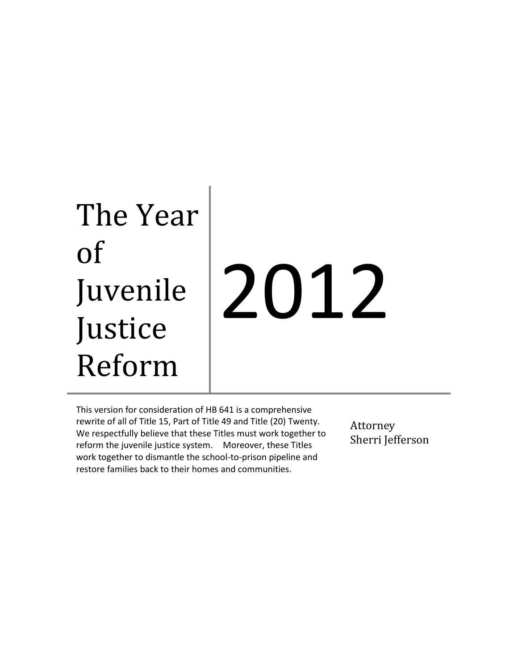# The Year of Juvenile Justice Reform 2012

This version for consideration of HB 641 is a comprehensive rewrite of all of Title 15, Part of Title 49 and Title (20) Twenty. We respectfully believe that these Titles must work together to reform the juvenile justice system. Moreover, these Titles work together to dismantle the school-to-prison pipeline and restore families back to their homes and communities.

Attorney Sherri Jefferson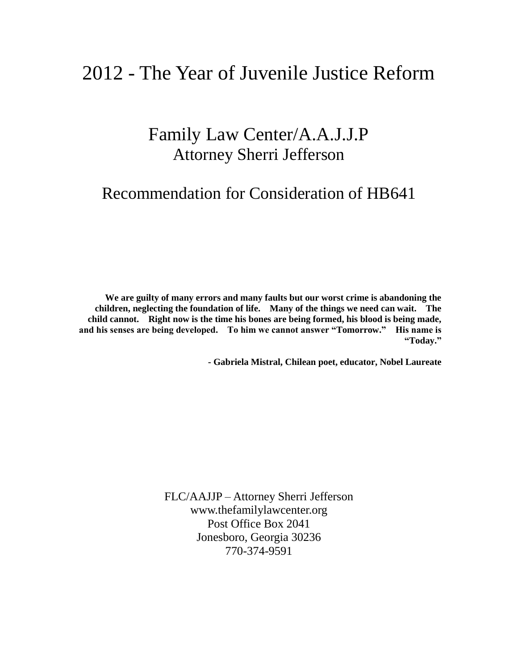## 2012 - The Year of Juvenile Justice Reform

## Family Law Center/A.A.J.J.P Attorney Sherri Jefferson

## Recommendation for Consideration of HB641

**We are guilty of many errors and many faults but our worst crime is abandoning the children, neglecting the foundation of life. Many of the things we need can wait. The child cannot. Right now is the time his bones are being formed, his blood is being made, and his senses are being developed. To him we cannot answer "Tomorrow." His name is "Today."** 

**- Gabriela Mistral, Chilean poet, educator, Nobel Laureate**

FLC/AAJJP – Attorney Sherri Jefferson www.thefamilylawcenter.org Post Office Box 2041 Jonesboro, Georgia 30236 770-374-9591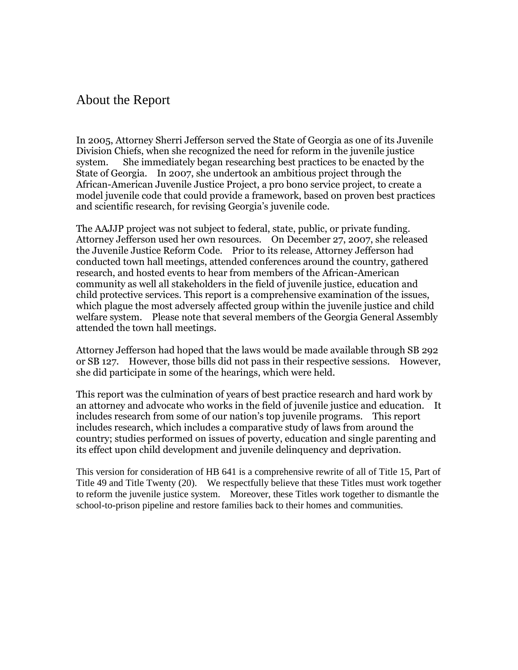## About the Report

In 2005, Attorney Sherri Jefferson served the State of Georgia as one of its Juvenile Division Chiefs, when she recognized the need for reform in the juvenile justice system. She immediately began researching best practices to be enacted by the State of Georgia. In 2007, she undertook an ambitious project through the African-American Juvenile Justice Project, a pro bono service project, to create a model juvenile code that could provide a framework, based on proven best practices and scientific research, for revising Georgia's juvenile code.

The AAJJP project was not subject to federal, state, public, or private funding. Attorney Jefferson used her own resources. On December 27, 2007, she released the Juvenile Justice Reform Code. Prior to its release, Attorney Jefferson had conducted town hall meetings, attended conferences around the country, gathered research, and hosted events to hear from members of the African-American community as well all stakeholders in the field of juvenile justice, education and child protective services. This report is a comprehensive examination of the issues, which plague the most adversely affected group within the juvenile justice and child welfare system. Please note that several members of the Georgia General Assembly attended the town hall meetings.

Attorney Jefferson had hoped that the laws would be made available through SB 292 or SB 127. However, those bills did not pass in their respective sessions. However, she did participate in some of the hearings, which were held.

This report was the culmination of years of best practice research and hard work by an attorney and advocate who works in the field of juvenile justice and education. It includes research from some of our nation's top juvenile programs. This report includes research, which includes a comparative study of laws from around the country; studies performed on issues of poverty, education and single parenting and its effect upon child development and juvenile delinquency and deprivation.

This version for consideration of HB 641 is a comprehensive rewrite of all of Title 15, Part of Title 49 and Title Twenty (20). We respectfully believe that these Titles must work together to reform the juvenile justice system. Moreover, these Titles work together to dismantle the school-to-prison pipeline and restore families back to their homes and communities.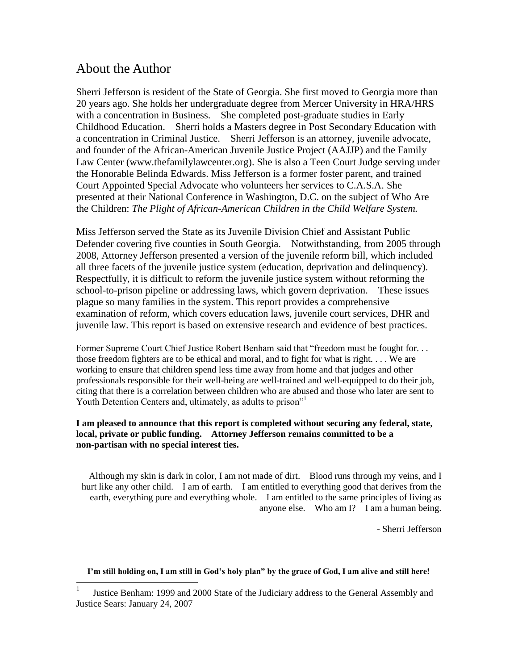## About the Author

Sherri Jefferson is resident of the State of Georgia. She first moved to Georgia more than 20 years ago. She holds her undergraduate degree from Mercer University in HRA/HRS with a concentration in Business. She completed post-graduate studies in Early Childhood Education. Sherri holds a Masters degree in Post Secondary Education with a concentration in Criminal Justice. Sherri Jefferson is an attorney, juvenile advocate, and founder of the African-American Juvenile Justice Project (AAJJP) and the Family Law Center (www.thefamilylawcenter.org). She is also a Teen Court Judge serving under the Honorable Belinda Edwards. Miss Jefferson is a former foster parent, and trained Court Appointed Special Advocate who volunteers her services to C.A.S.A. She presented at their National Conference in Washington, D.C. on the subject of Who Are the Children: *The Plight of African-American Children in the Child Welfare System.* 

Miss Jefferson served the State as its Juvenile Division Chief and Assistant Public Defender covering five counties in South Georgia. Notwithstanding, from 2005 through 2008, Attorney Jefferson presented a version of the juvenile reform bill, which included all three facets of the juvenile justice system (education, deprivation and delinquency). Respectfully, it is difficult to reform the juvenile justice system without reforming the school-to-prison pipeline or addressing laws, which govern deprivation. These issues plague so many families in the system. This report provides a comprehensive examination of reform, which covers education laws, juvenile court services, DHR and juvenile law. This report is based on extensive research and evidence of best practices.

Former Supreme Court Chief Justice Robert Benham said that "freedom must be fought for. . . those freedom fighters are to be ethical and moral, and to fight for what is right. . . . We are working to ensure that children spend less time away from home and that judges and other professionals responsible for their well-being are well-trained and well-equipped to do their job, citing that there is a correlation between children who are abused and those who later are sent to Youth Detention Centers and, ultimately, as adults to prison"<sup>1</sup>

#### **I am pleased to announce that this report is completed without securing any federal, state, local, private or public funding. Attorney Jefferson remains committed to be a non-partisan with no special interest ties.**

Although my skin is dark in color, I am not made of dirt. Blood runs through my veins, and I hurt like any other child. I am of earth. I am entitled to everything good that derives from the earth, everything pure and everything whole. I am entitled to the same principles of living as anyone else. Who am I? I am a human being.

- Sherri Jefferson

**I'm still holding on, I am still in God's holy plan" by the grace of God, I am alive and still here!**

<sup>|&</sup>lt;br>|<br>| Justice Benham: 1999 and 2000 State of the Judiciary address to the General Assembly and Justice Sears: January 24, 2007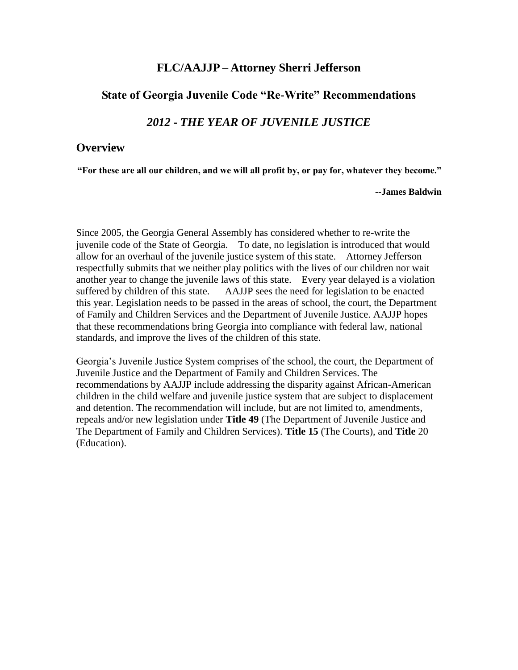#### **FLC/AAJJP – Attorney Sherri Jefferson**

#### **State of Georgia Juvenile Code "Re-Write" Recommendations**

## *2012 - THE YEAR OF JUVENILE JUSTICE*

#### **Overview**

**"For these are all our children, and we will all profit by, or pay for, whatever they become."**

**--James Baldwin**

Since 2005, the Georgia General Assembly has considered whether to re-write the juvenile code of the State of Georgia. To date, no legislation is introduced that would allow for an overhaul of the juvenile justice system of this state. Attorney Jefferson respectfully submits that we neither play politics with the lives of our children nor wait another year to change the juvenile laws of this state. Every year delayed is a violation suffered by children of this state. AAJJP sees the need for legislation to be enacted this year. Legislation needs to be passed in the areas of school, the court, the Department of Family and Children Services and the Department of Juvenile Justice. AAJJP hopes that these recommendations bring Georgia into compliance with federal law, national standards, and improve the lives of the children of this state.

Georgia"s Juvenile Justice System comprises of the school, the court, the Department of Juvenile Justice and the Department of Family and Children Services. The recommendations by AAJJP include addressing the disparity against African-American children in the child welfare and juvenile justice system that are subject to displacement and detention. The recommendation will include, but are not limited to, amendments, repeals and/or new legislation under **Title 49** (The Department of Juvenile Justice and The Department of Family and Children Services). **Title 15** (The Courts), and **Title** 20 (Education).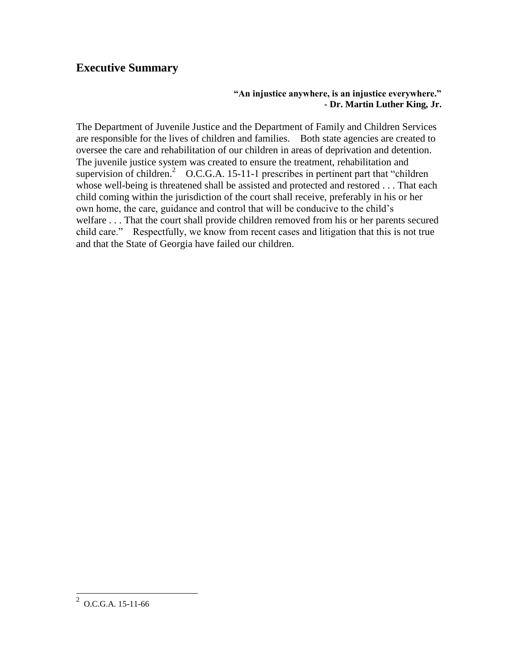## **Executive Summary**

#### **"An injustice anywhere, is an injustice everywhere." - Dr. Martin Luther King, Jr.**

The Department of Juvenile Justice and the Department of Family and Children Services are responsible for the lives of children and families. Both state agencies are created to oversee the care and rehabilitation of our children in areas of deprivation and detention. The juvenile justice system was created to ensure the treatment, rehabilitation and supervision of children.<sup>2</sup> O.C.G.A. 15-11-1 prescribes in pertinent part that "children" whose well-being is threatened shall be assisted and protected and restored . . . That each child coming within the jurisdiction of the court shall receive, preferably in his or her own home, the care, guidance and control that will be conducive to the child"s welfare . . . That the court shall provide children removed from his or her parents secured child care." Respectfully, we know from recent cases and litigation that this is not true and that the State of Georgia have failed our children.

 $\frac{2}{2}$  O.C.G.A. 15-11-66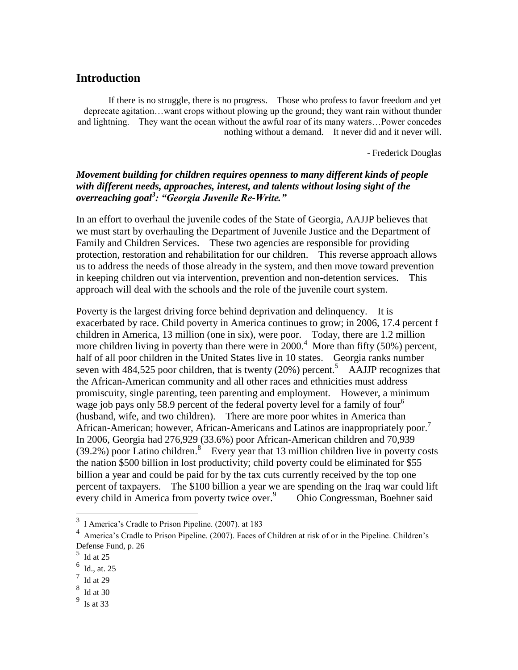## **Introduction**

If there is no struggle, there is no progress. Those who profess to favor freedom and yet deprecate agitation…want crops without plowing up the ground; they want rain without thunder and lightning. They want the ocean without the awful roar of its many waters…Power concedes nothing without a demand. It never did and it never will.

- Frederick Douglas

#### *Movement building for children requires openness to many different kinds of people with different needs, approaches, interest, and talents without losing sight of the overreaching goal<sup>3</sup> : "Georgia Juvenile Re-Write."*

In an effort to overhaul the juvenile codes of the State of Georgia, AAJJP believes that we must start by overhauling the Department of Juvenile Justice and the Department of Family and Children Services. These two agencies are responsible for providing protection, restoration and rehabilitation for our children. This reverse approach allows us to address the needs of those already in the system, and then move toward prevention in keeping children out via intervention, prevention and non-detention services. This approach will deal with the schools and the role of the juvenile court system.

Poverty is the largest driving force behind deprivation and delinquency. It is exacerbated by race. Child poverty in America continues to grow; in 2006, 17.4 percent f children in America, 13 million (one in six), were poor. Today, there are 1.2 million more children living in poverty than there were in  $2000<sup>4</sup>$  More than fifty (50%) percent, half of all poor children in the United States live in 10 states. Georgia ranks number seven with  $484,525$  poor children, that is twenty (20%) percent.<sup>5</sup> AAJJP recognizes that the African-American community and all other races and ethnicities must address promiscuity, single parenting, teen parenting and employment. However, a minimum wage job pays only 58.9 percent of the federal poverty level for a family of four<sup>6</sup> (husband, wife, and two children). There are more poor whites in America than African-American; however, African-Americans and Latinos are inappropriately poor.<sup>7</sup> In 2006, Georgia had 276,929 (33.6%) poor African-American children and 70,939  $(39.2%)$  poor Latino children.<sup>8</sup> Every year that 13 million children live in poverty costs the nation \$500 billion in lost productivity; child poverty could be eliminated for \$55 billion a year and could be paid for by the tax cuts currently received by the top one percent of taxpayers. The \$100 billion a year we are spending on the Iraq war could lift every child in America from poverty twice over.<sup>9</sup> Ohio Congressman, Boehner said

<sup>&</sup>lt;sup>3</sup> I America's Cradle to Prison Pipeline. (2007). at 183

<sup>&</sup>lt;sup>4</sup> America's Cradle to Prison Pipeline. (2007). Faces of Children at risk of or in the Pipeline. Children's Defense Fund, p. 26

<sup>5</sup> Id at 25

<sup>6</sup> Id., at. 25

 $\frac{7}{1}$  Id at 29

<sup>8</sup> Id at 30

<sup>9</sup> Is at 33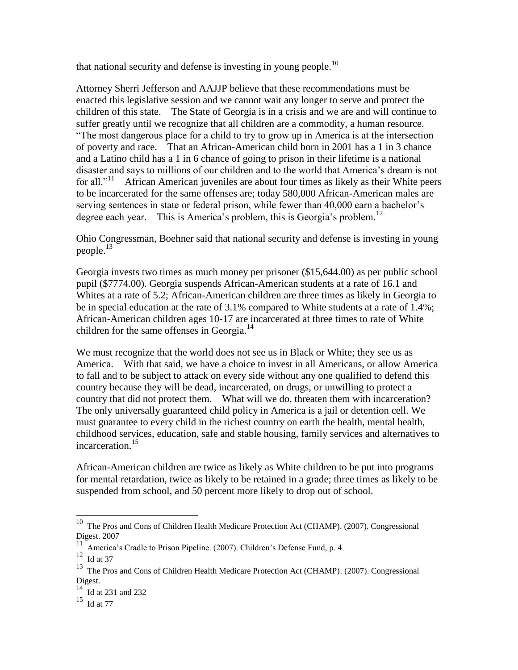that national security and defense is investing in young people.<sup>10</sup>

Attorney Sherri Jefferson and AAJJP believe that these recommendations must be enacted this legislative session and we cannot wait any longer to serve and protect the children of this state. The State of Georgia is in a crisis and we are and will continue to suffer greatly until we recognize that all children are a commodity, a human resource. "The most dangerous place for a child to try to grow up in America is at the intersection of poverty and race. That an African-American child born in 2001 has a 1 in 3 chance and a Latino child has a 1 in 6 chance of going to prison in their lifetime is a national disaster and says to millions of our children and to the world that America"s dream is not for all."<sup>11</sup> African American juveniles are about four times as likely as their White peers to be incarcerated for the same offenses are; today 580,000 African-American males are serving sentences in state or federal prison, while fewer than 40,000 earn a bachelor's degree each year. This is America's problem, this is Georgia's problem.<sup>12</sup>

Ohio Congressman, Boehner said that national security and defense is investing in young people. $^{13}$ 

Georgia invests two times as much money per prisoner (\$15,644.00) as per public school pupil (\$7774.00). Georgia suspends African-American students at a rate of 16.1 and Whites at a rate of 5.2; African-American children are three times as likely in Georgia to be in special education at the rate of 3.1% compared to White students at a rate of 1.4%; African-American children ages 10-17 are incarcerated at three times to rate of White children for the same offenses in Georgia.<sup>14</sup>

We must recognize that the world does not see us in Black or White; they see us as America. With that said, we have a choice to invest in all Americans, or allow America to fall and to be subject to attack on every side without any one qualified to defend this country because they will be dead, incarcerated, on drugs, or unwilling to protect a country that did not protect them. What will we do, threaten them with incarceration? The only universally guaranteed child policy in America is a jail or detention cell. We must guarantee to every child in the richest country on earth the health, mental health, childhood services, education, safe and stable housing, family services and alternatives to incarceration.<sup>15</sup>

African-American children are twice as likely as White children to be put into programs for mental retardation, twice as likely to be retained in a grade; three times as likely to be suspended from school, and 50 percent more likely to drop out of school.

l

 $10$  The Pros and Cons of Children Health Medicare Protection Act (CHAMP). (2007). Congressional Digest. 2007

 $11$  America's Cradle to Prison Pipeline. (2007). Children's Defense Fund, p. 4

 $12$  Id at 37

<sup>&</sup>lt;sup>13</sup> The Pros and Cons of Children Health Medicare Protection Act (CHAMP). (2007). Congressional Digest.

<sup>&</sup>lt;sup>14</sup> Id at 231 and 232

 $^{15}\,$  Id at 77  $\,$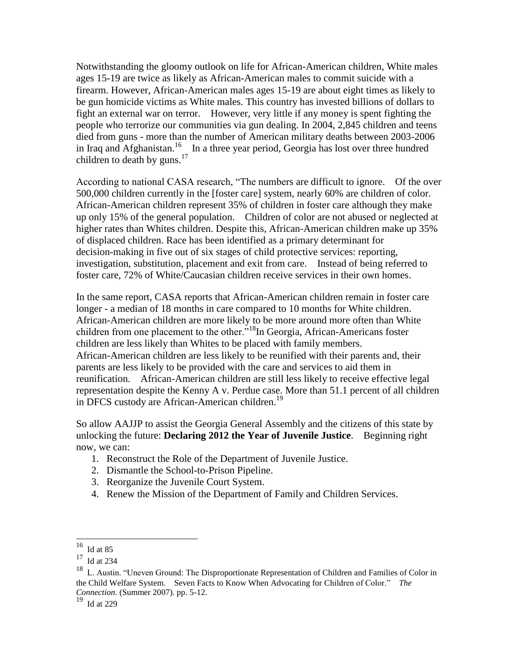Notwithstanding the gloomy outlook on life for African-American children, White males ages 15-19 are twice as likely as African-American males to commit suicide with a firearm. However, African-American males ages 15-19 are about eight times as likely to be gun homicide victims as White males. This country has invested billions of dollars to fight an external war on terror. However, very little if any money is spent fighting the people who terrorize our communities via gun dealing. In 2004, 2,845 children and teens died from guns - more than the number of American military deaths between 2003-2006 in Iraq and Afghanistan.<sup>16</sup> In a three year period, Georgia has lost over three hundred children to death by guns. $17$ 

According to national CASA research, "The numbers are difficult to ignore. Of the over 500,000 children currently in the [foster care] system, nearly 60% are children of color. African-American children represent 35% of children in foster care although they make up only 15% of the general population. Children of color are not abused or neglected at higher rates than Whites children. Despite this, African-American children make up 35% of displaced children. Race has been identified as a primary determinant for decision-making in five out of six stages of child protective services: reporting, investigation, substitution, placement and exit from care. Instead of being referred to foster care, 72% of White/Caucasian children receive services in their own homes.

In the same report, CASA reports that African-American children remain in foster care longer - a median of 18 months in care compared to 10 months for White children. African-American children are more likely to be more around more often than White children from one placement to the other.<sup>"18</sup>In Georgia, African-Americans foster children are less likely than Whites to be placed with family members. African-American children are less likely to be reunified with their parents and, their parents are less likely to be provided with the care and services to aid them in reunification. African-American children are still less likely to receive effective legal representation despite the Kenny A v. Perdue case. More than 51.1 percent of all children in DFCS custody are African-American children.<sup>19</sup>

So allow AAJJP to assist the Georgia General Assembly and the citizens of this state by unlocking the future: **Declaring 2012 the Year of Juvenile Justice**. Beginning right now, we can:

- 1. Reconstruct the Role of the Department of Juvenile Justice.
- 2. Dismantle the School-to-Prison Pipeline.
- 3. Reorganize the Juvenile Court System.
- 4. Renew the Mission of the Department of Family and Children Services.

 $\overline{a}$ 

 $16$  Id at 85

 $17$  Id at 234

<sup>&</sup>lt;sup>18</sup> L. Austin. "Uneven Ground: The Disproportionate Representation of Children and Families of Color in the Child Welfare System. Seven Facts to Know When Advocating for Children of Color." *The Connection.* (Summer 2007). pp. 5-12.

<sup>19</sup> Id at 229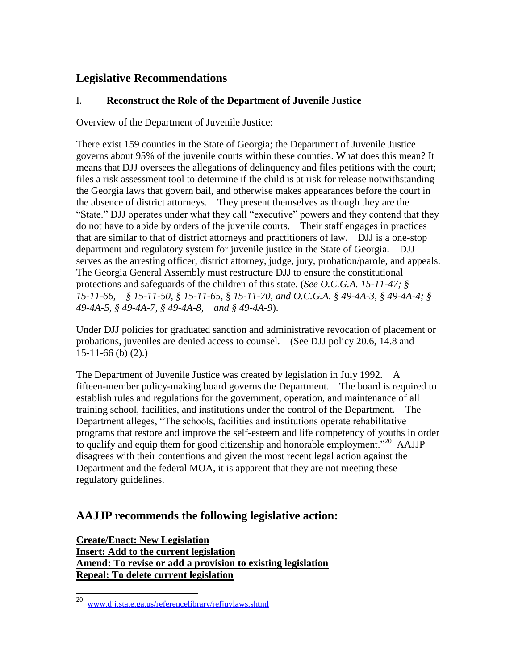## **Legislative Recommendations**

## I. **Reconstruct the Role of the Department of Juvenile Justice**

Overview of the Department of Juvenile Justice:

There exist 159 counties in the State of Georgia; the Department of Juvenile Justice governs about 95% of the juvenile courts within these counties. What does this mean? It means that DJJ oversees the allegations of delinquency and files petitions with the court; files a risk assessment tool to determine if the child is at risk for release notwithstanding the Georgia laws that govern bail, and otherwise makes appearances before the court in the absence of district attorneys. They present themselves as though they are the "State." DJJ operates under what they call "executive" powers and they contend that they do not have to abide by orders of the juvenile courts. Their staff engages in practices that are similar to that of district attorneys and practitioners of law. DJJ is a one-stop department and regulatory system for juvenile justice in the State of Georgia. DJJ serves as the arresting officer, district attorney, judge, jury, probation/parole, and appeals. The Georgia General Assembly must restructure DJJ to ensure the constitutional protections and safeguards of the children of this state. (*See O.C.G.A. 15-11-47; § 15-11-66, § 15-11-50, § 15-11-65,* § *15-11-70, and O.C.G.A. § 49-4A-3, § 49-4A-4; § 49-4A-5, § 49-4A-7, § 49-4A-8, and § 49-4A-9*).

Under DJJ policies for graduated sanction and administrative revocation of placement or probations, juveniles are denied access to counsel. (See DJJ policy 20.6, 14.8 and 15-11-66 (b) (2).)

The Department of Juvenile Justice was created by legislation in July 1992. A fifteen-member policy-making board governs the Department. The board is required to establish rules and regulations for the government, operation, and maintenance of all training school, facilities, and institutions under the control of the Department. The Department alleges, "The schools, facilities and institutions operate rehabilitative programs that restore and improve the self-esteem and life competency of youths in order to qualify and equip them for good citizenship and honorable employment.<sup>"20</sup> AAJJP disagrees with their contentions and given the most recent legal action against the Department and the federal MOA, it is apparent that they are not meeting these regulatory guidelines.

## **AAJJP recommends the following legislative action:**

**Create/Enact: New Legislation Insert: Add to the current legislation Amend: To revise or add a provision to existing legislation Repeal: To delete current legislation**

 $20\,$ <sup>20</sup> [www.djj.state.ga.us/referencelibrary/refjuvlaws.shtml](http://www.djj.state.ga.us/referencelibrary/refjuvlaws.shtml)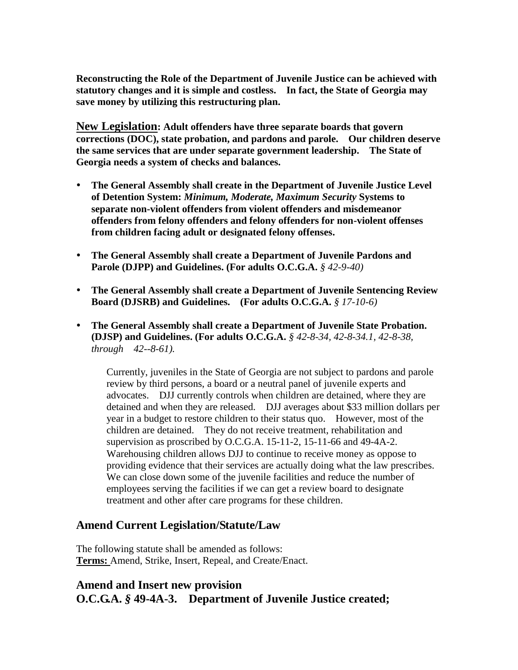**Reconstructing the Role of the Department of Juvenile Justice can be achieved with statutory changes and it is simple and costless. In fact, the State of Georgia may save money by utilizing this restructuring plan.**

**New Legislation: Adult offenders have three separate boards that govern corrections (DOC), state probation, and pardons and parole. Our children deserve the same services that are under separate government leadership. The State of Georgia needs a system of checks and balances.** 

- **The General Assembly shall create in the Department of Juvenile Justice Level of Detention System:** *Minimum, Moderate, Maximum Security* **Systems to separate non-violent offenders from violent offenders and misdemeanor offenders from felony offenders and felony offenders for non-violent offenses from children facing adult or designated felony offenses.**
- **The General Assembly shall create a Department of Juvenile Pardons and Parole (DJPP) and Guidelines. (For adults O.C.G.A.** *§ 42-9-40)*
- **The General Assembly shall create a Department of Juvenile Sentencing Review Board (DJSRB) and Guidelines. (For adults O.C.G.A.** *§ 17-10-6)*
- **The General Assembly shall create a Department of Juvenile State Probation. (DJSP) and Guidelines. (For adults O.C.G.A.** *§ 42-8-34, 42-8-34.1, 42-8-38, through 42--8-61).*

Currently, juveniles in the State of Georgia are not subject to pardons and parole review by third persons, a board or a neutral panel of juvenile experts and advocates. DJJ currently controls when children are detained, where they are detained and when they are released. DJJ averages about \$33 million dollars per year in a budget to restore children to their status quo. However, most of the children are detained. They do not receive treatment, rehabilitation and supervision as proscribed by O.C.G.A. 15-11-2, 15-11-66 and 49-4A-2. Warehousing children allows DJJ to continue to receive money as oppose to providing evidence that their services are actually doing what the law prescribes. We can close down some of the juvenile facilities and reduce the number of employees serving the facilities if we can get a review board to designate treatment and other after care programs for these children.

## **Amend Current Legislation/Statute/Law**

The following statute shall be amended as follows: **Terms:** Amend, Strike, Insert, Repeal, and Create/Enact.

## **Amend and Insert new provision O.C.G.A.** *§* **49-4A-3. Department of Juvenile Justice created;**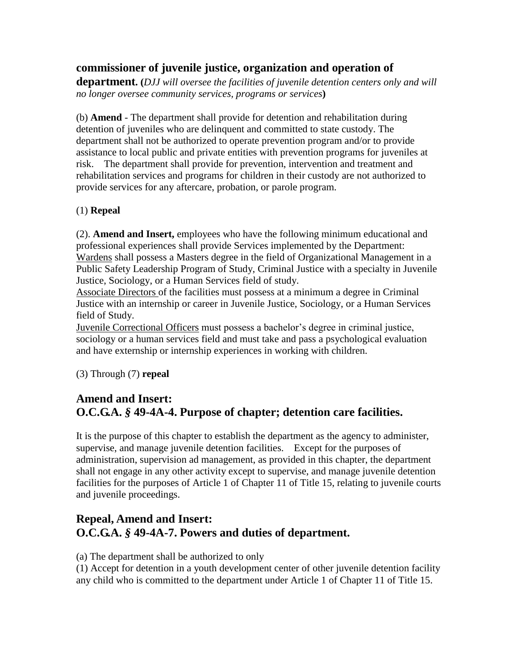## **commissioner of juvenile justice, organization and operation of**

**department. (***DJJ will oversee the facilities of juvenile detention centers only and will no longer oversee community services, programs or services***)**

(b) **Amend** - The department shall provide for detention and rehabilitation during detention of juveniles who are delinquent and committed to state custody. The department shall not be authorized to operate prevention program and/or to provide assistance to local public and private entities with prevention programs for juveniles at risk. The department shall provide for prevention, intervention and treatment and rehabilitation services and programs for children in their custody are not authorized to provide services for any aftercare, probation, or parole program.

## (1) **Repeal**

(2). **Amend and Insert,** employees who have the following minimum educational and professional experiences shall provide Services implemented by the Department: Wardens shall possess a Masters degree in the field of Organizational Management in a Public Safety Leadership Program of Study, Criminal Justice with a specialty in Juvenile Justice, Sociology, or a Human Services field of study.

Associate Directors of the facilities must possess at a minimum a degree in Criminal Justice with an internship or career in Juvenile Justice, Sociology, or a Human Services field of Study.

Juvenile Correctional Officers must possess a bachelor"s degree in criminal justice, sociology or a human services field and must take and pass a psychological evaluation and have externship or internship experiences in working with children.

(3) Through (7) **repeal**

## **Amend and Insert: O.C.G.A.** *§* **49-4A-4. Purpose of chapter; detention care facilities.**

It is the purpose of this chapter to establish the department as the agency to administer, supervise, and manage juvenile detention facilities. Except for the purposes of administration, supervision ad management, as provided in this chapter, the department shall not engage in any other activity except to supervise, and manage juvenile detention facilities for the purposes of Article 1 of Chapter 11 of Title 15, relating to juvenile courts and juvenile proceedings.

## **Repeal, Amend and Insert: O.C.G.A.** *§* **49-4A-7. Powers and duties of department.**

(a) The department shall be authorized to only

(1) Accept for detention in a youth development center of other juvenile detention facility any child who is committed to the department under Article 1 of Chapter 11 of Title 15.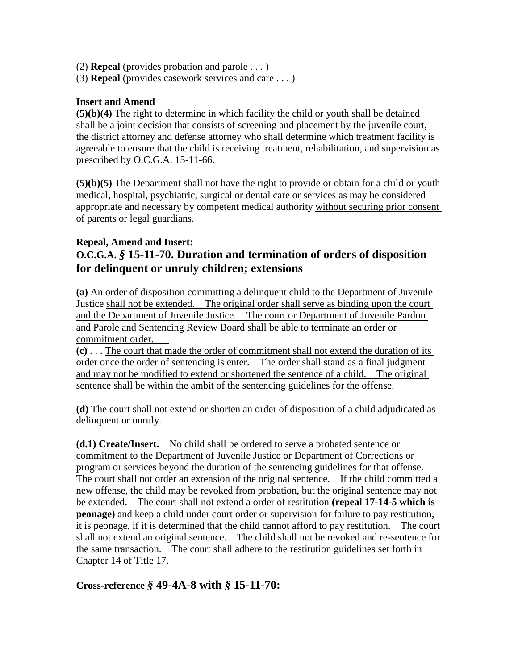- (2) **Repeal** (provides probation and parole . . . )
- (3) **Repeal** (provides casework services and care . . . )

#### **Insert and Amend**

**(5)(b)(4)** The right to determine in which facility the child or youth shall be detained shall be a joint decision that consists of screening and placement by the juvenile court, the district attorney and defense attorney who shall determine which treatment facility is agreeable to ensure that the child is receiving treatment, rehabilitation, and supervision as prescribed by O.C.G.A. 15-11-66.

**(5)(b)(5)** The Department shall not have the right to provide or obtain for a child or youth medical, hospital, psychiatric, surgical or dental care or services as may be considered appropriate and necessary by competent medical authority without securing prior consent of parents or legal guardians.

#### **Repeal, Amend and Insert:**

## **O.C.G.A.** *§* **15-11-70. Duration and termination of orders of disposition for delinquent or unruly children; extensions**

**(a)** An order of disposition committing a delinquent child to the Department of Juvenile Justice shall not be extended. The original order shall serve as binding upon the court and the Department of Juvenile Justice. The court or Department of Juvenile Pardon and Parole and Sentencing Review Board shall be able to terminate an order or commitment order.

**(c)** . . . The court that made the order of commitment shall not extend the duration of its order once the order of sentencing is enter. The order shall stand as a final judgment and may not be modified to extend or shortened the sentence of a child. The original sentence shall be within the ambit of the sentencing guidelines for the offense.

**(d)** The court shall not extend or shorten an order of disposition of a child adjudicated as delinquent or unruly.

**(d.1) Create/Insert.** No child shall be ordered to serve a probated sentence or commitment to the Department of Juvenile Justice or Department of Corrections or program or services beyond the duration of the sentencing guidelines for that offense. The court shall not order an extension of the original sentence. If the child committed a new offense, the child may be revoked from probation, but the original sentence may not be extended. The court shall not extend a order of restitution **(repeal 17-14-5 which is peonage)** and keep a child under court order or supervision for failure to pay restitution, it is peonage, if it is determined that the child cannot afford to pay restitution. The court shall not extend an original sentence. The child shall not be revoked and re-sentence for the same transaction. The court shall adhere to the restitution guidelines set forth in Chapter 14 of Title 17.

## **Cross-reference** *§* **49-4A-8 with** *§* **15-11-70:**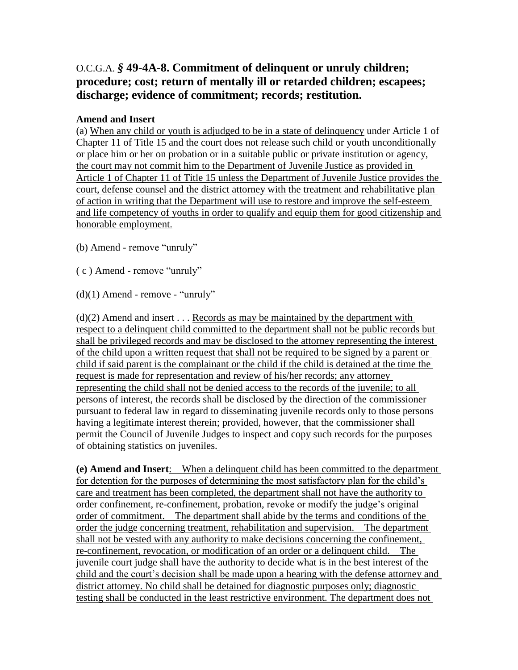## O.C.G.A. *§* **49-4A-8. Commitment of delinquent or unruly children; procedure; cost; return of mentally ill or retarded children; escapees; discharge; evidence of commitment; records; restitution.**

#### **Amend and Insert**

(a) When any child or youth is adjudged to be in a state of delinquency under Article 1 of Chapter 11 of Title 15 and the court does not release such child or youth unconditionally or place him or her on probation or in a suitable public or private institution or agency, the court may not commit him to the Department of Juvenile Justice as provided in Article 1 of Chapter 11 of Title 15 unless the Department of Juvenile Justice provides the court, defense counsel and the district attorney with the treatment and rehabilitative plan of action in writing that the Department will use to restore and improve the self-esteem and life competency of youths in order to qualify and equip them for good citizenship and honorable employment.

(b) Amend - remove "unruly"

( c ) Amend - remove "unruly"

 $(d)(1)$  Amend - remove - "unruly"

 $(d)(2)$  Amend and insert ... Records as may be maintained by the department with respect to a delinquent child committed to the department shall not be public records but shall be privileged records and may be disclosed to the attorney representing the interest of the child upon a written request that shall not be required to be signed by a parent or child if said parent is the complainant or the child if the child is detained at the time the request is made for representation and review of his/her records; any attorney representing the child shall not be denied access to the records of the juvenile; to all persons of interest, the records shall be disclosed by the direction of the commissioner pursuant to federal law in regard to disseminating juvenile records only to those persons having a legitimate interest therein; provided, however, that the commissioner shall permit the Council of Juvenile Judges to inspect and copy such records for the purposes of obtaining statistics on juveniles.

**(e) Amend and Insert**: When a delinquent child has been committed to the department for detention for the purposes of determining the most satisfactory plan for the child"s care and treatment has been completed, the department shall not have the authority to order confinement, re-confinement, probation, revoke or modify the judge"s original order of commitment. The department shall abide by the terms and conditions of the order the judge concerning treatment, rehabilitation and supervision. The department shall not be vested with any authority to make decisions concerning the confinement, re-confinement, revocation, or modification of an order or a delinquent child. The juvenile court judge shall have the authority to decide what is in the best interest of the child and the court's decision shall be made upon a hearing with the defense attorney and district attorney. No child shall be detained for diagnostic purposes only; diagnostic testing shall be conducted in the least restrictive environment. The department does not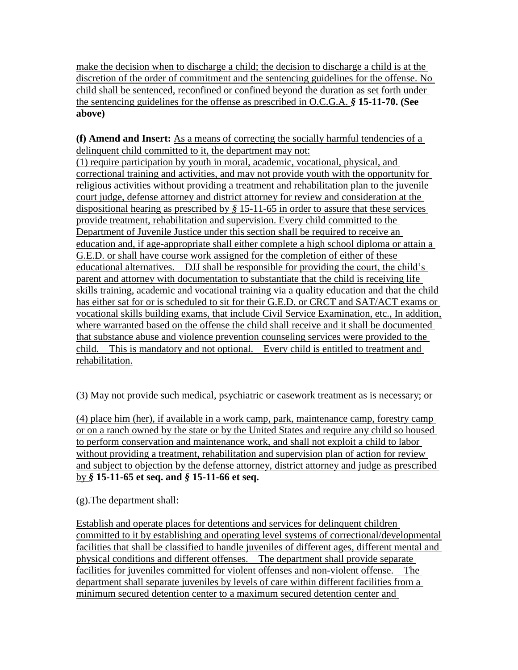make the decision when to discharge a child; the decision to discharge a child is at the discretion of the order of commitment and the sentencing guidelines for the offense. No child shall be sentenced, reconfined or confined beyond the duration as set forth under the sentencing guidelines for the offense as prescribed in O.C.G.A. *§* **15-11-70. (See above)**

**(f) Amend and Insert:** As a means of correcting the socially harmful tendencies of a delinquent child committed to it, the department may not:

(1) require participation by youth in moral, academic, vocational, physical, and correctional training and activities, and may not provide youth with the opportunity for religious activities without providing a treatment and rehabilitation plan to the juvenile court judge, defense attorney and district attorney for review and consideration at the dispositional hearing as prescribed by *§* 15-11-65 in order to assure that these services provide treatment, rehabilitation and supervision. Every child committed to the Department of Juvenile Justice under this section shall be required to receive an education and, if age-appropriate shall either complete a high school diploma or attain a G.E.D. or shall have course work assigned for the completion of either of these educational alternatives. DJJ shall be responsible for providing the court, the child"s parent and attorney with documentation to substantiate that the child is receiving life skills training, academic and vocational training via a quality education and that the child has either sat for or is scheduled to sit for their G.E.D. or CRCT and SAT/ACT exams or vocational skills building exams, that include Civil Service Examination, etc., In addition, where warranted based on the offense the child shall receive and it shall be documented that substance abuse and violence prevention counseling services were provided to the child. This is mandatory and not optional. Every child is entitled to treatment and rehabilitation.

## (3) May not provide such medical, psychiatric or casework treatment as is necessary; or

(4) place him (her), if available in a work camp, park, maintenance camp, forestry camp or on a ranch owned by the state or by the United States and require any child so housed to perform conservation and maintenance work, and shall not exploit a child to labor without providing a treatment, rehabilitation and supervision plan of action for review and subject to objection by the defense attorney, district attorney and judge as prescribed by *§* **15-11-65 et seq. and** *§* **15-11-66 et seq.**

## (g).The department shall:

Establish and operate places for detentions and services for delinquent children committed to it by establishing and operating level systems of correctional/developmental facilities that shall be classified to handle juveniles of different ages, different mental and physical conditions and different offenses. The department shall provide separate facilities for juveniles committed for violent offenses and non-violent offense. The department shall separate juveniles by levels of care within different facilities from a minimum secured detention center to a maximum secured detention center and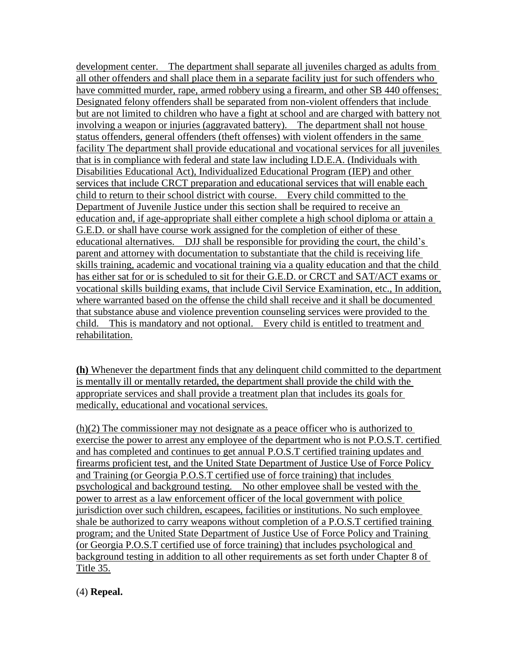development center. The department shall separate all juveniles charged as adults from all other offenders and shall place them in a separate facility just for such offenders who have committed murder, rape, armed robbery using a firearm, and other SB 440 offenses; Designated felony offenders shall be separated from non-violent offenders that include but are not limited to children who have a fight at school and are charged with battery not involving a weapon or injuries (aggravated battery). The department shall not house status offenders, general offenders (theft offenses) with violent offenders in the same facility The department shall provide educational and vocational services for all juveniles that is in compliance with federal and state law including I.D.E.A. (Individuals with Disabilities Educational Act), Individualized Educational Program (IEP) and other services that include CRCT preparation and educational services that will enable each child to return to their school district with course. Every child committed to the Department of Juvenile Justice under this section shall be required to receive an education and, if age-appropriate shall either complete a high school diploma or attain a G.E.D. or shall have course work assigned for the completion of either of these educational alternatives. DJJ shall be responsible for providing the court, the child"s parent and attorney with documentation to substantiate that the child is receiving life skills training, academic and vocational training via a quality education and that the child has either sat for or is scheduled to sit for their G.E.D. or CRCT and SAT/ACT exams or vocational skills building exams, that include Civil Service Examination, etc., In addition, where warranted based on the offense the child shall receive and it shall be documented that substance abuse and violence prevention counseling services were provided to the child. This is mandatory and not optional. Every child is entitled to treatment and rehabilitation.

**(h)** Whenever the department finds that any delinquent child committed to the department is mentally ill or mentally retarded, the department shall provide the child with the appropriate services and shall provide a treatment plan that includes its goals for medically, educational and vocational services.

(h)(2) The commissioner may not designate as a peace officer who is authorized to exercise the power to arrest any employee of the department who is not P.O.S.T. certified and has completed and continues to get annual P.O.S.T certified training updates and firearms proficient test, and the United State Department of Justice Use of Force Policy and Training (or Georgia P.O.S.T certified use of force training) that includes psychological and background testing. No other employee shall be vested with the power to arrest as a law enforcement officer of the local government with police jurisdiction over such children, escapees, facilities or institutions. No such employee shale be authorized to carry weapons without completion of a P.O.S.T certified training program; and the United State Department of Justice Use of Force Policy and Training (or Georgia P.O.S.T certified use of force training) that includes psychological and background testing in addition to all other requirements as set forth under Chapter 8 of Title 35.

(4) **Repeal.**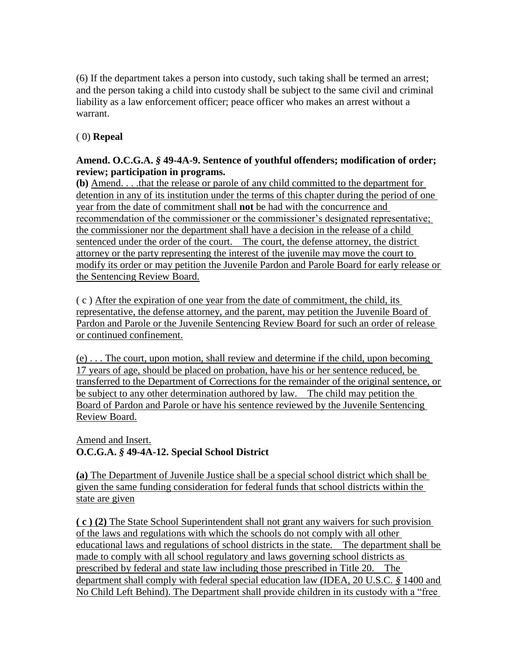(6) If the department takes a person into custody, such taking shall be termed an arrest; and the person taking a child into custody shall be subject to the same civil and criminal liability as a law enforcement officer; peace officer who makes an arrest without a warrant.

## ( 0) **Repeal**

#### **Amend. O.C.G.A.** *§* **49-4A-9. Sentence of youthful offenders; modification of order; review; participation in programs.**

**(b)** Amend. . . .that the release or parole of any child committed to the department for detention in any of its institution under the terms of this chapter during the period of one year from the date of commitment shall **not** be had with the concurrence and recommendation of the commissioner or the commissioner's designated representative; the commissioner nor the department shall have a decision in the release of a child sentenced under the order of the court. The court, the defense attorney, the district attorney or the party representing the interest of the juvenile may move the court to modify its order or may petition the Juvenile Pardon and Parole Board for early release or the Sentencing Review Board.

( c ) After the expiration of one year from the date of commitment, the child, its representative, the defense attorney, and the parent, may petition the Juvenile Board of Pardon and Parole or the Juvenile Sentencing Review Board for such an order of release or continued confinement.

(e) . . . The court, upon motion, shall review and determine if the child, upon becoming 17 years of age, should be placed on probation, have his or her sentence reduced, be transferred to the Department of Corrections for the remainder of the original sentence, or be subject to any other determination authored by law. The child may petition the Board of Pardon and Parole or have his sentence reviewed by the Juvenile Sentencing Review Board.

Amend and Insert. **O.C.G.A.** *§* **49-4A-12. Special School District**

**(a)** The Department of Juvenile Justice shall be a special school district which shall be given the same funding consideration for federal funds that school districts within the state are given

**( c ) (2)** The State School Superintendent shall not grant any waivers for such provision of the laws and regulations with which the schools do not comply with all other educational laws and regulations of school districts in the state. The department shall be made to comply with all school regulatory and laws governing school districts as prescribed by federal and state law including those prescribed in Title 20. The department shall comply with federal special education law (IDEA, 20 U.S.C. *§* 1400 and No Child Left Behind). The Department shall provide children in its custody with a "free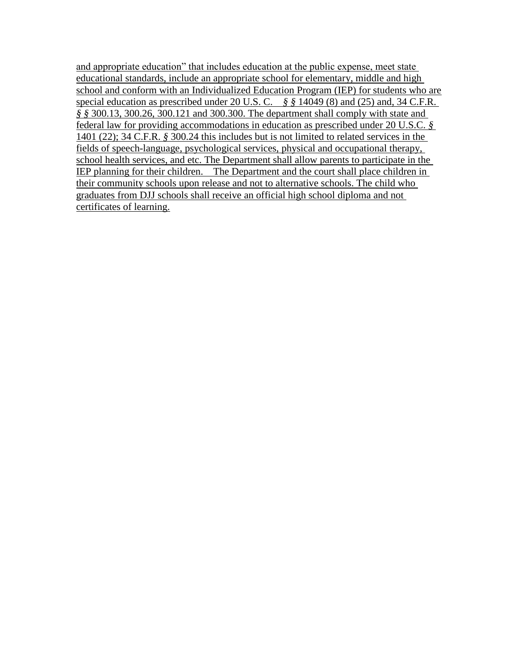and appropriate education" that includes education at the public expense, meet state educational standards, include an appropriate school for elementary, middle and high school and conform with an Individualized Education Program (IEP) for students who are special education as prescribed under 20 U.S. C. *§ §* 14049 (8) and (25) and, 34 C.F.R. *§ §* 300.13, 300.26, 300.121 and 300.300. The department shall comply with state and federal law for providing accommodations in education as prescribed under 20 U.S.C. *§* 1401 (22); 34 C.F.R. *§* 300.24 this includes but is not limited to related services in the fields of speech-language, psychological services, physical and occupational therapy, school health services, and etc. The Department shall allow parents to participate in the IEP planning for their children. The Department and the court shall place children in their community schools upon release and not to alternative schools. The child who graduates from DJJ schools shall receive an official high school diploma and not certificates of learning.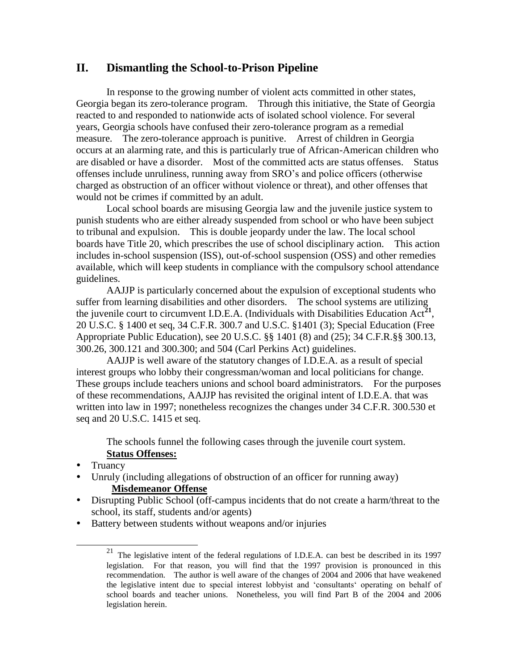## **II. Dismantling the School-to-Prison Pipeline**

In response to the growing number of violent acts committed in other states, Georgia began its zero-tolerance program. Through this initiative, the State of Georgia reacted to and responded to nationwide acts of isolated school violence. For several years, Georgia schools have confused their zero-tolerance program as a remedial measure. The zero-tolerance approach is punitive. Arrest of children in Georgia occurs at an alarming rate, and this is particularly true of African-American children who are disabled or have a disorder. Most of the committed acts are status offenses. Status offenses include unruliness, running away from SRO"s and police officers (otherwise charged as obstruction of an officer without violence or threat), and other offenses that would not be crimes if committed by an adult.

Local school boards are misusing Georgia law and the juvenile justice system to punish students who are either already suspended from school or who have been subject to tribunal and expulsion. This is double jeopardy under the law. The local school boards have Title 20, which prescribes the use of school disciplinary action. This action includes in-school suspension (ISS), out-of-school suspension (OSS) and other remedies available, which will keep students in compliance with the compulsory school attendance guidelines.

AAJJP is particularly concerned about the expulsion of exceptional students who suffer from learning disabilities and other disorders. The school systems are utilizing the juvenile court to circumvent I.D.E.A. (Individuals with Disabilities Education Act<sup>21</sup>, 20 U.S.C. § 1400 et seq, 34 C.F.R. 300.7 and U.S.C. §1401 (3); Special Education (Free Appropriate Public Education), see 20 U.S.C. §§ 1401 (8) and (25); 34 C.F.R.§§ 300.13, 300.26, 300.121 and 300.300; and 504 (Carl Perkins Act) guidelines.

AAJJP is well aware of the statutory changes of I.D.E.A. as a result of special interest groups who lobby their congressman/woman and local politicians for change. These groups include teachers unions and school board administrators. For the purposes of these recommendations, AAJJP has revisited the original intent of I.D.E.A. that was written into law in 1997; nonetheless recognizes the changes under 34 C.F.R. 300.530 et seq and 20 U.S.C. 1415 et seq.

The schools funnel the following cases through the juvenile court system. **Status Offenses:**

Truancy

l

- Unruly (including allegations of obstruction of an officer for running away) **Misdemeanor Offense**
- Disrupting Public School (off-campus incidents that do not create a harm/threat to the school, its staff, students and/or agents)
- Battery between students without weapons and/or injuries

 $21$  The legislative intent of the federal regulations of I.D.E.A. can best be described in its 1997 legislation. For that reason, you will find that the 1997 provision is pronounced in this recommendation. The author is well aware of the changes of 2004 and 2006 that have weakened the legislative intent due to special interest lobbyist and "consultants" operating on behalf of school boards and teacher unions. Nonetheless, you will find Part B of the 2004 and 2006 legislation herein.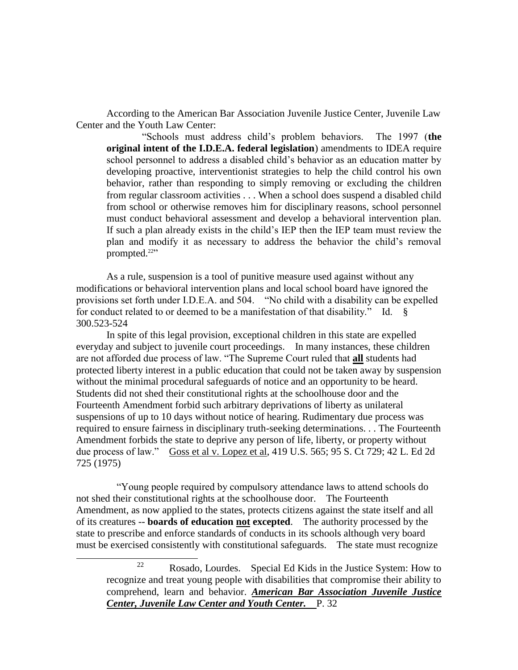According to the American Bar Association Juvenile Justice Center, Juvenile Law Center and the Youth Law Center:

"Schools must address child"s problem behaviors. The 1997 (**the original intent of the I.D.E.A. federal legislation**) amendments to IDEA require school personnel to address a disabled child"s behavior as an education matter by developing proactive, interventionist strategies to help the child control his own behavior, rather than responding to simply removing or excluding the children from regular classroom activities . . . When a school does suspend a disabled child from school or otherwise removes him for disciplinary reasons, school personnel must conduct behavioral assessment and develop a behavioral intervention plan. If such a plan already exists in the child"s IEP then the IEP team must review the plan and modify it as necessary to address the behavior the child"s removal prompted. $22$ <sup>22</sup>

As a rule, suspension is a tool of punitive measure used against without any modifications or behavioral intervention plans and local school board have ignored the provisions set forth under I.D.E.A. and 504. "No child with a disability can be expelled for conduct related to or deemed to be a manifestation of that disability." Id. § 300.523-524

In spite of this legal provision, exceptional children in this state are expelled everyday and subject to juvenile court proceedings. In many instances, these children are not afforded due process of law. "The Supreme Court ruled that **all** students had protected liberty interest in a public education that could not be taken away by suspension without the minimal procedural safeguards of notice and an opportunity to be heard. Students did not shed their constitutional rights at the schoolhouse door and the Fourteenth Amendment forbid such arbitrary deprivations of liberty as unilateral suspensions of up to 10 days without notice of hearing. Rudimentary due process was required to ensure fairness in disciplinary truth-seeking determinations. . . The Fourteenth Amendment forbids the state to deprive any person of life, liberty, or property without due process of law." Goss et al v. Lopez et al, 419 U.S. 565; 95 S. Ct 729; 42 L. Ed 2d 725 (1975)

 "Young people required by compulsory attendance laws to attend schools do not shed their constitutional rights at the schoolhouse door. The Fourteenth Amendment, as now applied to the states, protects citizens against the state itself and all of its creatures -- **boards of education not excepted**. The authority processed by the state to prescribe and enforce standards of conducts in its schools although very board must be exercised consistently with constitutional safeguards. The state must recognize

l

<sup>22</sup> Rosado, Lourdes. Special Ed Kids in the Justice System: How to recognize and treat young people with disabilities that compromise their ability to comprehend, learn and behavior. *American Bar Association Juvenile Justice Center, Juvenile Law Center and Youth Center.* P. 32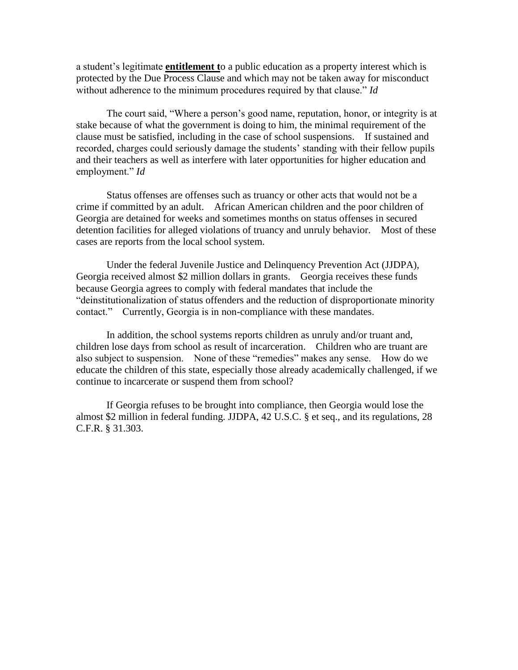a student"s legitimate **entitlement t**o a public education as a property interest which is protected by the Due Process Clause and which may not be taken away for misconduct without adherence to the minimum procedures required by that clause." *Id*

The court said, "Where a person"s good name, reputation, honor, or integrity is at stake because of what the government is doing to him, the minimal requirement of the clause must be satisfied, including in the case of school suspensions. If sustained and recorded, charges could seriously damage the students' standing with their fellow pupils and their teachers as well as interfere with later opportunities for higher education and employment." *Id* 

Status offenses are offenses such as truancy or other acts that would not be a crime if committed by an adult. African American children and the poor children of Georgia are detained for weeks and sometimes months on status offenses in secured detention facilities for alleged violations of truancy and unruly behavior. Most of these cases are reports from the local school system.

Under the federal Juvenile Justice and Delinquency Prevention Act (JJDPA), Georgia received almost \$2 million dollars in grants. Georgia receives these funds because Georgia agrees to comply with federal mandates that include the "deinstitutionalization of status offenders and the reduction of disproportionate minority contact." Currently, Georgia is in non-compliance with these mandates.

In addition, the school systems reports children as unruly and/or truant and, children lose days from school as result of incarceration. Children who are truant are also subject to suspension. None of these "remedies" makes any sense. How do we educate the children of this state, especially those already academically challenged, if we continue to incarcerate or suspend them from school?

If Georgia refuses to be brought into compliance, then Georgia would lose the almost \$2 million in federal funding. JJDPA, 42 U.S.C. § et seq., and its regulations, 28 C.F.R. § 31.303.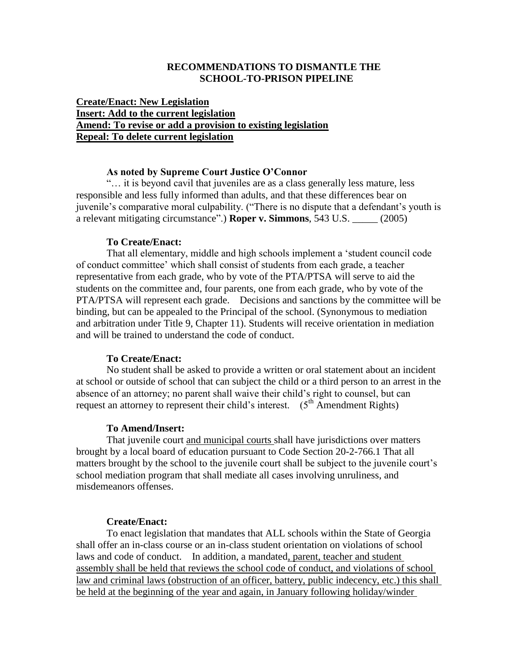#### **RECOMMENDATIONS TO DISMANTLE THE SCHOOL-TO-PRISON PIPELINE**

#### **Create/Enact: New Legislation Insert: Add to the current legislation Amend: To revise or add a provision to existing legislation Repeal: To delete current legislation**

#### **As noted by Supreme Court Justice O'Connor**

"… it is beyond cavil that juveniles are as a class generally less mature, less responsible and less fully informed than adults, and that these differences bear on juvenile's comparative moral culpability. ("There is no dispute that a defendant's youth is a relevant mitigating circumstance".) **Roper v. Simmons**, 543 U.S. \_\_\_\_\_ (2005)

#### **To Create/Enact:**

That all elementary, middle and high schools implement a "student council code of conduct committee" which shall consist of students from each grade, a teacher representative from each grade, who by vote of the PTA/PTSA will serve to aid the students on the committee and, four parents, one from each grade, who by vote of the PTA/PTSA will represent each grade. Decisions and sanctions by the committee will be binding, but can be appealed to the Principal of the school. (Synonymous to mediation and arbitration under Title 9, Chapter 11). Students will receive orientation in mediation and will be trained to understand the code of conduct.

#### **To Create/Enact:**

No student shall be asked to provide a written or oral statement about an incident at school or outside of school that can subject the child or a third person to an arrest in the absence of an attorney; no parent shall waive their child"s right to counsel, but can request an attorney to represent their child's interest.  $(5^{th}$  Amendment Rights)

#### **To Amend/Insert:**

That juvenile court and municipal courts shall have jurisdictions over matters brought by a local board of education pursuant to Code Section 20-2-766.1 That all matters brought by the school to the juvenile court shall be subject to the juvenile court's school mediation program that shall mediate all cases involving unruliness, and misdemeanors offenses.

#### **Create/Enact:**

To enact legislation that mandates that ALL schools within the State of Georgia shall offer an in-class course or an in-class student orientation on violations of school laws and code of conduct. In addition, a mandated, parent, teacher and student assembly shall be held that reviews the school code of conduct, and violations of school law and criminal laws (obstruction of an officer, battery, public indecency, etc.) this shall be held at the beginning of the year and again, in January following holiday/winder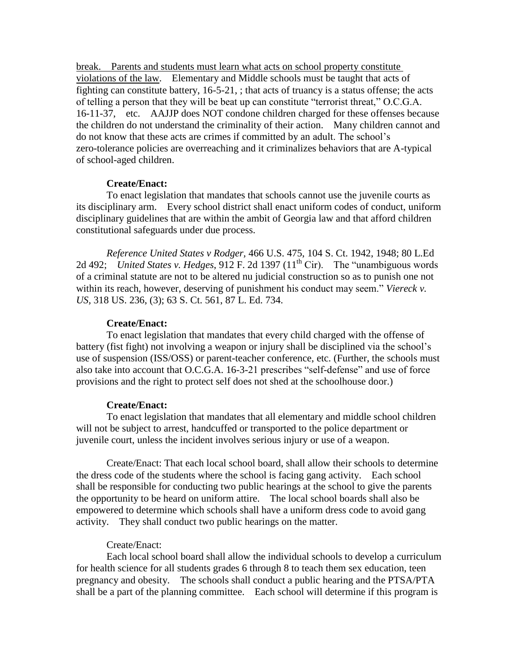break. Parents and students must learn what acts on school property constitute violations of the law. Elementary and Middle schools must be taught that acts of fighting can constitute battery, 16-5-21, ; that acts of truancy is a status offense; the acts of telling a person that they will be beat up can constitute "terrorist threat," O.C.G.A. 16-11-37, etc. AAJJP does NOT condone children charged for these offenses because the children do not understand the criminality of their action. Many children cannot and do not know that these acts are crimes if committed by an adult. The school"s zero-tolerance policies are overreaching and it criminalizes behaviors that are A-typical of school-aged children.

#### **Create/Enact:**

To enact legislation that mandates that schools cannot use the juvenile courts as its disciplinary arm. Every school district shall enact uniform codes of conduct, uniform disciplinary guidelines that are within the ambit of Georgia law and that afford children constitutional safeguards under due process.

*Reference United States v Rodger,* 466 U.S. 475, 104 S. Ct. 1942, 1948; 80 L.Ed 2d 492; *United States v. Hedges*, 912 F. 2d 1397  $(11<sup>th</sup> Cir)$ . The "unambiguous words of a criminal statute are not to be altered nu judicial construction so as to punish one not within its reach, however, deserving of punishment his conduct may seem." *Viereck v. US,* 318 US. 236, (3); 63 S. Ct. 561, 87 L. Ed. 734.

#### **Create/Enact:**

To enact legislation that mandates that every child charged with the offense of battery (fist fight) not involving a weapon or injury shall be disciplined via the school's use of suspension (ISS/OSS) or parent-teacher conference, etc. (Further, the schools must also take into account that O.C.G.A. 16-3-21 prescribes "self-defense" and use of force provisions and the right to protect self does not shed at the schoolhouse door.)

#### **Create/Enact:**

To enact legislation that mandates that all elementary and middle school children will not be subject to arrest, handcuffed or transported to the police department or juvenile court, unless the incident involves serious injury or use of a weapon.

Create/Enact: That each local school board, shall allow their schools to determine the dress code of the students where the school is facing gang activity. Each school shall be responsible for conducting two public hearings at the school to give the parents the opportunity to be heard on uniform attire. The local school boards shall also be empowered to determine which schools shall have a uniform dress code to avoid gang activity. They shall conduct two public hearings on the matter.

#### Create/Enact:

Each local school board shall allow the individual schools to develop a curriculum for health science for all students grades 6 through 8 to teach them sex education, teen pregnancy and obesity. The schools shall conduct a public hearing and the PTSA/PTA shall be a part of the planning committee. Each school will determine if this program is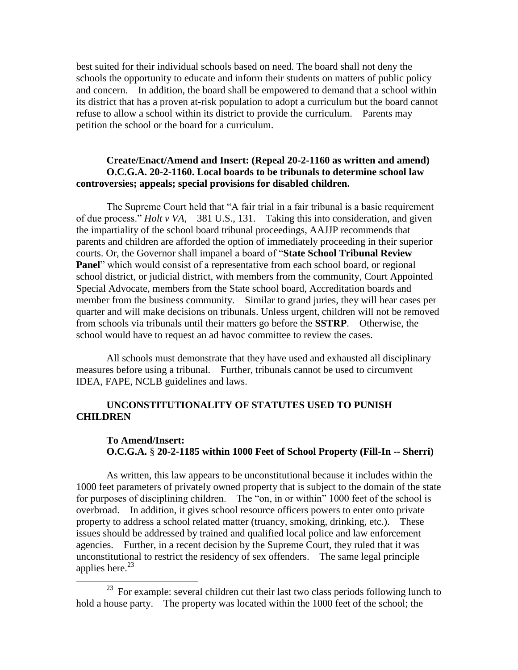best suited for their individual schools based on need. The board shall not deny the schools the opportunity to educate and inform their students on matters of public policy and concern. In addition, the board shall be empowered to demand that a school within its district that has a proven at-risk population to adopt a curriculum but the board cannot refuse to allow a school within its district to provide the curriculum. Parents may petition the school or the board for a curriculum.

#### **Create/Enact/Amend and Insert: (Repeal 20-2-1160 as written and amend) O.C.G.A. 20-2-1160. Local boards to be tribunals to determine school law controversies; appeals; special provisions for disabled children.**

The Supreme Court held that "A fair trial in a fair tribunal is a basic requirement of due process." *Holt v VA*, 381 U.S., 131. Taking this into consideration, and given the impartiality of the school board tribunal proceedings, AAJJP recommends that parents and children are afforded the option of immediately proceeding in their superior courts. Or, the Governor shall impanel a board of "**State School Tribunal Review Panel**" which would consist of a representative from each school board, or regional school district, or judicial district, with members from the community, Court Appointed Special Advocate, members from the State school board, Accreditation boards and member from the business community. Similar to grand juries, they will hear cases per quarter and will make decisions on tribunals. Unless urgent, children will not be removed from schools via tribunals until their matters go before the **SSTRP**. Otherwise, the school would have to request an ad havoc committee to review the cases.

All schools must demonstrate that they have used and exhausted all disciplinary measures before using a tribunal. Further, tribunals cannot be used to circumvent IDEA, FAPE, NCLB guidelines and laws.

#### **UNCONSTITUTIONALITY OF STATUTES USED TO PUNISH CHILDREN**

#### **To Amend/Insert: O.C.G.A.** § **20-2-1185 within 1000 Feet of School Property (Fill-In -- Sherri)**

As written, this law appears to be unconstitutional because it includes within the 1000 feet parameters of privately owned property that is subject to the domain of the state for purposes of disciplining children. The "on, in or within" 1000 feet of the school is overbroad. In addition, it gives school resource officers powers to enter onto private property to address a school related matter (truancy, smoking, drinking, etc.). These issues should be addressed by trained and qualified local police and law enforcement agencies. Further, in a recent decision by the Supreme Court, they ruled that it was unconstitutional to restrict the residency of sex offenders. The same legal principle applies here. $^{23}$ 

 $\overline{\phantom{a}}$ 

<sup>&</sup>lt;sup>23</sup> For example: several children cut their last two class periods following lunch to hold a house party. The property was located within the 1000 feet of the school; the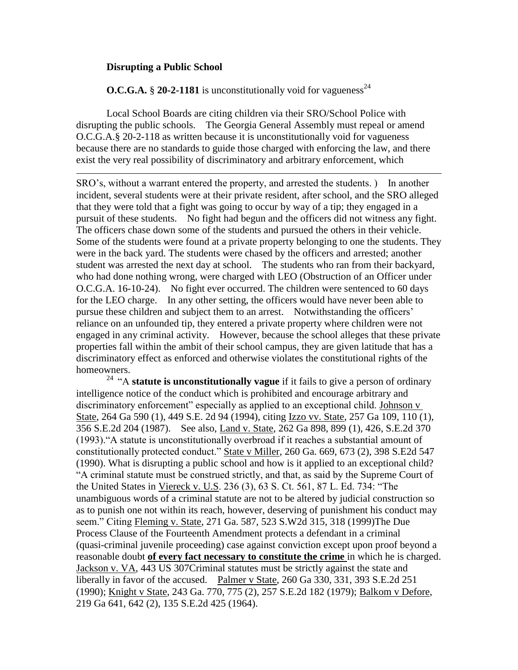#### **Disrupting a Public School**

 $\overline{\phantom{a}}$ 

**O.C.G.A.**  $\S$  **20-2-1181** is unconstitutionally void for vagueness<sup>24</sup>

Local School Boards are citing children via their SRO/School Police with disrupting the public schools. The Georgia General Assembly must repeal or amend O.C.G.A.§ 20-2-118 as written because it is unconstitutionally void for vagueness because there are no standards to guide those charged with enforcing the law, and there exist the very real possibility of discriminatory and arbitrary enforcement, which

SRO"s, without a warrant entered the property, and arrested the students. ) In another incident, several students were at their private resident, after school, and the SRO alleged that they were told that a fight was going to occur by way of a tip; they engaged in a pursuit of these students. No fight had begun and the officers did not witness any fight. The officers chase down some of the students and pursued the others in their vehicle. Some of the students were found at a private property belonging to one the students. They were in the back yard. The students were chased by the officers and arrested; another student was arrested the next day at school. The students who ran from their backyard, who had done nothing wrong, were charged with LEO (Obstruction of an Officer under O.C.G.A. 16-10-24). No fight ever occurred. The children were sentenced to 60 days for the LEO charge. In any other setting, the officers would have never been able to pursue these children and subject them to an arrest. Notwithstanding the officers' reliance on an unfounded tip, they entered a private property where children were not engaged in any criminal activity. However, because the school alleges that these private properties fall within the ambit of their school campus, they are given latitude that has a discriminatory effect as enforced and otherwise violates the constitutional rights of the homeowners.

<sup>24</sup> "A **statute is unconstitutionally vague** if it fails to give a person of ordinary intelligence notice of the conduct which is prohibited and encourage arbitrary and discriminatory enforcement" especially as applied to an exceptional child. Johnson v State, 264 Ga 590 (1), 449 S.E. 2d 94 (1994), citing Izzo vv. State, 257 Ga 109, 110 (1), 356 S.E.2d 204 (1987). See also, Land v. State, 262 Ga 898, 899 (1), 426, S.E.2d 370 (1993)."A statute is unconstitutionally overbroad if it reaches a substantial amount of constitutionally protected conduct." State v Miller, 260 Ga. 669, 673 (2), 398 S.E2d 547 (1990). What is disrupting a public school and how is it applied to an exceptional child? "A criminal statute must be construed strictly, and that, as said by the Supreme Court of the United States in Viereck v. U.S. 236 (3), 63 S. Ct. 561, 87 L. Ed. 734: "The unambiguous words of a criminal statute are not to be altered by judicial construction so as to punish one not within its reach, however, deserving of punishment his conduct may seem." Citing Fleming v. State, 271 Ga. 587, 523 S.W2d 315, 318 (1999)The Due Process Clause of the Fourteenth Amendment protects a defendant in a criminal (quasi-criminal juvenile proceeding) case against conviction except upon proof beyond a reasonable doubt **of every fact necessary to constitute the crime** in which he is charged. Jackson v. VA, 443 US 307Criminal statutes must be strictly against the state and liberally in favor of the accused. Palmer v State, 260 Ga 330, 331, 393 S.E.2d 251 (1990); Knight v State, 243 Ga. 770, 775 (2), 257 S.E.2d 182 (1979); Balkom v Defore, 219 Ga 641, 642 (2), 135 S.E.2d 425 (1964).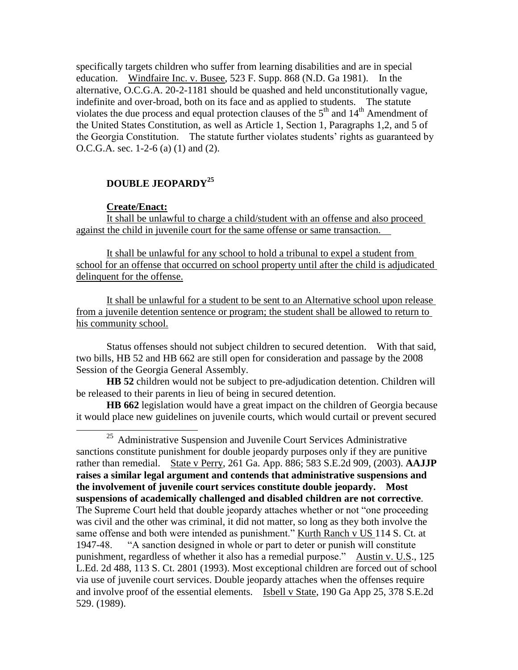specifically targets children who suffer from learning disabilities and are in special education. Windfaire Inc. v. Busee, 523 F. Supp. 868 (N.D. Ga 1981). In the alternative, O.C.G.A. 20-2-1181 should be quashed and held unconstitutionally vague, indefinite and over-broad, both on its face and as applied to students. The statute violates the due process and equal protection clauses of the  $5<sup>th</sup>$  and  $14<sup>th</sup>$  Amendment of the United States Constitution, as well as Article 1, Section 1, Paragraphs 1,2, and 5 of the Georgia Constitution. The statute further violates students" rights as guaranteed by O.C.G.A. sec. 1-2-6 (a) (1) and (2).

## **DOUBLE JEOPARDY<sup>25</sup>**

#### **Create/Enact:**

 $\overline{\phantom{a}}$ 

It shall be unlawful to charge a child/student with an offense and also proceed against the child in juvenile court for the same offense or same transaction.

It shall be unlawful for any school to hold a tribunal to expel a student from school for an offense that occurred on school property until after the child is adjudicated delinquent for the offense.

It shall be unlawful for a student to be sent to an Alternative school upon release from a juvenile detention sentence or program; the student shall be allowed to return to his community school.

Status offenses should not subject children to secured detention. With that said, two bills, HB 52 and HB 662 are still open for consideration and passage by the 2008 Session of the Georgia General Assembly.

**HB 52** children would not be subject to pre-adjudication detention. Children will be released to their parents in lieu of being in secured detention.

**HB 662** legislation would have a great impact on the children of Georgia because it would place new guidelines on juvenile courts, which would curtail or prevent secured

<sup>&</sup>lt;sup>25</sup> Administrative Suspension and Juvenile Court Services Administrative sanctions constitute punishment for double jeopardy purposes only if they are punitive rather than remedial. State v Perry, 261 Ga. App. 886; 583 S.E.2d 909, (2003). **AAJJP raises a similar legal argument and contends that administrative suspensions and the involvement of juvenile court services constitute double jeopardy. Most suspensions of academically challenged and disabled children are not corrective**. The Supreme Court held that double jeopardy attaches whether or not "one proceeding was civil and the other was criminal, it did not matter, so long as they both involve the same offense and both were intended as punishment." Kurth Ranch v US 114 S. Ct. at 1947-48. "A sanction designed in whole or part to deter or punish will constitute punishment, regardless of whether it also has a remedial purpose." Austin v. U.S., 125 L.Ed. 2d 488, 113 S. Ct. 2801 (1993). Most exceptional children are forced out of school via use of juvenile court services. Double jeopardy attaches when the offenses require and involve proof of the essential elements. Isbell v State, 190 Ga App 25, 378 S.E.2d 529. (1989).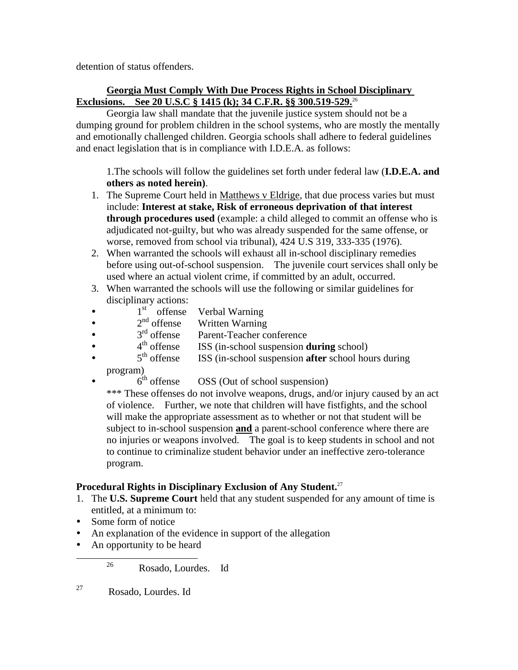detention of status offenders.

## **Georgia Must Comply With Due Process Rights in School Disciplinary Exclusions. See 20 U.S.C § 1415 (k); 34 C.F.R. §§ 300.519-529.**<sup>26</sup>

Georgia law shall mandate that the juvenile justice system should not be a dumping ground for problem children in the school systems, who are mostly the mentally and emotionally challenged children. Georgia schools shall adhere to federal guidelines and enact legislation that is in compliance with I.D.E.A. as follows:

1.The schools will follow the guidelines set forth under federal law (**I.D.E.A. and others as noted herein)**.

- 1. The Supreme Court held in Matthews v Eldrige, that due process varies but must include: **Interest at stake, Risk of erroneous deprivation of that interest through procedures used** (example: a child alleged to commit an offense who is adjudicated not-guilty, but who was already suspended for the same offense, or worse, removed from school via tribunal), 424 U.S 319, 333-335 (1976).
- 2. When warranted the schools will exhaust all in-school disciplinary remedies before using out-of-school suspension. The juvenile court services shall only be used where an actual violent crime, if committed by an adult, occurred.
- 3. When warranted the schools will use the following or similar guidelines for disciplinary actions:
- $\bullet$   $1^{st}$  offense Verbal Warning
- $\bullet$   $2^{\text{nd}}$  offense Written Warning
- $\bullet$   $3^{\text{rd}}$  offense Parent-Teacher conference
- 4<sup>th</sup> offense ISS (in-school suspension **during** school)
- 5<sup>th</sup> offense ISS (in-school suspension **after** school hours during
	- program)
- $6<sup>th</sup>$  offense OSS (Out of school suspension)

\*\*\* These offenses do not involve weapons, drugs, and/or injury caused by an act of violence. Further, we note that children will have fistfights, and the school will make the appropriate assessment as to whether or not that student will be subject to in-school suspension **and** a parent-school conference where there are no injuries or weapons involved. The goal is to keep students in school and not to continue to criminalize student behavior under an ineffective zero-tolerance program.

## **Procedural Rights in Disciplinary Exclusion of Any Student.**<sup>27</sup>

- 1. The **U.S. Supreme Court** held that any student suspended for any amount of time is entitled, at a minimum to:
- Some form of notice

l

- An explanation of the evidence in support of the allegation
- An opportunity to be heard

26 Rosado, Lourdes. Id

27 Rosado, Lourdes. Id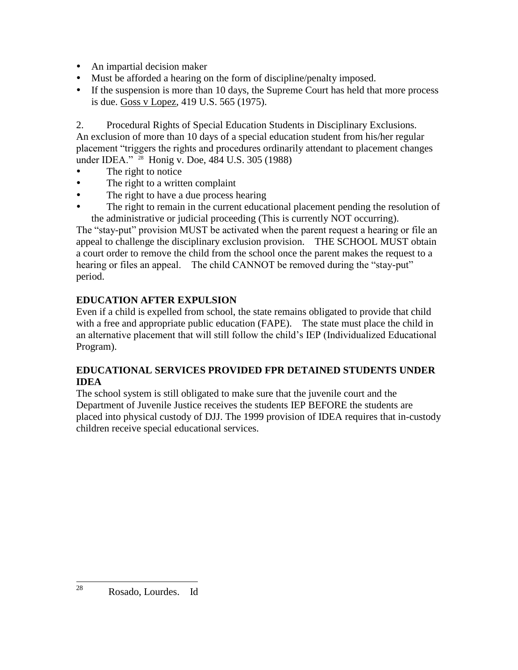- An impartial decision maker
- Must be afforded a hearing on the form of discipline/penalty imposed.
- If the suspension is more than 10 days, the Supreme Court has held that more process is due. Goss v Lopez, 419 U.S. 565 (1975).

2. Procedural Rights of Special Education Students in Disciplinary Exclusions. An exclusion of more than 10 days of a special education student from his/her regular placement "triggers the rights and procedures ordinarily attendant to placement changes under IDEA." <sup>28</sup> Honig v. Doe, 484 U.S. 305 (1988)

- The right to notice
- The right to a written complaint
- The right to have a due process hearing
- The right to remain in the current educational placement pending the resolution of the administrative or judicial proceeding (This is currently NOT occurring).

The "stay-put" provision MUST be activated when the parent request a hearing or file an appeal to challenge the disciplinary exclusion provision. THE SCHOOL MUST obtain a court order to remove the child from the school once the parent makes the request to a hearing or files an appeal. The child CANNOT be removed during the "stay-put" period.

## **EDUCATION AFTER EXPULSION**

Even if a child is expelled from school, the state remains obligated to provide that child with a free and appropriate public education (FAPE). The state must place the child in an alternative placement that will still follow the child"s IEP (Individualized Educational Program).

## **EDUCATIONAL SERVICES PROVIDED FPR DETAINED STUDENTS UNDER IDEA**

The school system is still obligated to make sure that the juvenile court and the Department of Juvenile Justice receives the students IEP BEFORE the students are placed into physical custody of DJJ. The 1999 provision of IDEA requires that in-custody children receive special educational services.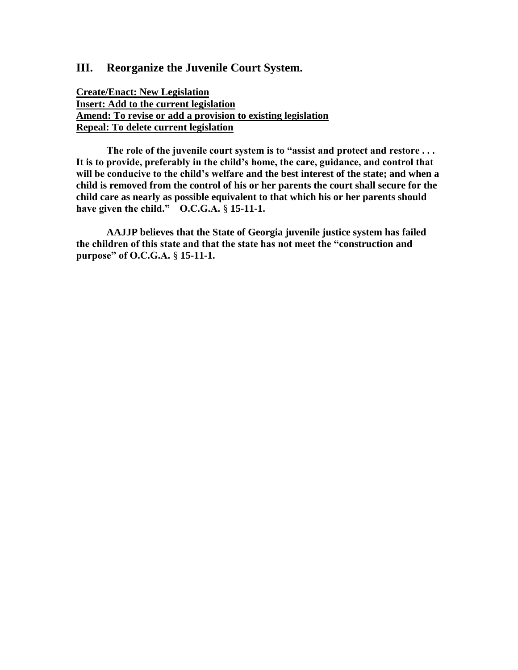## **III. Reorganize the Juvenile Court System.**

**Create/Enact: New Legislation Insert: Add to the current legislation Amend: To revise or add a provision to existing legislation Repeal: To delete current legislation**

**The role of the juvenile court system is to "assist and protect and restore . . . It is to provide, preferably in the child's home, the care, guidance, and control that will be conducive to the child's welfare and the best interest of the state; and when a child is removed from the control of his or her parents the court shall secure for the child care as nearly as possible equivalent to that which his or her parents should have given the child." O.C.G.A.** § **15-11-1.**

**AAJJP believes that the State of Georgia juvenile justice system has failed the children of this state and that the state has not meet the "construction and purpose" of O.C.G.A.** § **15-11-1.**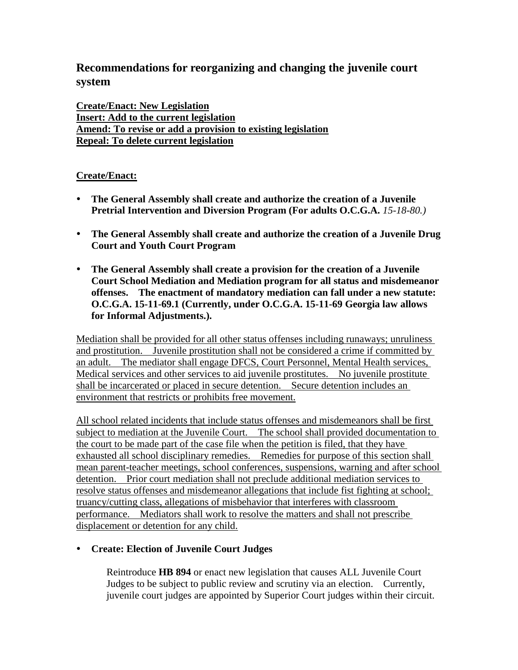## **Recommendations for reorganizing and changing the juvenile court system**

**Create/Enact: New Legislation Insert: Add to the current legislation Amend: To revise or add a provision to existing legislation Repeal: To delete current legislation**

## **Create/Enact:**

- **The General Assembly shall create and authorize the creation of a Juvenile Pretrial Intervention and Diversion Program (For adults O.C.G.A.** *15-18-80.)*
- **The General Assembly shall create and authorize the creation of a Juvenile Drug Court and Youth Court Program**
- **The General Assembly shall create a provision for the creation of a Juvenile Court School Mediation and Mediation program for all status and misdemeanor offenses. The enactment of mandatory mediation can fall under a new statute: O.C.G.A. 15-11-69.1 (Currently, under O.C.G.A. 15-11-69 Georgia law allows for Informal Adjustments.).**

Mediation shall be provided for all other status offenses including runaways; unruliness and prostitution. Juvenile prostitution shall not be considered a crime if committed by an adult. The mediator shall engage DFCS, Court Personnel, Mental Health services, Medical services and other services to aid juvenile prostitutes. No juvenile prostitute shall be incarcerated or placed in secure detention. Secure detention includes an environment that restricts or prohibits free movement.

All school related incidents that include status offenses and misdemeanors shall be first subject to mediation at the Juvenile Court. The school shall provided documentation to the court to be made part of the case file when the petition is filed, that they have exhausted all school disciplinary remedies. Remedies for purpose of this section shall mean parent-teacher meetings, school conferences, suspensions, warning and after school detention. Prior court mediation shall not preclude additional mediation services to resolve status offenses and misdemeanor allegations that include fist fighting at school; truancy/cutting class, allegations of misbehavior that interferes with classroom performance. Mediators shall work to resolve the matters and shall not prescribe displacement or detention for any child.

## **Create: Election of Juvenile Court Judges**

Reintroduce **HB 894** or enact new legislation that causes ALL Juvenile Court Judges to be subject to public review and scrutiny via an election. Currently, juvenile court judges are appointed by Superior Court judges within their circuit.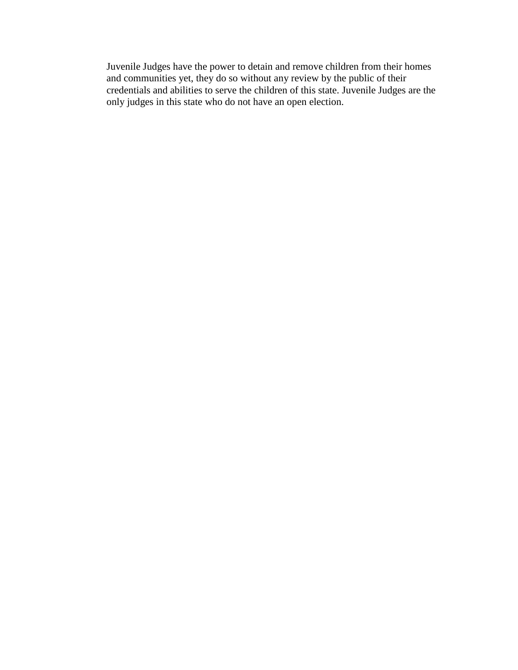Juvenile Judges have the power to detain and remove children from their homes and communities yet, they do so without any review by the public of their credentials and abilities to serve the children of this state. Juvenile Judges are the only judges in this state who do not have an open election.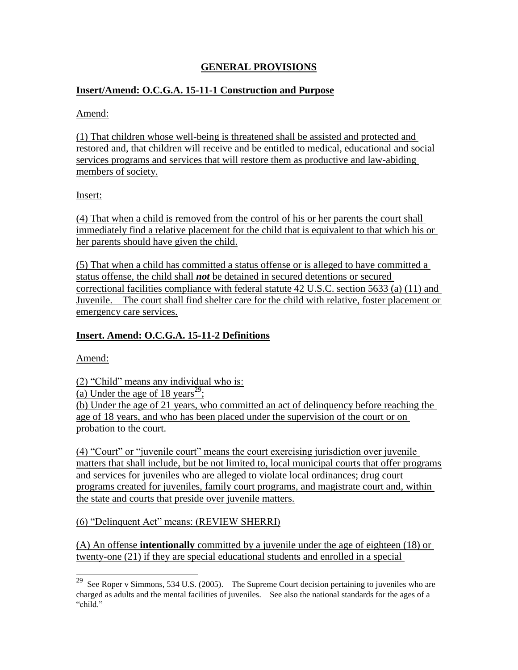## **GENERAL PROVISIONS**

## **Insert/Amend: O.C.G.A. 15-11-1 Construction and Purpose**

#### Amend:

(1) That children whose well-being is threatened shall be assisted and protected and restored and, that children will receive and be entitled to medical, educational and social services programs and services that will restore them as productive and law-abiding members of society.

#### Insert:

(4) That when a child is removed from the control of his or her parents the court shall immediately find a relative placement for the child that is equivalent to that which his or her parents should have given the child.

(5) That when a child has committed a status offense or is alleged to have committed a status offense, the child shall *not* be detained in secured detentions or secured correctional facilities compliance with federal statute 42 U.S.C. section 5633 (a) (11) and Juvenile. The court shall find shelter care for the child with relative, foster placement or emergency care services.

#### **Insert. Amend: O.C.G.A. 15-11-2 Definitions**

Amend:

l

(2) "Child" means any individual who is:

(a) Under the age of  $18 \text{ years}^{29}$ ;

(b) Under the age of 21 years, who committed an act of delinquency before reaching the age of 18 years, and who has been placed under the supervision of the court or on probation to the court.

(4) "Court" or "juvenile court" means the court exercising jurisdiction over juvenile matters that shall include, but be not limited to, local municipal courts that offer programs and services for juveniles who are alleged to violate local ordinances; drug court programs created for juveniles, family court programs, and magistrate court and, within the state and courts that preside over juvenile matters.

(6) "Delinquent Act" means: (REVIEW SHERRI)

(A) An offense **intentionally** committed by a juvenile under the age of eighteen (18) or twenty-one (21) if they are special educational students and enrolled in a special

<sup>&</sup>lt;sup>29</sup> See Roper v Simmons, 534 U.S. (2005). The Supreme Court decision pertaining to juveniles who are charged as adults and the mental facilities of juveniles. See also the national standards for the ages of a "child."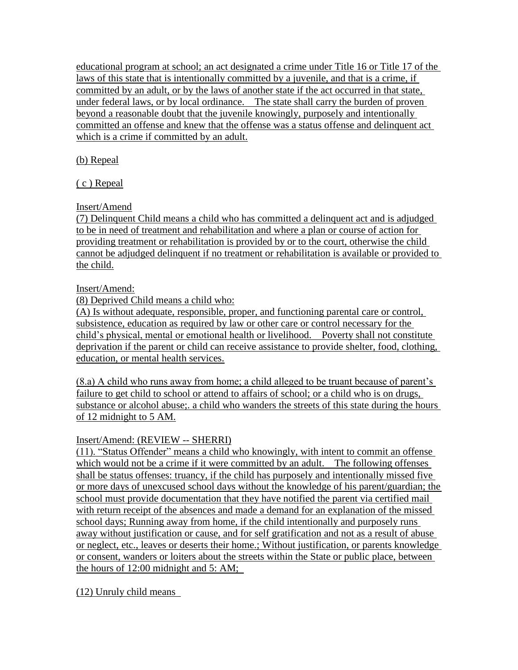educational program at school; an act designated a crime under Title 16 or Title 17 of the laws of this state that is intentionally committed by a juvenile, and that is a crime, if committed by an adult, or by the laws of another state if the act occurred in that state, under federal laws, or by local ordinance. The state shall carry the burden of proven beyond a reasonable doubt that the juvenile knowingly, purposely and intentionally committed an offense and knew that the offense was a status offense and delinquent act which is a crime if committed by an adult.

(b) Repeal

( c ) Repeal

Insert/Amend

(7) Delinquent Child means a child who has committed a delinquent act and is adjudged to be in need of treatment and rehabilitation and where a plan or course of action for providing treatment or rehabilitation is provided by or to the court, otherwise the child cannot be adjudged delinquent if no treatment or rehabilitation is available or provided to the child.

## Insert/Amend:

(8) Deprived Child means a child who:

(A) Is without adequate, responsible, proper, and functioning parental care or control, subsistence, education as required by law or other care or control necessary for the child"s physical, mental or emotional health or livelihood. Poverty shall not constitute deprivation if the parent or child can receive assistance to provide shelter, food, clothing, education, or mental health services.

(8.a) A child who runs away from home; a child alleged to be truant because of parent"s failure to get child to school or attend to affairs of school; or a child who is on drugs, substance or alcohol abuse;. a child who wanders the streets of this state during the hours of 12 midnight to 5 AM.

## Insert/Amend: (REVIEW -- SHERRI)

(11). "Status Offender" means a child who knowingly, with intent to commit an offense which would not be a crime if it were committed by an adult. The following offenses shall be status offenses: truancy, if the child has purposely and intentionally missed five or more days of unexcused school days without the knowledge of his parent/guardian; the school must provide documentation that they have notified the parent via certified mail with return receipt of the absences and made a demand for an explanation of the missed school days; Running away from home, if the child intentionally and purposely runs away without justification or cause, and for self gratification and not as a result of abuse or neglect, etc., leaves or deserts their home.; Without justification, or parents knowledge or consent, wanders or loiters about the streets within the State or public place, between the hours of 12:00 midnight and 5: AM;

(12) Unruly child means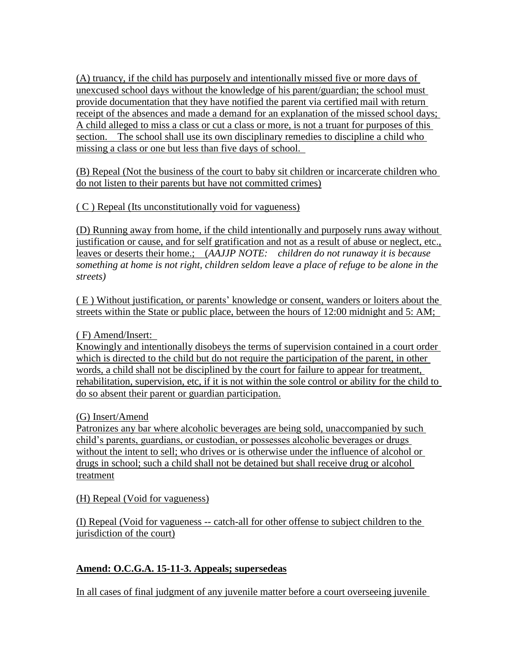(A) truancy, if the child has purposely and intentionally missed five or more days of unexcused school days without the knowledge of his parent/guardian; the school must provide documentation that they have notified the parent via certified mail with return receipt of the absences and made a demand for an explanation of the missed school days; A child alleged to miss a class or cut a class or more, is not a truant for purposes of this section. The school shall use its own disciplinary remedies to discipline a child who missing a class or one but less than five days of school.

(B) Repeal (Not the business of the court to baby sit children or incarcerate children who do not listen to their parents but have not committed crimes)

( C ) Repeal (Its unconstitutionally void for vagueness)

(D) Running away from home, if the child intentionally and purposely runs away without justification or cause, and for self gratification and not as a result of abuse or neglect, etc., leaves or deserts their home.; (*AAJJP NOTE: children do not runaway it is because something at home is not right, children seldom leave a place of refuge to be alone in the streets)*

( E ) Without justification, or parents" knowledge or consent, wanders or loiters about the streets within the State or public place, between the hours of 12:00 midnight and 5: AM;

( F) Amend/Insert:

Knowingly and intentionally disobeys the terms of supervision contained in a court order which is directed to the child but do not require the participation of the parent, in other words, a child shall not be disciplined by the court for failure to appear for treatment, rehabilitation, supervision, etc, if it is not within the sole control or ability for the child to do so absent their parent or guardian participation.

(G) Insert/Amend

Patronizes any bar where alcoholic beverages are being sold, unaccompanied by such child"s parents, guardians, or custodian, or possesses alcoholic beverages or drugs without the intent to sell; who drives or is otherwise under the influence of alcohol or drugs in school; such a child shall not be detained but shall receive drug or alcohol treatment

(H) Repeal (Void for vagueness)

(I) Repeal (Void for vagueness -- catch-all for other offense to subject children to the jurisdiction of the court)

## **Amend: O.C.G.A. 15-11-3. Appeals; supersedeas**

In all cases of final judgment of any juvenile matter before a court overseeing juvenile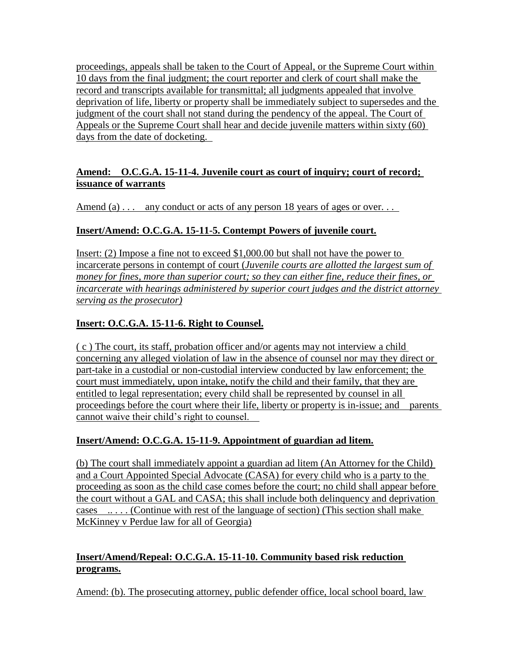proceedings, appeals shall be taken to the Court of Appeal, or the Supreme Court within 10 days from the final judgment; the court reporter and clerk of court shall make the record and transcripts available for transmittal; all judgments appealed that involve deprivation of life, liberty or property shall be immediately subject to supersedes and the judgment of the court shall not stand during the pendency of the appeal. The Court of Appeals or the Supreme Court shall hear and decide juvenile matters within sixty (60) days from the date of docketing.

## **Amend: O.C.G.A. 15-11-4. Juvenile court as court of inquiry; court of record; issuance of warrants**

Amend (a)  $\ldots$  any conduct or acts of any person 18 years of ages or over...

## **Insert/Amend: O.C.G.A. 15-11-5. Contempt Powers of juvenile court.**

Insert: (2) Impose a fine not to exceed \$1,000.00 but shall not have the power to incarcerate persons in contempt of court (*Juvenile courts are allotted the largest sum of money for fines, more than superior court; so they can either fine, reduce their fines, or incarcerate with hearings administered by superior court judges and the district attorney serving as the prosecutor)*

## **Insert: O.C.G.A. 15-11-6. Right to Counsel.**

( c ) The court, its staff, probation officer and/or agents may not interview a child concerning any alleged violation of law in the absence of counsel nor may they direct or part-take in a custodial or non-custodial interview conducted by law enforcement; the court must immediately, upon intake, notify the child and their family, that they are entitled to legal representation; every child shall be represented by counsel in all proceedings before the court where their life, liberty or property is in-issue; and parents cannot waive their child"s right to counsel.

## **Insert/Amend: O.C.G.A. 15-11-9. Appointment of guardian ad litem.**

(b) The court shall immediately appoint a guardian ad litem (An Attorney for the Child) and a Court Appointed Special Advocate (CASA) for every child who is a party to the proceeding as soon as the child case comes before the court; no child shall appear before the court without a GAL and CASA; this shall include both delinquency and deprivation cases  $\dots$  (Continue with rest of the language of section) (This section shall make McKinney v Perdue law for all of Georgia)

## **Insert/Amend/Repeal: O.C.G.A. 15-11-10. Community based risk reduction programs.**

Amend: (b). The prosecuting attorney, public defender office, local school board, law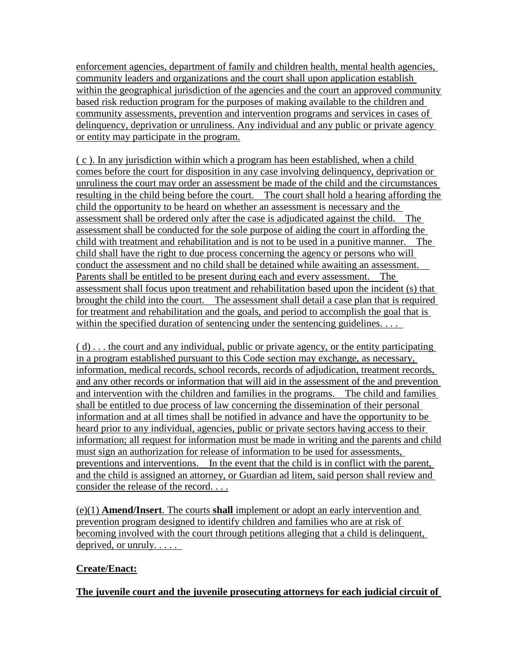enforcement agencies, department of family and children health, mental health agencies, community leaders and organizations and the court shall upon application establish within the geographical jurisdiction of the agencies and the court an approved community based risk reduction program for the purposes of making available to the children and community assessments, prevention and intervention programs and services in cases of delinquency, deprivation or unruliness. Any individual and any public or private agency or entity may participate in the program.

( c ). In any jurisdiction within which a program has been established, when a child comes before the court for disposition in any case involving delinquency, deprivation or unruliness the court may order an assessment be made of the child and the circumstances resulting in the child being before the court. The court shall hold a hearing affording the child the opportunity to be heard on whether an assessment is necessary and the assessment shall be ordered only after the case is adjudicated against the child. The assessment shall be conducted for the sole purpose of aiding the court in affording the child with treatment and rehabilitation and is not to be used in a punitive manner. The child shall have the right to due process concerning the agency or persons who will conduct the assessment and no child shall be detained while awaiting an assessment. Parents shall be entitled to be present during each and every assessment. The assessment shall focus upon treatment and rehabilitation based upon the incident (s) that brought the child into the court. The assessment shall detail a case plan that is required for treatment and rehabilitation and the goals, and period to accomplish the goal that is within the specified duration of sentencing under the sentencing guidelines. . . .

( d) . . . the court and any individual, public or private agency, or the entity participating in a program established pursuant to this Code section may exchange, as necessary, information, medical records, school records, records of adjudication, treatment records, and any other records or information that will aid in the assessment of the and prevention and intervention with the children and families in the programs. The child and families shall be entitled to due process of law concerning the dissemination of their personal information and at all times shall be notified in advance and have the opportunity to be heard prior to any individual, agencies, public or private sectors having access to their information; all request for information must be made in writing and the parents and child must sign an authorization for release of information to be used for assessments, preventions and interventions. In the event that the child is in conflict with the parent, and the child is assigned an attorney, or Guardian ad litem, said person shall review and consider the release of the record. . . .

(e)(1) **Amend/Insert**. The courts **shall** implement or adopt an early intervention and prevention program designed to identify children and families who are at risk of becoming involved with the court through petitions alleging that a child is delinquent, deprived, or unruly. . . . .

## **Create/Enact:**

**The juvenile court and the juvenile prosecuting attorneys for each judicial circuit of**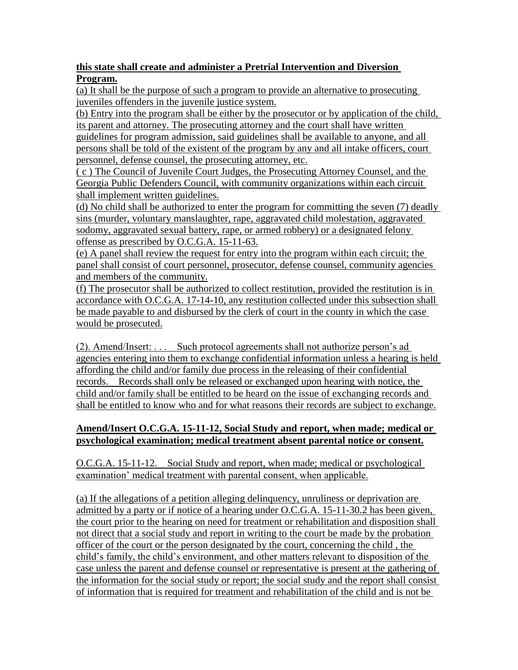### **this state shall create and administer a Pretrial Intervention and Diversion Program.**

(a) It shall be the purpose of such a program to provide an alternative to prosecuting juveniles offenders in the juvenile justice system.

(b) Entry into the program shall be either by the prosecutor or by application of the child, its parent and attorney. The prosecuting attorney and the court shall have written

guidelines for program admission, said guidelines shall be available to anyone, and all persons shall be told of the existent of the program by any and all intake officers, court personnel, defense counsel, the prosecuting attorney, etc.

( c ) The Council of Juvenile Court Judges, the Prosecuting Attorney Counsel, and the Georgia Public Defenders Council, with community organizations within each circuit shall implement written guidelines.

(d) No child shall be authorized to enter the program for committing the seven (7) deadly sins (murder, voluntary manslaughter, rape, aggravated child molestation, aggravated sodomy, aggravated sexual battery, rape, or armed robbery) or a designated felony offense as prescribed by O.C.G.A. 15-11-63.

(e) A panel shall review the request for entry into the program within each circuit; the panel shall consist of court personnel, prosecutor, defense counsel, community agencies and members of the community.

(f) The prosecutor shall be authorized to collect restitution, provided the restitution is in accordance with O.C.G.A. 17-14-10, any restitution collected under this subsection shall be made payable to and disbursed by the clerk of court in the county in which the case would be prosecuted.

(2). Amend/Insert: . . . Such protocol agreements shall not authorize person"s ad agencies entering into them to exchange confidential information unless a hearing is held affording the child and/or family due process in the releasing of their confidential records. Records shall only be released or exchanged upon hearing with notice, the child and/or family shall be entitled to be heard on the issue of exchanging records and shall be entitled to know who and for what reasons their records are subject to exchange.

## **Amend/Insert O.C.G.A. 15-11-12, Social Study and report, when made; medical or psychological examination; medical treatment absent parental notice or consent.**

O.C.G.A. 15-11-12. Social Study and report, when made; medical or psychological examination' medical treatment with parental consent, when applicable.

(a) If the allegations of a petition alleging delinquency, unruliness or deprivation are admitted by a party or if notice of a hearing under O.C.G.A. 15-11-30.2 has been given, the court prior to the hearing on need for treatment or rehabilitation and disposition shall not direct that a social study and report in writing to the court be made by the probation officer of the court or the person designated by the court, concerning the child , the child"s family, the child"s environment, and other matters relevant to disposition of the case unless the parent and defense counsel or representative is present at the gathering of the information for the social study or report; the social study and the report shall consist of information that is required for treatment and rehabilitation of the child and is not be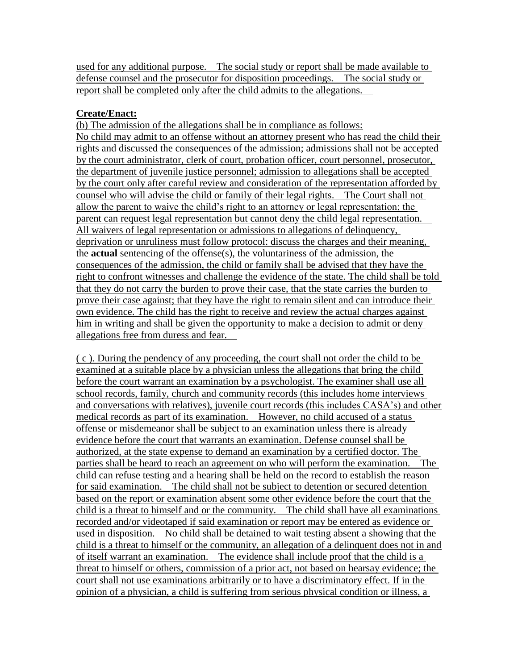used for any additional purpose. The social study or report shall be made available to defense counsel and the prosecutor for disposition proceedings. The social study or report shall be completed only after the child admits to the allegations.

### **Create/Enact:**

(b) The admission of the allegations shall be in compliance as follows: No child may admit to an offense without an attorney present who has read the child their rights and discussed the consequences of the admission; admissions shall not be accepted by the court administrator, clerk of court, probation officer, court personnel, prosecutor, the department of juvenile justice personnel; admission to allegations shall be accepted by the court only after careful review and consideration of the representation afforded by counsel who will advise the child or family of their legal rights. The Court shall not allow the parent to waive the child"s right to an attorney or legal representation; the parent can request legal representation but cannot deny the child legal representation. All waivers of legal representation or admissions to allegations of delinquency, deprivation or unruliness must follow protocol: discuss the charges and their meaning, the **actual** sentencing of the offense(s), the voluntariness of the admission, the consequences of the admission, the child or family shall be advised that they have the right to confront witnesses and challenge the evidence of the state. The child shall be told that they do not carry the burden to prove their case, that the state carries the burden to prove their case against; that they have the right to remain silent and can introduce their own evidence. The child has the right to receive and review the actual charges against him in writing and shall be given the opportunity to make a decision to admit or deny allegations free from duress and fear.

( c ). During the pendency of any proceeding, the court shall not order the child to be examined at a suitable place by a physician unless the allegations that bring the child before the court warrant an examination by a psychologist. The examiner shall use all school records, family, church and community records (this includes home interviews and conversations with relatives), juvenile court records (this includes CASA"s) and other medical records as part of its examination. However, no child accused of a status offense or misdemeanor shall be subject to an examination unless there is already evidence before the court that warrants an examination. Defense counsel shall be authorized, at the state expense to demand an examination by a certified doctor. The parties shall be heard to reach an agreement on who will perform the examination. The child can refuse testing and a hearing shall be held on the record to establish the reason for said examination. The child shall not be subject to detention or secured detention based on the report or examination absent some other evidence before the court that the child is a threat to himself and or the community. The child shall have all examinations recorded and/or videotaped if said examination or report may be entered as evidence or used in disposition. No child shall be detained to wait testing absent a showing that the child is a threat to himself or the community, an allegation of a delinquent does not in and of itself warrant an examination. The evidence shall include proof that the child is a threat to himself or others, commission of a prior act, not based on hearsay evidence; the court shall not use examinations arbitrarily or to have a discriminatory effect. If in the opinion of a physician, a child is suffering from serious physical condition or illness, a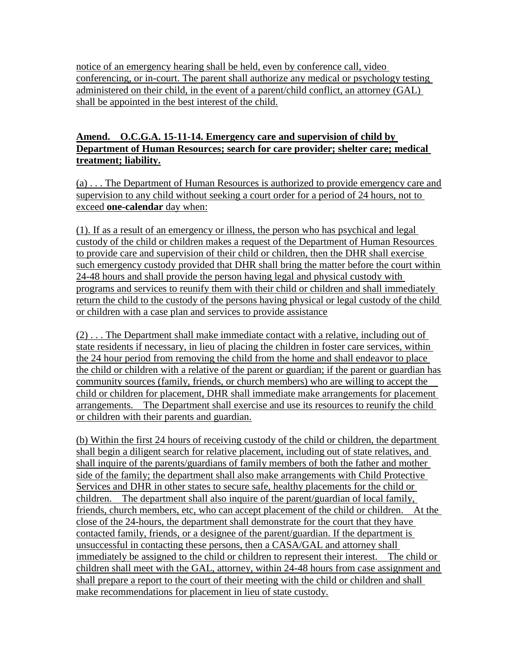notice of an emergency hearing shall be held, even by conference call, video conferencing, or in-court. The parent shall authorize any medical or psychology testing administered on their child, in the event of a parent/child conflict, an attorney (GAL) shall be appointed in the best interest of the child.

### **Amend. O.C.G.A. 15-11-14. Emergency care and supervision of child by Department of Human Resources; search for care provider; shelter care; medical treatment; liability.**

(a) . . . The Department of Human Resources is authorized to provide emergency care and supervision to any child without seeking a court order for a period of 24 hours, not to exceed **one-calendar** day when:

(1). If as a result of an emergency or illness, the person who has psychical and legal custody of the child or children makes a request of the Department of Human Resources to provide care and supervision of their child or children, then the DHR shall exercise such emergency custody provided that DHR shall bring the matter before the court within 24-48 hours and shall provide the person having legal and physical custody with programs and services to reunify them with their child or children and shall immediately return the child to the custody of the persons having physical or legal custody of the child or children with a case plan and services to provide assistance

(2) . . . The Department shall make immediate contact with a relative, including out of state residents if necessary, in lieu of placing the children in foster care services, within the 24 hour period from removing the child from the home and shall endeavor to place the child or children with a relative of the parent or guardian; if the parent or guardian has community sources (family, friends, or church members) who are willing to accept the child or children for placement, DHR shall immediate make arrangements for placement arrangements. The Department shall exercise and use its resources to reunify the child or children with their parents and guardian.

(b) Within the first 24 hours of receiving custody of the child or children, the department shall begin a diligent search for relative placement, including out of state relatives, and shall inquire of the parents/guardians of family members of both the father and mother side of the family; the department shall also make arrangements with Child Protective Services and DHR in other states to secure safe, healthy placements for the child or children. The department shall also inquire of the parent/guardian of local family, friends, church members, etc, who can accept placement of the child or children. At the close of the 24-hours, the department shall demonstrate for the court that they have contacted family, friends, or a designee of the parent/guardian. If the department is unsuccessful in contacting these persons, then a CASA/GAL and attorney shall immediately be assigned to the child or children to represent their interest. The child or children shall meet with the GAL, attorney, within 24-48 hours from case assignment and shall prepare a report to the court of their meeting with the child or children and shall make recommendations for placement in lieu of state custody.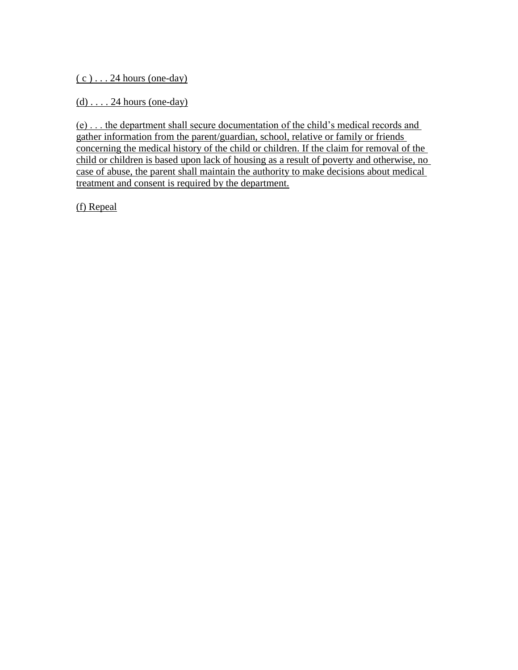$(c)$ ... 24 hours (one-day)

 $(d)$ .... 24 hours (one-day)

(e) . . . the department shall secure documentation of the child"s medical records and gather information from the parent/guardian, school, relative or family or friends concerning the medical history of the child or children. If the claim for removal of the child or children is based upon lack of housing as a result of poverty and otherwise, no case of abuse, the parent shall maintain the authority to make decisions about medical treatment and consent is required by the department.

(f) Repeal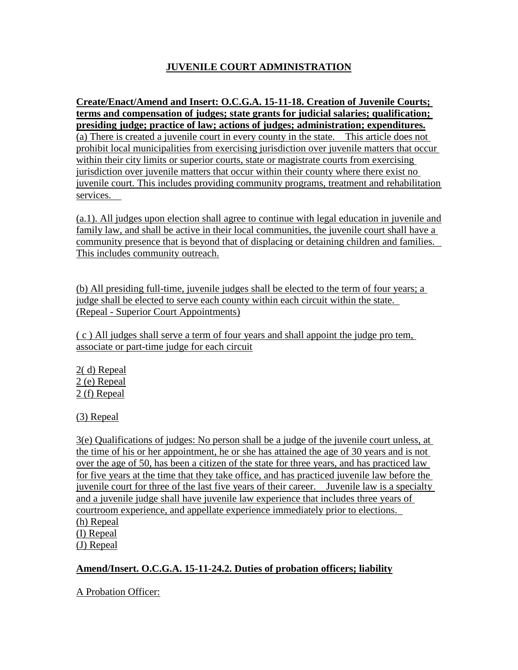# **JUVENILE COURT ADMINISTRATION**

**Create/Enact/Amend and Insert: O.C.G.A. 15-11-18. Creation of Juvenile Courts; terms and compensation of judges; state grants for judicial salaries; qualification; presiding judge; practice of law; actions of judges; administration; expenditures.** (a) There is created a juvenile court in every county in the state. This article does not prohibit local municipalities from exercising jurisdiction over juvenile matters that occur within their city limits or superior courts, state or magistrate courts from exercising jurisdiction over juvenile matters that occur within their county where there exist no juvenile court. This includes providing community programs, treatment and rehabilitation services.

(a.1). All judges upon election shall agree to continue with legal education in juvenile and family law, and shall be active in their local communities, the juvenile court shall have a community presence that is beyond that of displacing or detaining children and families. This includes community outreach.

(b) All presiding full-time, juvenile judges shall be elected to the term of four years; a judge shall be elected to serve each county within each circuit within the state. (Repeal - Superior Court Appointments)

( c ) All judges shall serve a term of four years and shall appoint the judge pro tem, associate or part-time judge for each circuit

2( d) Repeal 2 (e) Repeal 2 (f) Repeal

(3) Repeal

3(e) Qualifications of judges: No person shall be a judge of the juvenile court unless, at the time of his or her appointment, he or she has attained the age of 30 years and is not over the age of 50, has been a citizen of the state for three years, and has practiced law for five years at the time that they take office, and has practiced juvenile law before the juvenile court for three of the last five years of their career. Juvenile law is a specialty and a juvenile judge shall have juvenile law experience that includes three years of courtroom experience, and appellate experience immediately prior to elections. (h) Repeal (I) Repeal

(J) Repeal

## **Amend/Insert. O.C.G.A. 15-11-24.2. Duties of probation officers; liability**

#### A Probation Officer: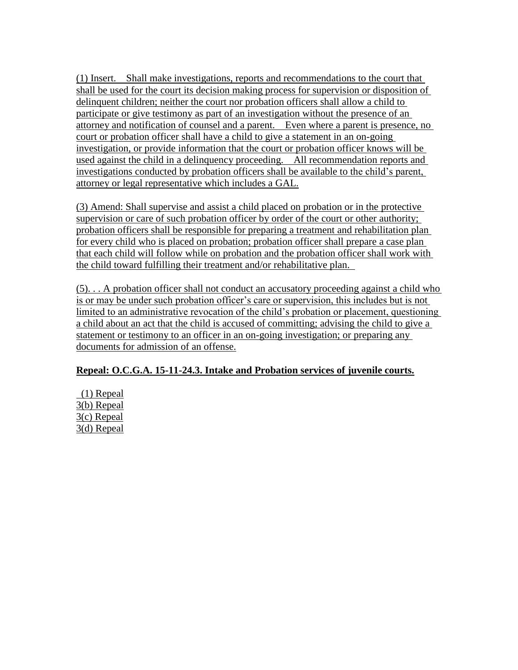(1) Insert. Shall make investigations, reports and recommendations to the court that shall be used for the court its decision making process for supervision or disposition of delinquent children; neither the court nor probation officers shall allow a child to participate or give testimony as part of an investigation without the presence of an attorney and notification of counsel and a parent. Even where a parent is presence, no court or probation officer shall have a child to give a statement in an on-going investigation, or provide information that the court or probation officer knows will be used against the child in a delinquency proceeding. All recommendation reports and investigations conducted by probation officers shall be available to the child"s parent, attorney or legal representative which includes a GAL.

(3) Amend: Shall supervise and assist a child placed on probation or in the protective supervision or care of such probation officer by order of the court or other authority; probation officers shall be responsible for preparing a treatment and rehabilitation plan for every child who is placed on probation; probation officer shall prepare a case plan that each child will follow while on probation and the probation officer shall work with the child toward fulfilling their treatment and/or rehabilitative plan.

(5). . . A probation officer shall not conduct an accusatory proceeding against a child who is or may be under such probation officer's care or supervision, this includes but is not limited to an administrative revocation of the child"s probation or placement, questioning a child about an act that the child is accused of committing; advising the child to give a statement or testimony to an officer in an on-going investigation; or preparing any documents for admission of an offense.

## **Repeal: O.C.G.A. 15-11-24.3. Intake and Probation services of juvenile courts.**

(1) Repeal 3(b) Repeal 3(c) Repeal 3(d) Repeal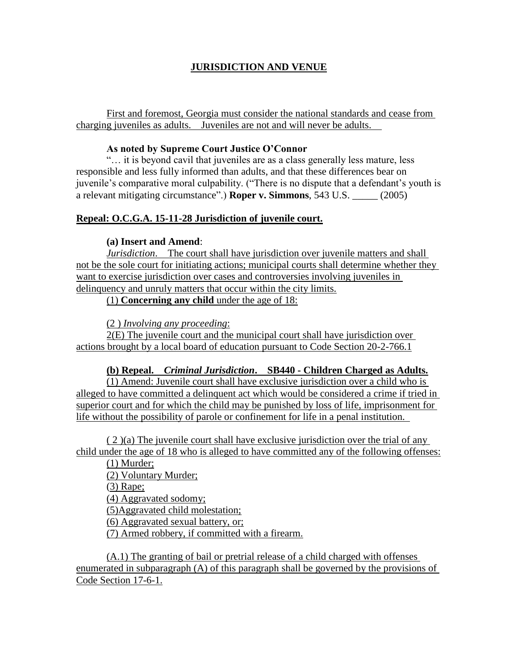### **JURISDICTION AND VENUE**

First and foremost, Georgia must consider the national standards and cease from charging juveniles as adults. Juveniles are not and will never be adults.

#### **As noted by Supreme Court Justice O'Connor**

"… it is beyond cavil that juveniles are as a class generally less mature, less responsible and less fully informed than adults, and that these differences bear on juvenile's comparative moral culpability. ("There is no dispute that a defendant's youth is a relevant mitigating circumstance".) **Roper v. Simmons**, 543 U.S. \_\_\_\_\_ (2005)

### **Repeal: O.C.G.A. 15-11-28 Jurisdiction of juvenile court.**

#### **(a) Insert and Amend**:

*Jurisdiction*. The court shall have jurisdiction over juvenile matters and shall not be the sole court for initiating actions; municipal courts shall determine whether they want to exercise jurisdiction over cases and controversies involving juveniles in delinquency and unruly matters that occur within the city limits.

(1) **Concerning any child** under the age of 18:

(2 ) *Involving any proceeding*:

2(E) The juvenile court and the municipal court shall have jurisdiction over actions brought by a local board of education pursuant to Code Section 20-2-766.1

#### **(b) Repeal.** *Criminal Jurisdiction***. SB440 - Children Charged as Adults.**

 $(1)$  Amend: Juvenile court shall have exclusive jurisdiction over a child who is alleged to have committed a delinquent act which would be considered a crime if tried in superior court and for which the child may be punished by loss of life, imprisonment for life without the possibility of parole or confinement for life in a penal institution.

( 2 )(a) The juvenile court shall have exclusive jurisdiction over the trial of any child under the age of 18 who is alleged to have committed any of the following offenses:

(1) Murder; (2) Voluntary Murder; (3) Rape; (4) Aggravated sodomy; (5)Aggravated child molestation; (6) Aggravated sexual battery, or;

(7) Armed robbery, if committed with a firearm.

(A.1) The granting of bail or pretrial release of a child charged with offenses enumerated in subparagraph (A) of this paragraph shall be governed by the provisions of Code Section 17-6-1.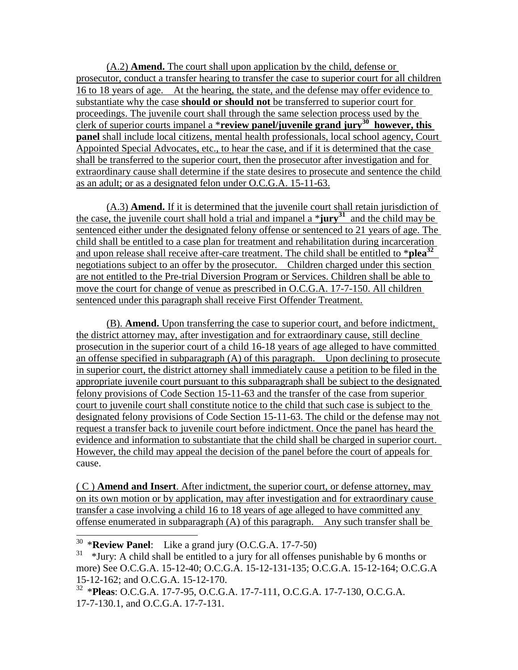(A.2) **Amend.** The court shall upon application by the child, defense or prosecutor, conduct a transfer hearing to transfer the case to superior court for all children 16 to 18 years of age. At the hearing, the state, and the defense may offer evidence to substantiate why the case **should or should not** be transferred to superior court for proceedings. The juvenile court shall through the same selection process used by the clerk of superior courts impanel a \***review panel/juvenile grand jury<sup>30</sup> however, this panel** shall include local citizens, mental health professionals, local school agency, Court Appointed Special Advocates, etc., to hear the case, and if it is determined that the case shall be transferred to the superior court, then the prosecutor after investigation and for extraordinary cause shall determine if the state desires to prosecute and sentence the child as an adult; or as a designated felon under O.C.G.A. 15-11-63.

(A.3) **Amend.** If it is determined that the juvenile court shall retain jurisdiction of the case, the juvenile court shall hold a trial and impanel a \***jury<sup>31</sup>** and the child may be sentenced either under the designated felony offense or sentenced to 21 years of age. The child shall be entitled to a case plan for treatment and rehabilitation during incarceration and upon release shall receive after-care treatment. The child shall be entitled to \***plea<sup>32</sup>** negotiations subject to an offer by the prosecutor. Children charged under this section are not entitled to the Pre-trial Diversion Program or Services. Children shall be able to move the court for change of venue as prescribed in O.C.G.A. 17-7-150. All children sentenced under this paragraph shall receive First Offender Treatment.

(B). **Amend.** Upon transferring the case to superior court, and before indictment, the district attorney may, after investigation and for extraordinary cause, still decline prosecution in the superior court of a child 16-18 years of age alleged to have committed an offense specified in subparagraph (A) of this paragraph. Upon declining to prosecute in superior court, the district attorney shall immediately cause a petition to be filed in the appropriate juvenile court pursuant to this subparagraph shall be subject to the designated felony provisions of Code Section 15-11-63 and the transfer of the case from superior court to juvenile court shall constitute notice to the child that such case is subject to the designated felony provisions of Code Section 15-11-63. The child or the defense may not request a transfer back to juvenile court before indictment. Once the panel has heard the evidence and information to substantiate that the child shall be charged in superior court. However, the child may appeal the decision of the panel before the court of appeals for cause.

( C ) **Amend and Insert**. After indictment, the superior court, or defense attorney, may on its own motion or by application, may after investigation and for extraordinary cause transfer a case involving a child 16 to 18 years of age alleged to have committed any offense enumerated in subparagraph (A) of this paragraph. Any such transfer shall be

 $\overline{\phantom{a}}$ 

<sup>30</sup> \***Review Panel**: Like a grand jury (O.C.G.A. 17-7-50)

<sup>31</sup> \*Jury: A child shall be entitled to a jury for all offenses punishable by 6 months or more) See O.C.G.A. 15-12-40; O.C.G.A. 15-12-131-135; O.C.G.A. 15-12-164; O.C.G.A 15-12-162; and O.C.G.A. 15-12-170.

<sup>32</sup> \***Pleas**: O.C.G.A. 17-7-95, O.C.G.A. 17-7-111, O.C.G.A. 17-7-130, O.C.G.A. 17-7-130.1, and O.C.G.A. 17-7-131.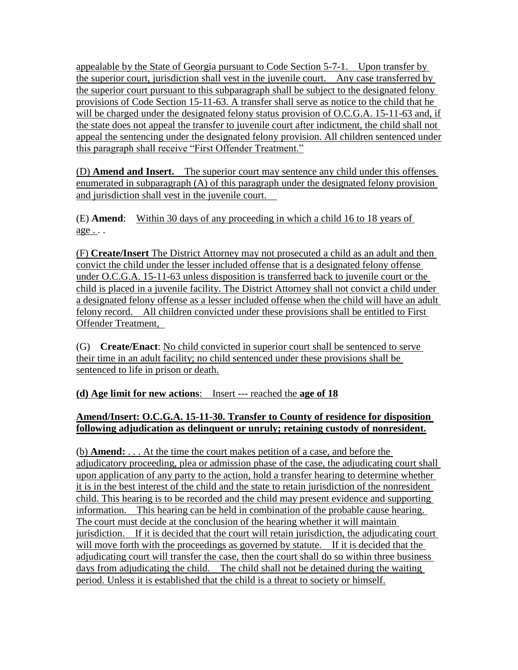appealable by the State of Georgia pursuant to Code Section 5-7-1. Upon transfer by the superior court, jurisdiction shall vest in the juvenile court. Any case transferred by the superior court pursuant to this subparagraph shall be subject to the designated felony provisions of Code Section 15-11-63. A transfer shall serve as notice to the child that he will be charged under the designated felony status provision of O.C.G.A. 15-11-63 and, if the state does not appeal the transfer to juvenile court after indictment, the child shall not appeal the sentencing under the designated felony provision. All children sentenced under this paragraph shall receive "First Offender Treatment."

(D) **Amend and Insert.** The superior court may sentence any child under this offenses enumerated in subparagraph (A) of this paragraph under the designated felony provision and jurisdiction shall vest in the juvenile court.

(E) **Amend**: Within 30 days of any proceeding in which a child 16 to 18 years of age . . .

(F) **Create/Insert** The District Attorney may not prosecuted a child as an adult and then convict the child under the lesser included offense that is a designated felony offense under O.C.G.A. 15-11-63 unless disposition is transferred back to juvenile court or the child is placed in a juvenile facility. The District Attorney shall not convict a child under a designated felony offense as a lesser included offense when the child will have an adult felony record. All children convicted under these provisions shall be entitled to First Offender Treatment,

(G) **Create/Enact**: No child convicted in superior court shall be sentenced to serve their time in an adult facility; no child sentenced under these provisions shall be sentenced to life in prison or death.

**(d) Age limit for new actions**: Insert --- reached the **age of 18**

## **Amend/Insert: O.C.G.A. 15-11-30. Transfer to County of residence for disposition following adjudication as delinquent or unruly; retaining custody of nonresident.**

(b) **Amend:** . . . At the time the court makes petition of a case, and before the adjudicatory proceeding, plea or admission phase of the case, the adjudicating court shall upon application of any party to the action, hold a transfer hearing to determine whether it is in the best interest of the child and the state to retain jurisdiction of the nonresident child. This hearing is to be recorded and the child may present evidence and supporting information. This hearing can be held in combination of the probable cause hearing. The court must decide at the conclusion of the hearing whether it will maintain jurisdiction. If it is decided that the court will retain jurisdiction, the adjudicating court will move forth with the proceedings as governed by statute. If it is decided that the adjudicating court will transfer the case, then the court shall do so within three business days from adjudicating the child. The child shall not be detained during the waiting period. Unless it is established that the child is a threat to society or himself.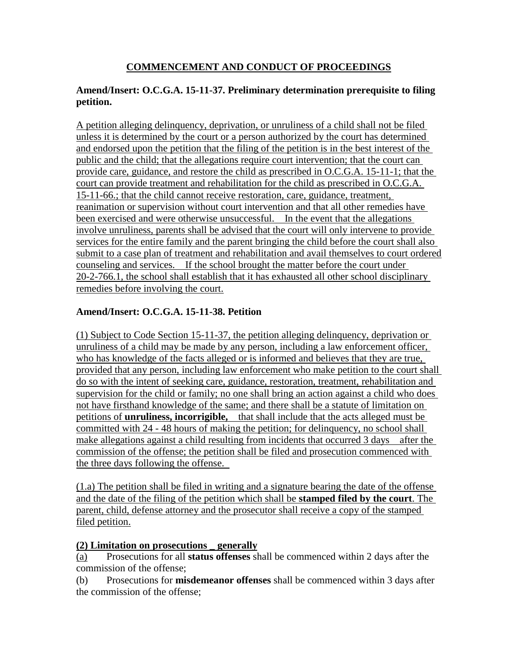## **COMMENCEMENT AND CONDUCT OF PROCEEDINGS**

#### **Amend/Insert: O.C.G.A. 15-11-37. Preliminary determination prerequisite to filing petition.**

A petition alleging delinquency, deprivation, or unruliness of a child shall not be filed unless it is determined by the court or a person authorized by the court has determined and endorsed upon the petition that the filing of the petition is in the best interest of the public and the child; that the allegations require court intervention; that the court can provide care, guidance, and restore the child as prescribed in O.C.G.A. 15-11-1; that the court can provide treatment and rehabilitation for the child as prescribed in O.C.G.A. 15-11-66.; that the child cannot receive restoration, care, guidance, treatment, reanimation or supervision without court intervention and that all other remedies have been exercised and were otherwise unsuccessful. In the event that the allegations involve unruliness, parents shall be advised that the court will only intervene to provide services for the entire family and the parent bringing the child before the court shall also submit to a case plan of treatment and rehabilitation and avail themselves to court ordered counseling and services. If the school brought the matter before the court under 20-2-766.1, the school shall establish that it has exhausted all other school disciplinary remedies before involving the court.

#### **Amend/Insert: O.C.G.A. 15-11-38. Petition**

(1) Subject to Code Section 15-11-37, the petition alleging delinquency, deprivation or unruliness of a child may be made by any person, including a law enforcement officer, who has knowledge of the facts alleged or is informed and believes that they are true, provided that any person, including law enforcement who make petition to the court shall do so with the intent of seeking care, guidance, restoration, treatment, rehabilitation and supervision for the child or family; no one shall bring an action against a child who does not have firsthand knowledge of the same; and there shall be a statute of limitation on petitions of **unruliness, incorrigible,** that shall include that the acts alleged must be committed with 24 - 48 hours of making the petition; for delinquency, no school shall make allegations against a child resulting from incidents that occurred 3 days after the commission of the offense; the petition shall be filed and prosecution commenced with the three days following the offense.

(1.a) The petition shall be filed in writing and a signature bearing the date of the offense and the date of the filing of the petition which shall be **stamped filed by the court**. The parent, child, defense attorney and the prosecutor shall receive a copy of the stamped filed petition.

#### **(2) Limitation on prosecutions \_ generally**

(a) Prosecutions for all **status offenses** shall be commenced within 2 days after the commission of the offense;

(b) Prosecutions for **misdemeanor offenses** shall be commenced within 3 days after the commission of the offense;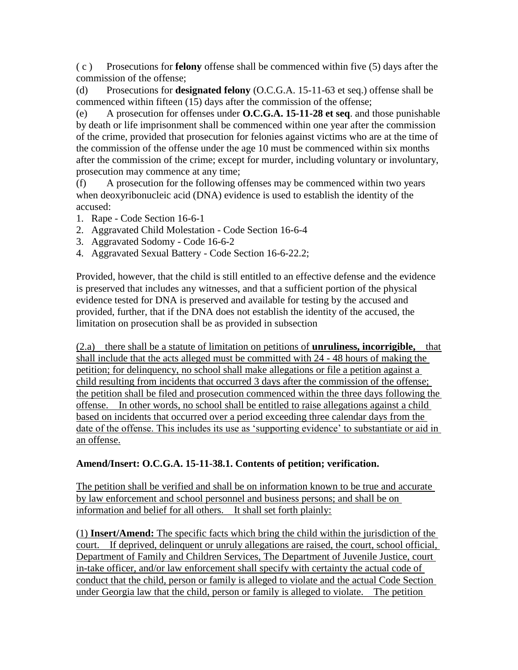( c ) Prosecutions for **felony** offense shall be commenced within five (5) days after the commission of the offense;

(d) Prosecutions for **designated felony** (O.C.G.A. 15-11-63 et seq.) offense shall be commenced within fifteen (15) days after the commission of the offense;

(e) A prosecution for offenses under **O.C.G.A. 15-11-28 et seq**. and those punishable by death or life imprisonment shall be commenced within one year after the commission of the crime, provided that prosecution for felonies against victims who are at the time of the commission of the offense under the age 10 must be commenced within six months after the commission of the crime; except for murder, including voluntary or involuntary, prosecution may commence at any time;

(f) A prosecution for the following offenses may be commenced within two years when deoxyribonucleic acid (DNA) evidence is used to establish the identity of the accused:

- 1. Rape Code Section 16-6-1
- 2. Aggravated Child Molestation Code Section 16-6-4
- 3. Aggravated Sodomy Code 16-6-2
- 4. Aggravated Sexual Battery Code Section 16-6-22.2;

Provided, however, that the child is still entitled to an effective defense and the evidence is preserved that includes any witnesses, and that a sufficient portion of the physical evidence tested for DNA is preserved and available for testing by the accused and provided, further, that if the DNA does not establish the identity of the accused, the limitation on prosecution shall be as provided in subsection

(2.a) there shall be a statute of limitation on petitions of **unruliness, incorrigible,** that shall include that the acts alleged must be committed with 24 - 48 hours of making the petition; for delinquency, no school shall make allegations or file a petition against a child resulting from incidents that occurred 3 days after the commission of the offense; the petition shall be filed and prosecution commenced within the three days following the offense. In other words, no school shall be entitled to raise allegations against a child based on incidents that occurred over a period exceeding three calendar days from the date of the offense. This includes its use as "supporting evidence" to substantiate or aid in an offense.

## **Amend/Insert: O.C.G.A. 15-11-38.1. Contents of petition; verification.**

The petition shall be verified and shall be on information known to be true and accurate by law enforcement and school personnel and business persons; and shall be on information and belief for all others. It shall set forth plainly:

(1) **Insert/Amend:** The specific facts which bring the child within the jurisdiction of the court. If deprived, delinquent or unruly allegations are raised, the court, school official, Department of Family and Children Services, The Department of Juvenile Justice, court in-take officer, and/or law enforcement shall specify with certainty the actual code of conduct that the child, person or family is alleged to violate and the actual Code Section under Georgia law that the child, person or family is alleged to violate. The petition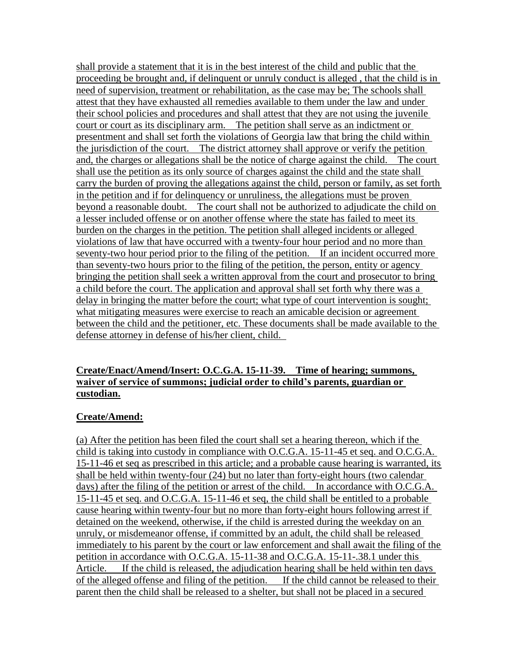shall provide a statement that it is in the best interest of the child and public that the proceeding be brought and, if delinquent or unruly conduct is alleged , that the child is in need of supervision, treatment or rehabilitation, as the case may be; The schools shall attest that they have exhausted all remedies available to them under the law and under their school policies and procedures and shall attest that they are not using the juvenile court or court as its disciplinary arm. The petition shall serve as an indictment or presentment and shall set forth the violations of Georgia law that bring the child within the jurisdiction of the court. The district attorney shall approve or verify the petition and, the charges or allegations shall be the notice of charge against the child. The court shall use the petition as its only source of charges against the child and the state shall carry the burden of proving the allegations against the child, person or family, as set forth in the petition and if for delinquency or unruliness, the allegations must be proven beyond a reasonable doubt. The court shall not be authorized to adjudicate the child on a lesser included offense or on another offense where the state has failed to meet its burden on the charges in the petition. The petition shall alleged incidents or alleged violations of law that have occurred with a twenty-four hour period and no more than seventy-two hour period prior to the filing of the petition. If an incident occurred more than seventy-two hours prior to the filing of the petition, the person, entity or agency bringing the petition shall seek a written approval from the court and prosecutor to bring a child before the court. The application and approval shall set forth why there was a delay in bringing the matter before the court; what type of court intervention is sought; what mitigating measures were exercise to reach an amicable decision or agreement between the child and the petitioner, etc. These documents shall be made available to the defense attorney in defense of his/her client, child.

#### **Create/Enact/Amend/Insert: O.C.G.A. 15-11-39. Time of hearing; summons, waiver of service of summons; judicial order to child's parents, guardian or custodian.**

## **Create/Amend:**

(a) After the petition has been filed the court shall set a hearing thereon, which if the child is taking into custody in compliance with O.C.G.A. 15-11-45 et seq. and O.C.G.A. 15-11-46 et seq as prescribed in this article; and a probable cause hearing is warranted, its shall be held within twenty-four (24) but no later than forty-eight hours (two calendar days) after the filing of the petition or arrest of the child. In accordance with O.C.G.A. 15-11-45 et seq. and O.C.G.A. 15-11-46 et seq, the child shall be entitled to a probable cause hearing within twenty-four but no more than forty-eight hours following arrest if detained on the weekend, otherwise, if the child is arrested during the weekday on an unruly, or misdemeanor offense, if committed by an adult, the child shall be released immediately to his parent by the court or law enforcement and shall await the filing of the petition in accordance with O.C.G.A. 15-11-38 and O.C.G.A. 15-11-.38.1 under this Article. If the child is released, the adjudication hearing shall be held within ten days of the alleged offense and filing of the petition. If the child cannot be released to their parent then the child shall be released to a shelter, but shall not be placed in a secured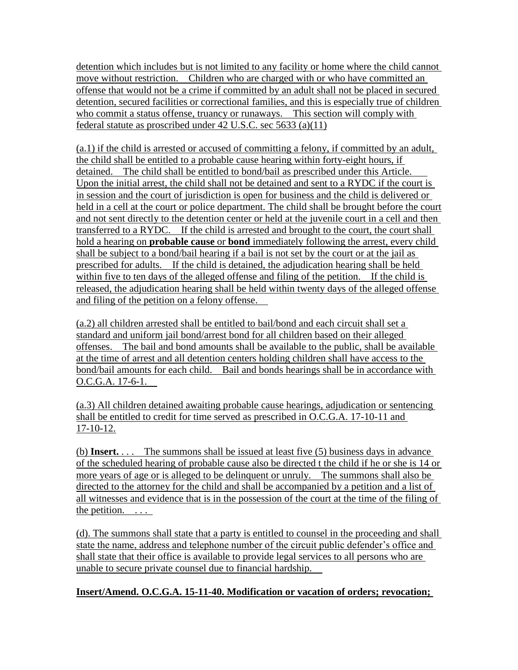detention which includes but is not limited to any facility or home where the child cannot move without restriction. Children who are charged with or who have committed an offense that would not be a crime if committed by an adult shall not be placed in secured detention, secured facilities or correctional families, and this is especially true of children who commit a status offense, truancy or runaways. This section will comply with federal statute as proscribed under 42 U.S.C. sec 5633 (a)(11)

(a.1) if the child is arrested or accused of committing a felony, if committed by an adult, the child shall be entitled to a probable cause hearing within forty-eight hours, if detained. The child shall be entitled to bond/bail as prescribed under this Article. Upon the initial arrest, the child shall not be detained and sent to a RYDC if the court is in session and the court of jurisdiction is open for business and the child is delivered or held in a cell at the court or police department. The child shall be brought before the court and not sent directly to the detention center or held at the juvenile court in a cell and then transferred to a RYDC. If the child is arrested and brought to the court, the court shall hold a hearing on **probable cause** or **bond** immediately following the arrest, every child shall be subject to a bond/bail hearing if a bail is not set by the court or at the jail as prescribed for adults. If the child is detained, the adjudication hearing shall be held within five to ten days of the alleged offense and filing of the petition. If the child is released, the adjudication hearing shall be held within twenty days of the alleged offense and filing of the petition on a felony offense.

(a.2) all children arrested shall be entitled to bail/bond and each circuit shall set a standard and uniform jail bond/arrest bond for all children based on their alleged offenses. The bail and bond amounts shall be available to the public, shall be available at the time of arrest and all detention centers holding children shall have access to the bond/bail amounts for each child. Bail and bonds hearings shall be in accordance with O.C.G.A. 17-6-1.

(a.3) All children detained awaiting probable cause hearings, adjudication or sentencing shall be entitled to credit for time served as prescribed in O.C.G.A. 17-10-11 and 17-10-12.

(b) **Insert.** . . . The summons shall be issued at least five (5) business days in advance of the scheduled hearing of probable cause also be directed t the child if he or she is 14 or more years of age or is alleged to be delinquent or unruly. The summons shall also be directed to the attorney for the child and shall be accompanied by a petition and a list of all witnesses and evidence that is in the possession of the court at the time of the filing of the petition.  $\ldots$ 

(d). The summons shall state that a party is entitled to counsel in the proceeding and shall state the name, address and telephone number of the circuit public defender"s office and shall state that their office is available to provide legal services to all persons who are unable to secure private counsel due to financial hardship.

**Insert/Amend. O.C.G.A. 15-11-40. Modification or vacation of orders; revocation;**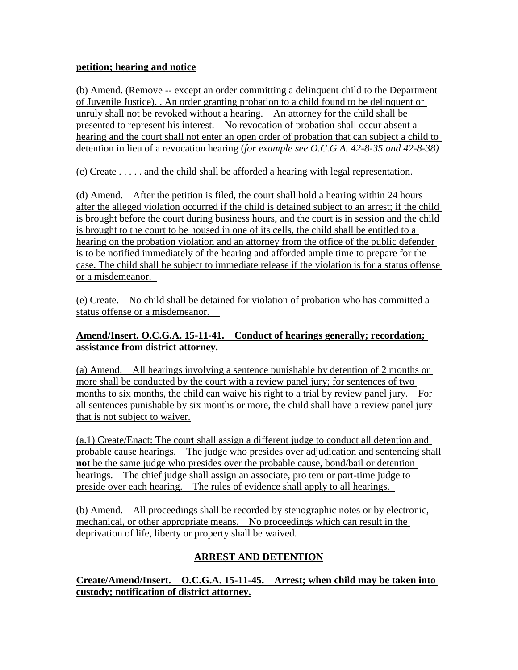#### **petition; hearing and notice**

(b) Amend. (Remove -- except an order committing a delinquent child to the Department of Juvenile Justice). . An order granting probation to a child found to be delinquent or unruly shall not be revoked without a hearing. An attorney for the child shall be presented to represent his interest. No revocation of probation shall occur absent a hearing and the court shall not enter an open order of probation that can subject a child to detention in lieu of a revocation hearing (*for example see O.C.G.A. 42-8-35 and 42-8-38)*

(c) Create . . . . . and the child shall be afforded a hearing with legal representation.

(d) Amend. After the petition is filed, the court shall hold a hearing within 24 hours after the alleged violation occurred if the child is detained subject to an arrest; if the child is brought before the court during business hours, and the court is in session and the child is brought to the court to be housed in one of its cells, the child shall be entitled to a hearing on the probation violation and an attorney from the office of the public defender is to be notified immediately of the hearing and afforded ample time to prepare for the case. The child shall be subject to immediate release if the violation is for a status offense or a misdemeanor.

(e) Create. No child shall be detained for violation of probation who has committed a status offense or a misdemeanor.

### **Amend/Insert. O.C.G.A. 15-11-41. Conduct of hearings generally; recordation; assistance from district attorney.**

(a) Amend. All hearings involving a sentence punishable by detention of 2 months or more shall be conducted by the court with a review panel jury; for sentences of two months to six months, the child can waive his right to a trial by review panel jury. For all sentences punishable by six months or more, the child shall have a review panel jury that is not subject to waiver.

(a.1) Create/Enact: The court shall assign a different judge to conduct all detention and probable cause hearings. The judge who presides over adjudication and sentencing shall **not** be the same judge who presides over the probable cause, bond/bail or detention hearings. The chief judge shall assign an associate, pro tem or part-time judge to preside over each hearing. The rules of evidence shall apply to all hearings.

(b) Amend. All proceedings shall be recorded by stenographic notes or by electronic, mechanical, or other appropriate means. No proceedings which can result in the deprivation of life, liberty or property shall be waived.

# **ARREST AND DETENTION**

**Create/Amend/Insert. O.C.G.A. 15-11-45. Arrest; when child may be taken into custody; notification of district attorney.**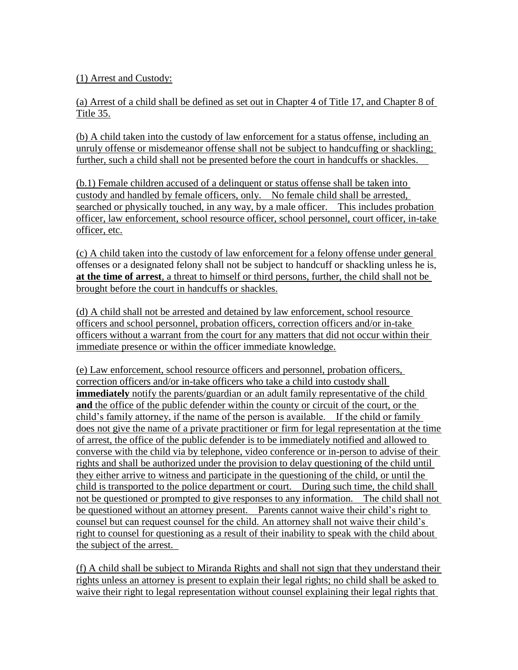(1) Arrest and Custody:

(a) Arrest of a child shall be defined as set out in Chapter 4 of Title 17, and Chapter 8 of Title 35.

(b) A child taken into the custody of law enforcement for a status offense, including an unruly offense or misdemeanor offense shall not be subject to handcuffing or shackling; further, such a child shall not be presented before the court in handcuffs or shackles.

(b.1) Female children accused of a delinquent or status offense shall be taken into custody and handled by female officers, only. No female child shall be arrested, searched or physically touched, in any way, by a male officer. This includes probation officer, law enforcement, school resource officer, school personnel, court officer, in-take officer, etc.

(c) A child taken into the custody of law enforcement for a felony offense under general offenses or a designated felony shall not be subject to handcuff or shackling unless he is, **at the time of arrest**, a threat to himself or third persons, further, the child shall not be brought before the court in handcuffs or shackles.

(d) A child shall not be arrested and detained by law enforcement, school resource officers and school personnel, probation officers, correction officers and/or in-take officers without a warrant from the court for any matters that did not occur within their immediate presence or within the officer immediate knowledge.

(e) Law enforcement, school resource officers and personnel, probation officers, correction officers and/or in-take officers who take a child into custody shall **immediately** notify the parents/guardian or an adult family representative of the child **and** the office of the public defender within the county or circuit of the court, or the child"s family attorney, if the name of the person is available. If the child or family does not give the name of a private practitioner or firm for legal representation at the time of arrest, the office of the public defender is to be immediately notified and allowed to converse with the child via by telephone, video conference or in-person to advise of their rights and shall be authorized under the provision to delay questioning of the child until they either arrive to witness and participate in the questioning of the child, or until the child is transported to the police department or court. During such time, the child shall not be questioned or prompted to give responses to any information. The child shall not be questioned without an attorney present. Parents cannot waive their child"s right to counsel but can request counsel for the child. An attorney shall not waive their child"s right to counsel for questioning as a result of their inability to speak with the child about the subject of the arrest.

(f) A child shall be subject to Miranda Rights and shall not sign that they understand their rights unless an attorney is present to explain their legal rights; no child shall be asked to waive their right to legal representation without counsel explaining their legal rights that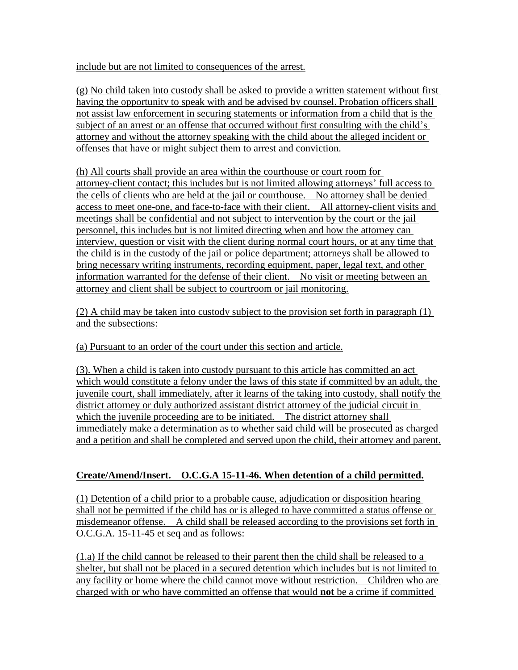include but are not limited to consequences of the arrest.

(g) No child taken into custody shall be asked to provide a written statement without first having the opportunity to speak with and be advised by counsel. Probation officers shall not assist law enforcement in securing statements or information from a child that is the subject of an arrest or an offense that occurred without first consulting with the child's attorney and without the attorney speaking with the child about the alleged incident or offenses that have or might subject them to arrest and conviction.

(h) All courts shall provide an area within the courthouse or court room for attorney-client contact; this includes but is not limited allowing attorneys" full access to the cells of clients who are held at the jail or courthouse. No attorney shall be denied access to meet one-one, and face-to-face with their client. All attorney-client visits and meetings shall be confidential and not subject to intervention by the court or the jail personnel, this includes but is not limited directing when and how the attorney can interview, question or visit with the client during normal court hours, or at any time that the child is in the custody of the jail or police department; attorneys shall be allowed to bring necessary writing instruments, recording equipment, paper, legal text, and other information warranted for the defense of their client. No visit or meeting between an attorney and client shall be subject to courtroom or jail monitoring.

(2) A child may be taken into custody subject to the provision set forth in paragraph (1) and the subsections:

(a) Pursuant to an order of the court under this section and article.

(3). When a child is taken into custody pursuant to this article has committed an act which would constitute a felony under the laws of this state if committed by an adult, the juvenile court, shall immediately, after it learns of the taking into custody, shall notify the district attorney or duly authorized assistant district attorney of the judicial circuit in which the juvenile proceeding are to be initiated. The district attorney shall immediately make a determination as to whether said child will be prosecuted as charged and a petition and shall be completed and served upon the child, their attorney and parent.

#### **Create/Amend/Insert. O.C.G.A 15-11-46. When detention of a child permitted.**

(1) Detention of a child prior to a probable cause, adjudication or disposition hearing shall not be permitted if the child has or is alleged to have committed a status offense or misdemeanor offense. A child shall be released according to the provisions set forth in O.C.G.A. 15-11-45 et seq and as follows:

(1.a) If the child cannot be released to their parent then the child shall be released to a shelter, but shall not be placed in a secured detention which includes but is not limited to any facility or home where the child cannot move without restriction. Children who are charged with or who have committed an offense that would **not** be a crime if committed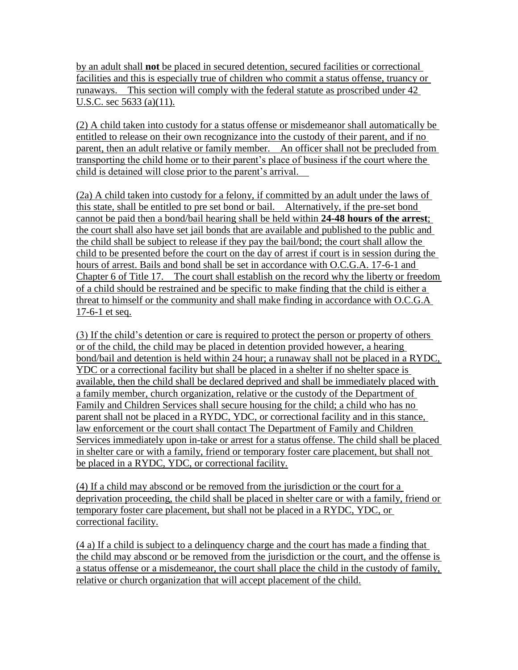by an adult shall **not** be placed in secured detention, secured facilities or correctional facilities and this is especially true of children who commit a status offense, truancy or runaways. This section will comply with the federal statute as proscribed under 42 U.S.C. sec 5633 (a)(11).

(2) A child taken into custody for a status offense or misdemeanor shall automatically be entitled to release on their own recognizance into the custody of their parent, and if no parent, then an adult relative or family member. An officer shall not be precluded from transporting the child home or to their parent"s place of business if the court where the child is detained will close prior to the parent"s arrival.

(2a) A child taken into custody for a felony, if committed by an adult under the laws of this state, shall be entitled to pre set bond or bail. Alternatively, if the pre-set bond cannot be paid then a bond/bail hearing shall be held within **24-48 hours of the arrest**; the court shall also have set jail bonds that are available and published to the public and the child shall be subject to release if they pay the bail/bond; the court shall allow the child to be presented before the court on the day of arrest if court is in session during the hours of arrest. Bails and bond shall be set in accordance with O.C.G.A. 17-6-1 and Chapter 6 of Title 17. The court shall establish on the record why the liberty or freedom of a child should be restrained and be specific to make finding that the child is either a threat to himself or the community and shall make finding in accordance with O.C.G.A 17-6-1 et seq.

(3) If the child"s detention or care is required to protect the person or property of others or of the child, the child may be placed in detention provided however, a hearing bond/bail and detention is held within 24 hour; a runaway shall not be placed in a RYDC, YDC or a correctional facility but shall be placed in a shelter if no shelter space is available, then the child shall be declared deprived and shall be immediately placed with a family member, church organization, relative or the custody of the Department of Family and Children Services shall secure housing for the child; a child who has no parent shall not be placed in a RYDC, YDC, or correctional facility and in this stance, law enforcement or the court shall contact The Department of Family and Children Services immediately upon in-take or arrest for a status offense. The child shall be placed in shelter care or with a family, friend or temporary foster care placement, but shall not be placed in a RYDC, YDC, or correctional facility.

(4) If a child may abscond or be removed from the jurisdiction or the court for a deprivation proceeding, the child shall be placed in shelter care or with a family, friend or temporary foster care placement, but shall not be placed in a RYDC, YDC, or correctional facility.

(4 a) If a child is subject to a delinquency charge and the court has made a finding that the child may abscond or be removed from the jurisdiction or the court, and the offense is a status offense or a misdemeanor, the court shall place the child in the custody of family, relative or church organization that will accept placement of the child.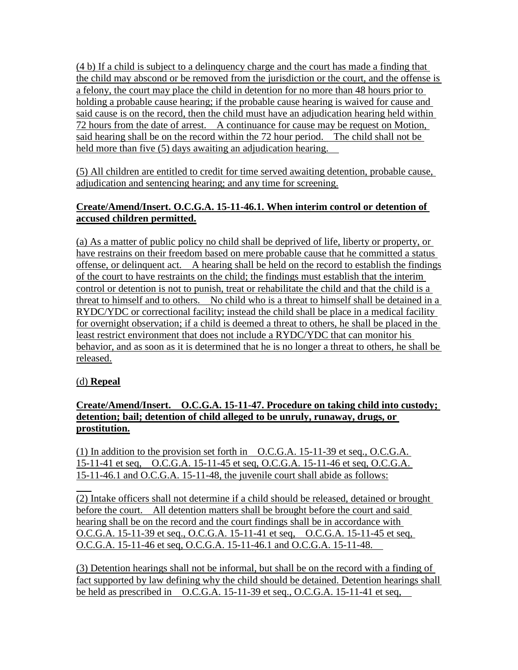(4 b) If a child is subject to a delinquency charge and the court has made a finding that the child may abscond or be removed from the jurisdiction or the court, and the offense is a felony, the court may place the child in detention for no more than 48 hours prior to holding a probable cause hearing; if the probable cause hearing is waived for cause and said cause is on the record, then the child must have an adjudication hearing held within 72 hours from the date of arrest. A continuance for cause may be request on Motion, said hearing shall be on the record within the 72 hour period. The child shall not be held more than five (5) days awaiting an adjudication hearing.

(5) All children are entitled to credit for time served awaiting detention, probable cause, adjudication and sentencing hearing; and any time for screening.

## **Create/Amend/Insert. O.C.G.A. 15-11-46.1. When interim control or detention of accused children permitted.**

(a) As a matter of public policy no child shall be deprived of life, liberty or property, or have restrains on their freedom based on mere probable cause that he committed a status offense, or delinquent act. A hearing shall be held on the record to establish the findings of the court to have restraints on the child; the findings must establish that the interim control or detention is not to punish, treat or rehabilitate the child and that the child is a threat to himself and to others. No child who is a threat to himself shall be detained in a RYDC/YDC or correctional facility; instead the child shall be place in a medical facility for overnight observation; if a child is deemed a threat to others, he shall be placed in the least restrict environment that does not include a RYDC/YDC that can monitor his behavior, and as soon as it is determined that he is no longer a threat to others, he shall be released.

## (d) **Repeal**

### **Create/Amend/Insert. O.C.G.A. 15-11-47. Procedure on taking child into custody; detention; bail; detention of child alleged to be unruly, runaway, drugs, or prostitution.**

(1) In addition to the provision set forth in O.C.G.A. 15-11-39 et seq., O.C.G.A. 15-11-41 et seq, O.C.G.A. 15-11-45 et seq, O.C.G.A. 15-11-46 et seq, O.C.G.A. 15-11-46.1 and O.C.G.A. 15-11-48, the juvenile court shall abide as follows:

l (2) Intake officers shall not determine if a child should be released, detained or brought before the court. All detention matters shall be brought before the court and said hearing shall be on the record and the court findings shall be in accordance with O.C.G.A. 15-11-39 et seq., O.C.G.A. 15-11-41 et seq, O.C.G.A. 15-11-45 et seq, O.C.G.A. 15-11-46 et seq, O.C.G.A. 15-11-46.1 and O.C.G.A. 15-11-48.

(3) Detention hearings shall not be informal, but shall be on the record with a finding of fact supported by law defining why the child should be detained. Detention hearings shall be held as prescribed in O.C.G.A. 15-11-39 et seq., O.C.G.A. 15-11-41 et seq,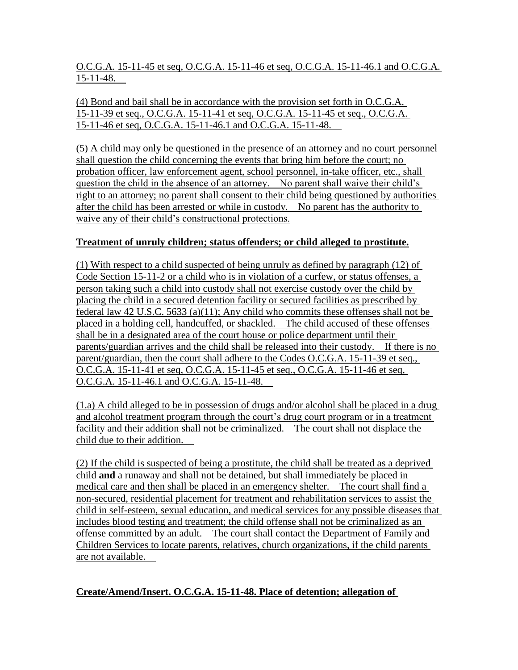O.C.G.A. 15-11-45 et seq, O.C.G.A. 15-11-46 et seq, O.C.G.A. 15-11-46.1 and O.C.G.A. 15-11-48.

(4) Bond and bail shall be in accordance with the provision set forth in O.C.G.A. 15-11-39 et seq., O.C.G.A. 15-11-41 et seq, O.C.G.A. 15-11-45 et seq., O.C.G.A. 15-11-46 et seq, O.C.G.A. 15-11-46.1 and O.C.G.A. 15-11-48.

(5) A child may only be questioned in the presence of an attorney and no court personnel shall question the child concerning the events that bring him before the court; no probation officer, law enforcement agent, school personnel, in-take officer, etc., shall question the child in the absence of an attorney. No parent shall waive their child"s right to an attorney; no parent shall consent to their child being questioned by authorities after the child has been arrested or while in custody. No parent has the authority to waive any of their child"s constructional protections.

## **Treatment of unruly children; status offenders; or child alleged to prostitute.**

(1) With respect to a child suspected of being unruly as defined by paragraph (12) of Code Section 15-11-2 or a child who is in violation of a curfew, or status offenses, a person taking such a child into custody shall not exercise custody over the child by placing the child in a secured detention facility or secured facilities as prescribed by federal law 42 U.S.C. 5633 (a)(11); Any child who commits these offenses shall not be placed in a holding cell, handcuffed, or shackled. The child accused of these offenses shall be in a designated area of the court house or police department until their parents/guardian arrives and the child shall be released into their custody. If there is no parent/guardian, then the court shall adhere to the Codes O.C.G.A. 15-11-39 et seq., O.C.G.A. 15-11-41 et seq, O.C.G.A. 15-11-45 et seq., O.C.G.A. 15-11-46 et seq, O.C.G.A. 15-11-46.1 and O.C.G.A. 15-11-48.

(1.a) A child alleged to be in possession of drugs and/or alcohol shall be placed in a drug and alcohol treatment program through the court's drug court program or in a treatment facility and their addition shall not be criminalized. The court shall not displace the child due to their addition.

(2) If the child is suspected of being a prostitute, the child shall be treated as a deprived child **and** a runaway and shall not be detained, but shall immediately be placed in medical care and then shall be placed in an emergency shelter. The court shall find a non-secured, residential placement for treatment and rehabilitation services to assist the child in self-esteem, sexual education, and medical services for any possible diseases that includes blood testing and treatment; the child offense shall not be criminalized as an offense committed by an adult. The court shall contact the Department of Family and Children Services to locate parents, relatives, church organizations, if the child parents are not available.

## **Create/Amend/Insert. O.C.G.A. 15-11-48. Place of detention; allegation of**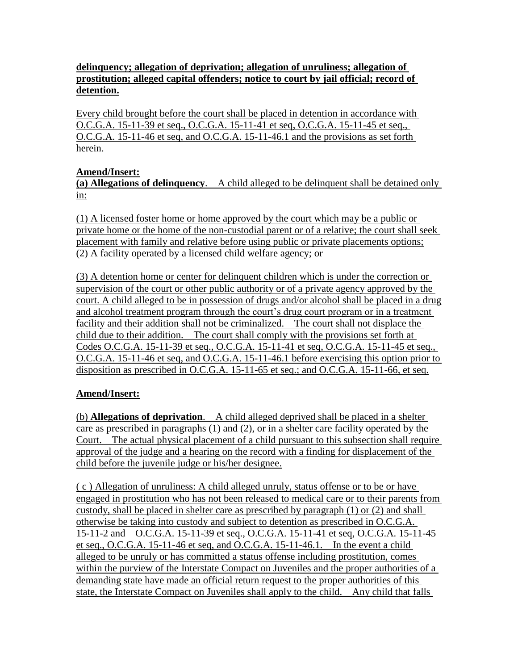### **delinquency; allegation of deprivation; allegation of unruliness; allegation of prostitution; alleged capital offenders; notice to court by jail official; record of detention.**

Every child brought before the court shall be placed in detention in accordance with O.C.G.A. 15-11-39 et seq., O.C.G.A. 15-11-41 et seq, O.C.G.A. 15-11-45 et seq., O.C.G.A. 15-11-46 et seq, and O.C.G.A. 15-11-46.1 and the provisions as set forth herein.

### **Amend/Insert:**

**(a) Allegations of delinquency**. A child alleged to be delinquent shall be detained only <u>in:</u>

(1) A licensed foster home or home approved by the court which may be a public or private home or the home of the non-custodial parent or of a relative; the court shall seek placement with family and relative before using public or private placements options; (2) A facility operated by a licensed child welfare agency; or

(3) A detention home or center for delinquent children which is under the correction or supervision of the court or other public authority or of a private agency approved by the court. A child alleged to be in possession of drugs and/or alcohol shall be placed in a drug and alcohol treatment program through the court's drug court program or in a treatment facility and their addition shall not be criminalized. The court shall not displace the child due to their addition. The court shall comply with the provisions set forth at Codes O.C.G.A. 15-11-39 et seq., O.C.G.A. 15-11-41 et seq, O.C.G.A. 15-11-45 et seq., O.C.G.A. 15-11-46 et seq, and O.C.G.A. 15-11-46.1 before exercising this option prior to disposition as prescribed in O.C.G.A. 15-11-65 et seq.; and O.C.G.A. 15-11-66, et seq.

## **Amend/Insert:**

(b) **Allegations of deprivation**. A child alleged deprived shall be placed in a shelter care as prescribed in paragraphs (1) and (2), or in a shelter care facility operated by the Court. The actual physical placement of a child pursuant to this subsection shall require approval of the judge and a hearing on the record with a finding for displacement of the child before the juvenile judge or his/her designee.

( c ) Allegation of unruliness: A child alleged unruly, status offense or to be or have engaged in prostitution who has not been released to medical care or to their parents from custody, shall be placed in shelter care as prescribed by paragraph (1) or (2) and shall otherwise be taking into custody and subject to detention as prescribed in O.C.G.A. 15-11-2 and O.C.G.A. 15-11-39 et seq., O.C.G.A. 15-11-41 et seq, O.C.G.A. 15-11-45 et seq., O.C.G.A. 15-11-46 et seq, and O.C.G.A. 15-11-46.1. In the event a child alleged to be unruly or has committed a status offense including prostitution, comes within the purview of the Interstate Compact on Juveniles and the proper authorities of a demanding state have made an official return request to the proper authorities of this state, the Interstate Compact on Juveniles shall apply to the child. Any child that falls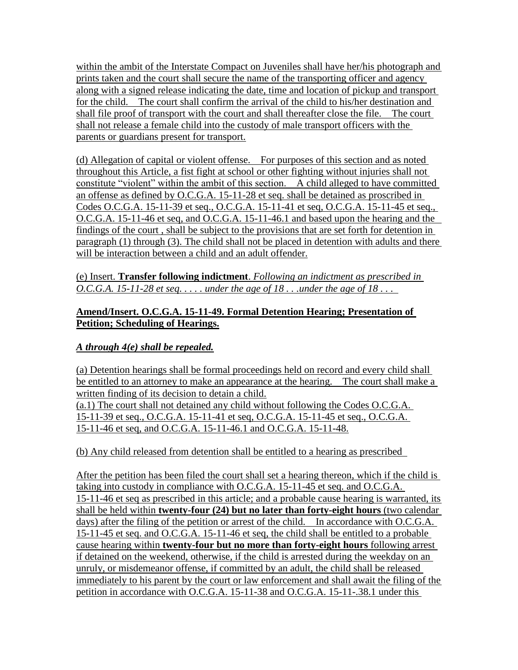within the ambit of the Interstate Compact on Juveniles shall have her/his photograph and prints taken and the court shall secure the name of the transporting officer and agency along with a signed release indicating the date, time and location of pickup and transport for the child. The court shall confirm the arrival of the child to his/her destination and shall file proof of transport with the court and shall thereafter close the file. The court shall not release a female child into the custody of male transport officers with the parents or guardians present for transport.

(d) Allegation of capital or violent offense. For purposes of this section and as noted throughout this Article, a fist fight at school or other fighting without injuries shall not constitute "violent" within the ambit of this section. A child alleged to have committed an offense as defined by O.C.G.A. 15-11-28 et seq. shall be detained as proscribed in Codes O.C.G.A. 15-11-39 et seq., O.C.G.A. 15-11-41 et seq, O.C.G.A. 15-11-45 et seq., O.C.G.A. 15-11-46 et seq, and O.C.G.A. 15-11-46.1 and based upon the hearing and the findings of the court , shall be subject to the provisions that are set forth for detention in paragraph (1) through (3). The child shall not be placed in detention with adults and there will be interaction between a child and an adult offender.

(e) Insert. **Transfer following indictment**. *Following an indictment as prescribed in O.C.G.A. 15-11-28 et seq. . . . . under the age of 18 . . .under the age of 18 . . .* 

### **Amend/Insert. O.C.G.A. 15-11-49. Formal Detention Hearing; Presentation of Petition; Scheduling of Hearings.**

## *A through 4(e) shall be repealed.*

(a) Detention hearings shall be formal proceedings held on record and every child shall be entitled to an attorney to make an appearance at the hearing. The court shall make a written finding of its decision to detain a child. (a.1) The court shall not detained any child without following the Codes O.C.G.A.

15-11-39 et seq., O.C.G.A. 15-11-41 et seq, O.C.G.A. 15-11-45 et seq., O.C.G.A. 15-11-46 et seq, and O.C.G.A. 15-11-46.1 and O.C.G.A. 15-11-48.

(b) Any child released from detention shall be entitled to a hearing as prescribed

After the petition has been filed the court shall set a hearing thereon, which if the child is taking into custody in compliance with O.C.G.A. 15-11-45 et seq. and O.C.G.A. 15-11-46 et seq as prescribed in this article; and a probable cause hearing is warranted, its shall be held within **twenty-four (24) but no later than forty-eight hours** (two calendar days) after the filing of the petition or arrest of the child. In accordance with O.C.G.A. 15-11-45 et seq. and O.C.G.A. 15-11-46 et seq, the child shall be entitled to a probable cause hearing within **twenty-four but no more than forty-eight hours** following arrest if detained on the weekend, otherwise, if the child is arrested during the weekday on an unruly, or misdemeanor offense, if committed by an adult, the child shall be released immediately to his parent by the court or law enforcement and shall await the filing of the petition in accordance with O.C.G.A. 15-11-38 and O.C.G.A. 15-11-.38.1 under this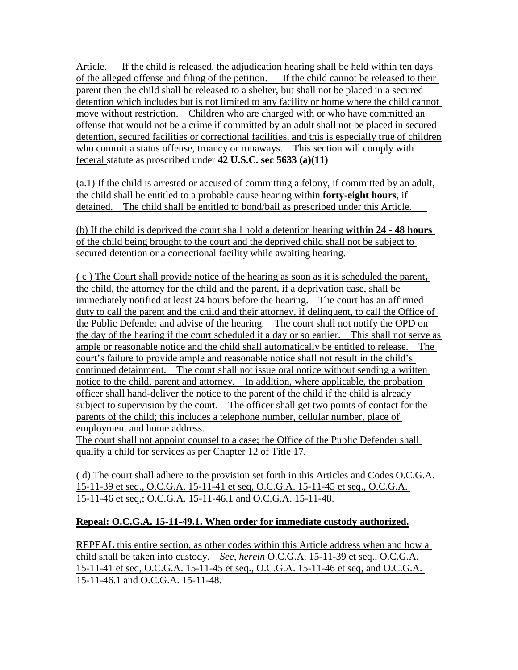Article. If the child is released, the adjudication hearing shall be held within ten days of the alleged offense and filing of the petition. If the child cannot be released to their parent then the child shall be released to a shelter, but shall not be placed in a secured detention which includes but is not limited to any facility or home where the child cannot move without restriction. Children who are charged with or who have committed an offense that would not be a crime if committed by an adult shall not be placed in secured detention, secured facilities or correctional facilities, and this is especially true of children who commit a status offense, truancy or runaways. This section will comply with federal statute as proscribed under **42 U.S.C. sec 5633 (a)(11)**

(a.1) If the child is arrested or accused of committing a felony, if committed by an adult, the child shall be entitled to a probable cause hearing within **forty-eight hours**, if detained. The child shall be entitled to bond/bail as prescribed under this Article.

(b) If the child is deprived the court shall hold a detention hearing **within 24 - 48 hours**  of the child being brought to the court and the deprived child shall not be subject to secured detention or a correctional facility while awaiting hearing.

( c ) The Court shall provide notice of the hearing as soon as it is scheduled the parent**,** the child, the attorney for the child and the parent, if a deprivation case, shall be immediately notified at least 24 hours before the hearing. The court has an affirmed duty to call the parent and the child and their attorney, if delinquent, to call the Office of the Public Defender and advise of the hearing. The court shall not notify the OPD on the day of the hearing if the court scheduled it a day or so earlier. This shall not serve as ample or reasonable notice and the child shall automatically be entitled to release. The court's failure to provide ample and reasonable notice shall not result in the child's continued detainment. The court shall not issue oral notice without sending a written notice to the child, parent and attorney. In addition, where applicable, the probation officer shall hand-deliver the notice to the parent of the child if the child is already subject to supervision by the court. The officer shall get two points of contact for the parents of the child; this includes a telephone number, cellular number, place of employment and home address.

The court shall not appoint counsel to a case; the Office of the Public Defender shall qualify a child for services as per Chapter 12 of Title 17.

( d) The court shall adhere to the provision set forth in this Articles and Codes O.C.G.A. 15-11-39 et seq., O.C.G.A. 15-11-41 et seq, O.C.G.A. 15-11-45 et seq., O.C.G.A. 15-11-46 et seq,; O.C.G.A. 15-11-46.1 and O.C.G.A. 15-11-48.

## **Repeal: O.C.G.A. 15-11-49.1. When order for immediate custody authorized.**

REPEAL this entire section, as other codes within this Article address when and how a child shall be taken into custody. *See, herein* O.C.G.A. 15-11-39 et seq., O.C.G.A. 15-11-41 et seq, O.C.G.A. 15-11-45 et seq., O.C.G.A. 15-11-46 et seq, and O.C.G.A. 15-11-46.1 and O.C.G.A. 15-11-48.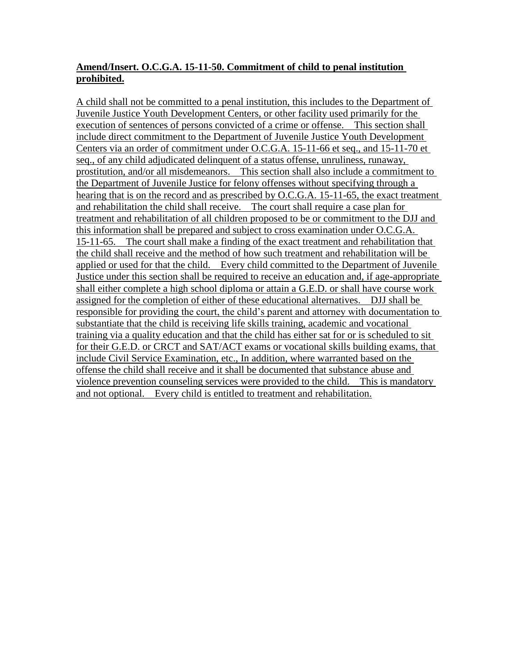### **Amend/Insert. O.C.G.A. 15-11-50. Commitment of child to penal institution prohibited.**

A child shall not be committed to a penal institution, this includes to the Department of Juvenile Justice Youth Development Centers, or other facility used primarily for the execution of sentences of persons convicted of a crime or offense. This section shall include direct commitment to the Department of Juvenile Justice Youth Development Centers via an order of commitment under O.C.G.A. 15-11-66 et seq., and 15-11-70 et seq., of any child adjudicated delinquent of a status offense, unruliness, runaway, prostitution, and/or all misdemeanors. This section shall also include a commitment to the Department of Juvenile Justice for felony offenses without specifying through a hearing that is on the record and as prescribed by O.C.G.A. 15-11-65, the exact treatment and rehabilitation the child shall receive. The court shall require a case plan for treatment and rehabilitation of all children proposed to be or commitment to the DJJ and this information shall be prepared and subject to cross examination under O.C.G.A. 15-11-65. The court shall make a finding of the exact treatment and rehabilitation that the child shall receive and the method of how such treatment and rehabilitation will be applied or used for that the child. Every child committed to the Department of Juvenile Justice under this section shall be required to receive an education and, if age-appropriate shall either complete a high school diploma or attain a G.E.D. or shall have course work assigned for the completion of either of these educational alternatives. DJJ shall be responsible for providing the court, the child"s parent and attorney with documentation to substantiate that the child is receiving life skills training, academic and vocational training via a quality education and that the child has either sat for or is scheduled to sit for their G.E.D. or CRCT and SAT/ACT exams or vocational skills building exams, that include Civil Service Examination, etc., In addition, where warranted based on the offense the child shall receive and it shall be documented that substance abuse and violence prevention counseling services were provided to the child. This is mandatory and not optional. Every child is entitled to treatment and rehabilitation.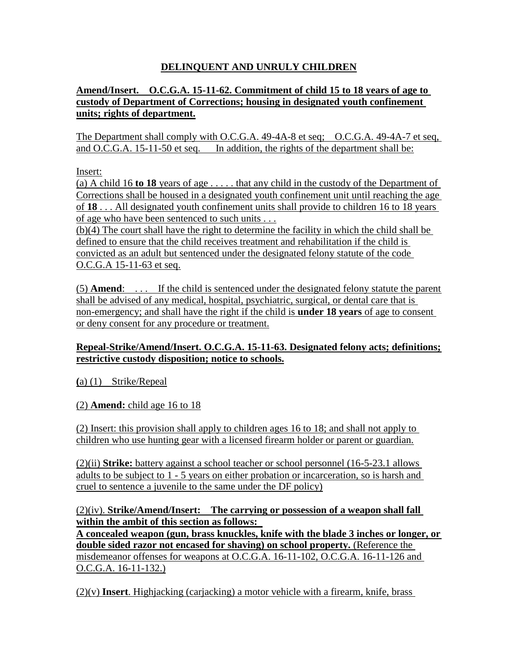## **DELINQUENT AND UNRULY CHILDREN**

### **Amend/Insert. O.C.G.A. 15-11-62. Commitment of child 15 to 18 years of age to custody of Department of Corrections; housing in designated youth confinement units; rights of department.**

The Department shall comply with O.C.G.A. 49-4A-8 et seq; O.C.G.A. 49-4A-7 et seq, and O.C.G.A. 15-11-50 et seq. In addition, the rights of the department shall be:

Insert:

(a) A child 16 **to 18** years of age . . . . . that any child in the custody of the Department of Corrections shall be housed in a designated youth confinement unit until reaching the age of **18** . . . All designated youth confinement units shall provide to children 16 to 18 years of age who have been sentenced to such units . . .

(b)(4) The court shall have the right to determine the facility in which the child shall be defined to ensure that the child receives treatment and rehabilitation if the child is convicted as an adult but sentenced under the designated felony statute of the code O.C.G.A 15-11-63 et seq.

(5) **Amend**: . . . If the child is sentenced under the designated felony statute the parent shall be advised of any medical, hospital, psychiatric, surgical, or dental care that is non-emergency; and shall have the right if the child is **under 18 years** of age to consent or deny consent for any procedure or treatment.

### **Repeal-Strike/Amend/Insert. O.C.G.A. 15-11-63. Designated felony acts; definitions; restrictive custody disposition; notice to schools.**

**(**a) (1) Strike/Repeal

#### (2) **Amend:** child age 16 to 18

(2) Insert: this provision shall apply to children ages 16 to 18; and shall not apply to children who use hunting gear with a licensed firearm holder or parent or guardian.

(2)(ii) **Strike:** battery against a school teacher or school personnel (16-5-23.1 allows adults to be subject to 1 - 5 years on either probation or incarceration, so is harsh and cruel to sentence a juvenile to the same under the DF policy)

(2)(iv). **Strike/Amend/Insert: The carrying or possession of a weapon shall fall within the ambit of this section as follows:** 

**A concealed weapon (gun, brass knuckles, knife with the blade 3 inches or longer, or double sided razor not encased for shaving) on school property.** (Reference the misdemeanor offenses for weapons at O.C.G.A. 16-11-102, O.C.G.A. 16-11-126 and O.C.G.A. 16-11-132.)

(2)(v) **Insert**. Highjacking (carjacking) a motor vehicle with a firearm, knife, brass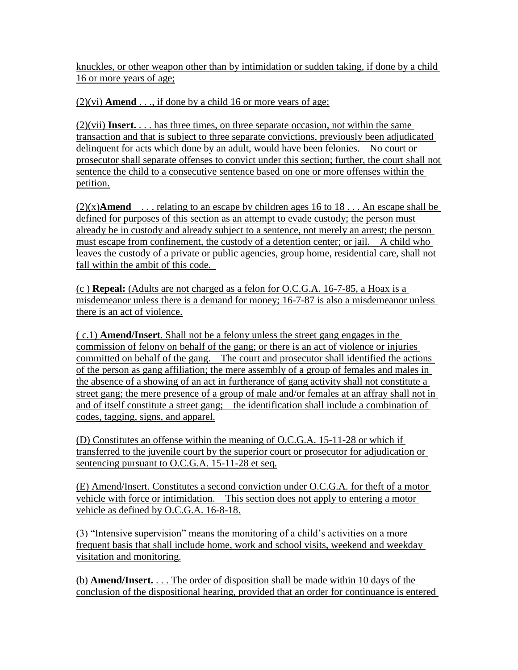knuckles, or other weapon other than by intimidation or sudden taking, if done by a child 16 or more years of age;

 $(2)(vi)$  **Amend** . . ., if done by a child 16 or more years of age;

(2)(vii) **Insert.** . . . has three times, on three separate occasion, not within the same transaction and that is subject to three separate convictions, previously been adjudicated delinquent for acts which done by an adult, would have been felonies. No court or prosecutor shall separate offenses to convict under this section; further, the court shall not sentence the child to a consecutive sentence based on one or more offenses within the petition.

 $(2)(x)$ **Amend** . . . relating to an escape by children ages 16 to 18 . . . An escape shall be defined for purposes of this section as an attempt to evade custody; the person must already be in custody and already subject to a sentence, not merely an arrest; the person must escape from confinement, the custody of a detention center; or jail. A child who leaves the custody of a private or public agencies, group home, residential care, shall not fall within the ambit of this code.

(c ) **Repeal:** (Adults are not charged as a felon for O.C.G.A. 16-7-85, a Hoax is a misdemeanor unless there is a demand for money; 16-7-87 is also a misdemeanor unless there is an act of violence.

( c.1) **Amend/Insert**. Shall not be a felony unless the street gang engages in the commission of felony on behalf of the gang; or there is an act of violence or injuries committed on behalf of the gang. The court and prosecutor shall identified the actions of the person as gang affiliation; the mere assembly of a group of females and males in the absence of a showing of an act in furtherance of gang activity shall not constitute a street gang; the mere presence of a group of male and/or females at an affray shall not in and of itself constitute a street gang; the identification shall include a combination of codes, tagging, signs, and apparel.

(D) Constitutes an offense within the meaning of O.C.G.A. 15-11-28 or which if transferred to the juvenile court by the superior court or prosecutor for adjudication or sentencing pursuant to O.C.G.A. 15-11-28 et seq.

(E) Amend/Insert. Constitutes a second conviction under O.C.G.A. for theft of a motor vehicle with force or intimidation. This section does not apply to entering a motor vehicle as defined by O.C.G.A. 16-8-18.

(3) "Intensive supervision" means the monitoring of a child"s activities on a more frequent basis that shall include home, work and school visits, weekend and weekday visitation and monitoring.

(b) **Amend/Insert.** . . . The order of disposition shall be made within 10 days of the conclusion of the dispositional hearing, provided that an order for continuance is entered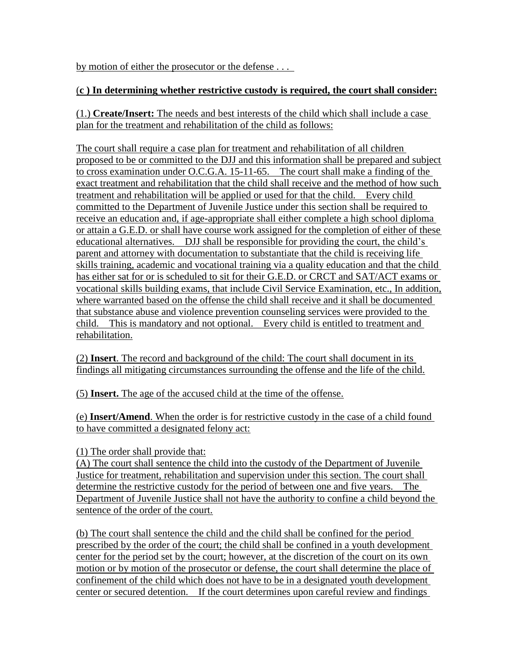by motion of either the prosecutor or the defense . . .

### (**c ) In determining whether restrictive custody is required, the court shall consider:**

(1.) **Create/Insert:** The needs and best interests of the child which shall include a case plan for the treatment and rehabilitation of the child as follows:

The court shall require a case plan for treatment and rehabilitation of all children proposed to be or committed to the DJJ and this information shall be prepared and subject to cross examination under O.C.G.A. 15-11-65. The court shall make a finding of the exact treatment and rehabilitation that the child shall receive and the method of how such treatment and rehabilitation will be applied or used for that the child. Every child committed to the Department of Juvenile Justice under this section shall be required to receive an education and, if age-appropriate shall either complete a high school diploma or attain a G.E.D. or shall have course work assigned for the completion of either of these educational alternatives. DJJ shall be responsible for providing the court, the child"s parent and attorney with documentation to substantiate that the child is receiving life skills training, academic and vocational training via a quality education and that the child has either sat for or is scheduled to sit for their G.E.D. or CRCT and SAT/ACT exams or vocational skills building exams, that include Civil Service Examination, etc., In addition, where warranted based on the offense the child shall receive and it shall be documented that substance abuse and violence prevention counseling services were provided to the child. This is mandatory and not optional. Every child is entitled to treatment and rehabilitation.

(2) **Insert**. The record and background of the child: The court shall document in its findings all mitigating circumstances surrounding the offense and the life of the child.

(5) **Insert.** The age of the accused child at the time of the offense.

(e) **Insert/Amend**. When the order is for restrictive custody in the case of a child found to have committed a designated felony act:

(1) The order shall provide that:

(A) The court shall sentence the child into the custody of the Department of Juvenile Justice for treatment, rehabilitation and supervision under this section. The court shall determine the restrictive custody for the period of between one and five years. The Department of Juvenile Justice shall not have the authority to confine a child beyond the sentence of the order of the court.

(b) The court shall sentence the child and the child shall be confined for the period prescribed by the order of the court; the child shall be confined in a youth development center for the period set by the court; however, at the discretion of the court on its own motion or by motion of the prosecutor or defense, the court shall determine the place of confinement of the child which does not have to be in a designated youth development center or secured detention. If the court determines upon careful review and findings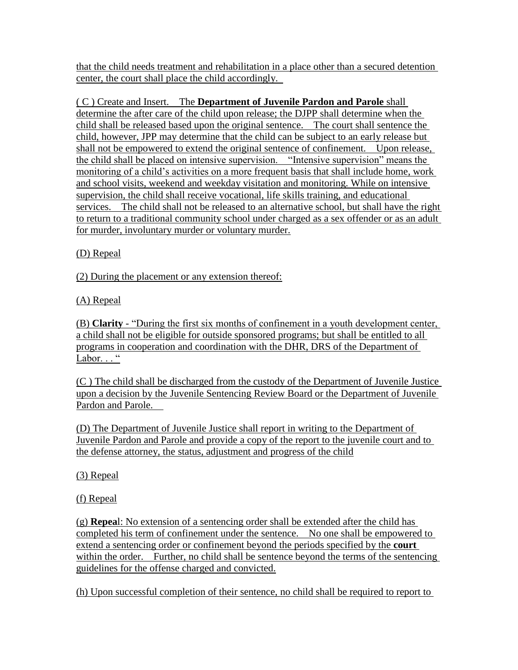that the child needs treatment and rehabilitation in a place other than a secured detention center, the court shall place the child accordingly.

( C ) Create and Insert. The **Department of Juvenile Pardon and Parole** shall determine the after care of the child upon release; the DJPP shall determine when the child shall be released based upon the original sentence. The court shall sentence the child, however, JPP may determine that the child can be subject to an early release but shall not be empowered to extend the original sentence of confinement. Upon release, the child shall be placed on intensive supervision. "Intensive supervision" means the monitoring of a child"s activities on a more frequent basis that shall include home, work and school visits, weekend and weekday visitation and monitoring. While on intensive supervision, the child shall receive vocational, life skills training, and educational services. The child shall not be released to an alternative school, but shall have the right to return to a traditional community school under charged as a sex offender or as an adult for murder, involuntary murder or voluntary murder.

(D) Repeal

(2) During the placement or any extension thereof:

(A) Repeal

(B) **Clarity** - "During the first six months of confinement in a youth development center, a child shall not be eligible for outside sponsored programs; but shall be entitled to all programs in cooperation and coordination with the DHR, DRS of the Department of Labor..."

(C ) The child shall be discharged from the custody of the Department of Juvenile Justice upon a decision by the Juvenile Sentencing Review Board or the Department of Juvenile Pardon and Parole.

(D) The Department of Juvenile Justice shall report in writing to the Department of Juvenile Pardon and Parole and provide a copy of the report to the juvenile court and to the defense attorney, the status, adjustment and progress of the child

(3) Repeal

(f) Repeal

(g) **Repea**l: No extension of a sentencing order shall be extended after the child has completed his term of confinement under the sentence. No one shall be empowered to extend a sentencing order or confinement beyond the periods specified by the **court**  within the order. Further, no child shall be sentence beyond the terms of the sentencing guidelines for the offense charged and convicted.

(h) Upon successful completion of their sentence, no child shall be required to report to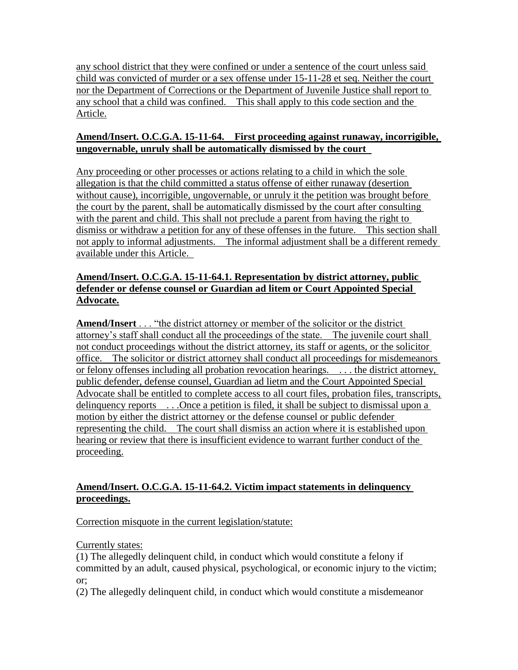any school district that they were confined or under a sentence of the court unless said child was convicted of murder or a sex offense under 15-11-28 et seq. Neither the court nor the Department of Corrections or the Department of Juvenile Justice shall report to any school that a child was confined. This shall apply to this code section and the Article.

### **Amend/Insert. O.C.G.A. 15-11-64. First proceeding against runaway, incorrigible, ungovernable, unruly shall be automatically dismissed by the court**

Any proceeding or other processes or actions relating to a child in which the sole allegation is that the child committed a status offense of either runaway (desertion without cause), incorrigible, ungovernable, or unruly it the petition was brought before the court by the parent, shall be automatically dismissed by the court after consulting with the parent and child. This shall not preclude a parent from having the right to dismiss or withdraw a petition for any of these offenses in the future. This section shall not apply to informal adjustments. The informal adjustment shall be a different remedy available under this Article.

#### **Amend/Insert. O.C.G.A. 15-11-64.1. Representation by district attorney, public defender or defense counsel or Guardian ad litem or Court Appointed Special Advocate.**

**Amend/Insert** . . . "the district attorney or member of the solicitor or the district attorney"s staff shall conduct all the proceedings of the state. The juvenile court shall not conduct proceedings without the district attorney, its staff or agents, or the solicitor office. The solicitor or district attorney shall conduct all proceedings for misdemeanors or felony offenses including all probation revocation hearings. . . . the district attorney, public defender, defense counsel, Guardian ad lietm and the Court Appointed Special Advocate shall be entitled to complete access to all court files, probation files, transcripts, delinquency reports . . . Once a petition is filed, it shall be subject to dismissal upon a motion by either the district attorney or the defense counsel or public defender representing the child. The court shall dismiss an action where it is established upon hearing or review that there is insufficient evidence to warrant further conduct of the proceeding.

## **Amend/Insert. O.C.G.A. 15-11-64.2. Victim impact statements in delinquency proceedings.**

Correction misquote in the current legislation/statute:

Currently states:

(1) The allegedly delinquent child, in conduct which would constitute a felony if committed by an adult, caused physical, psychological, or economic injury to the victim; or;

(2) The allegedly delinquent child, in conduct which would constitute a misdemeanor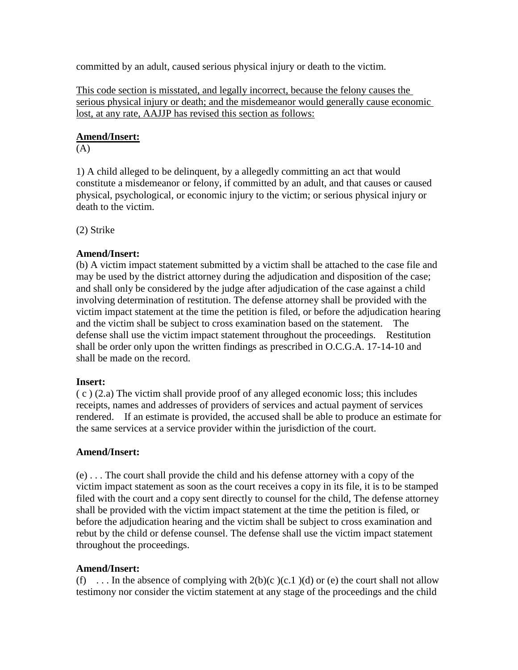committed by an adult, caused serious physical injury or death to the victim.

This code section is misstated, and legally incorrect, because the felony causes the serious physical injury or death; and the misdemeanor would generally cause economic lost, at any rate, AAJJP has revised this section as follows:

#### **Amend/Insert:**

(A)

1) A child alleged to be delinquent, by a allegedly committing an act that would constitute a misdemeanor or felony, if committed by an adult, and that causes or caused physical, psychological, or economic injury to the victim; or serious physical injury or death to the victim.

(2) Strike

#### **Amend/Insert:**

(b) A victim impact statement submitted by a victim shall be attached to the case file and may be used by the district attorney during the adjudication and disposition of the case; and shall only be considered by the judge after adjudication of the case against a child involving determination of restitution. The defense attorney shall be provided with the victim impact statement at the time the petition is filed, or before the adjudication hearing and the victim shall be subject to cross examination based on the statement. The defense shall use the victim impact statement throughout the proceedings. Restitution shall be order only upon the written findings as prescribed in O.C.G.A. 17-14-10 and shall be made on the record.

#### **Insert:**

( c ) (2.a) The victim shall provide proof of any alleged economic loss; this includes receipts, names and addresses of providers of services and actual payment of services rendered. If an estimate is provided, the accused shall be able to produce an estimate for the same services at a service provider within the jurisdiction of the court.

#### **Amend/Insert:**

(e) . . . The court shall provide the child and his defense attorney with a copy of the victim impact statement as soon as the court receives a copy in its file, it is to be stamped filed with the court and a copy sent directly to counsel for the child, The defense attorney shall be provided with the victim impact statement at the time the petition is filed, or before the adjudication hearing and the victim shall be subject to cross examination and rebut by the child or defense counsel. The defense shall use the victim impact statement throughout the proceedings.

#### **Amend/Insert:**

(f) ... In the absence of complying with  $2(b)(c)(c.1)(d)$  or (e) the court shall not allow testimony nor consider the victim statement at any stage of the proceedings and the child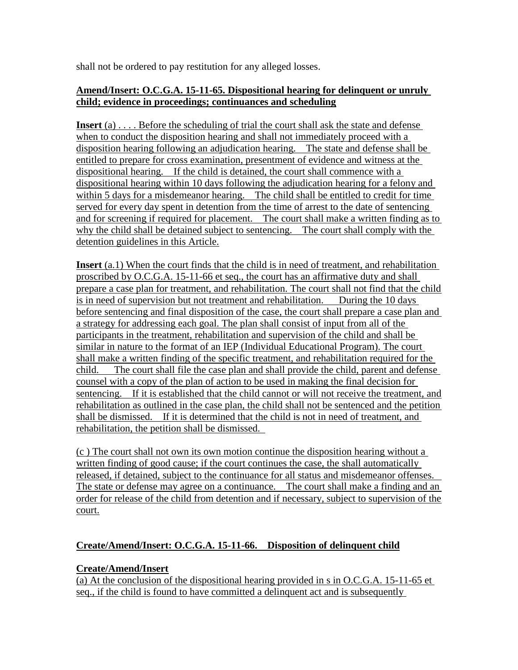shall not be ordered to pay restitution for any alleged losses.

### **Amend/Insert: O.C.G.A. 15-11-65. Dispositional hearing for delinquent or unruly child; evidence in proceedings; continuances and scheduling**

**Insert** (a) . . . . Before the scheduling of trial the court shall ask the state and defense when to conduct the disposition hearing and shall not immediately proceed with a disposition hearing following an adjudication hearing. The state and defense shall be entitled to prepare for cross examination, presentment of evidence and witness at the dispositional hearing. If the child is detained, the court shall commence with a dispositional hearing within 10 days following the adjudication hearing for a felony and within 5 days for a misdemeanor hearing. The child shall be entitled to credit for time served for every day spent in detention from the time of arrest to the date of sentencing and for screening if required for placement. The court shall make a written finding as to why the child shall be detained subject to sentencing. The court shall comply with the detention guidelines in this Article.

**Insert** (a.1) When the court finds that the child is in need of treatment, and rehabilitation proscribed by O.C.G.A. 15-11-66 et seq., the court has an affirmative duty and shall prepare a case plan for treatment, and rehabilitation. The court shall not find that the child is in need of supervision but not treatment and rehabilitation. During the 10 days before sentencing and final disposition of the case, the court shall prepare a case plan and a strategy for addressing each goal. The plan shall consist of input from all of the participants in the treatment, rehabilitation and supervision of the child and shall be similar in nature to the format of an IEP (Individual Educational Program). The court shall make a written finding of the specific treatment, and rehabilitation required for the child. The court shall file the case plan and shall provide the child, parent and defense counsel with a copy of the plan of action to be used in making the final decision for sentencing. If it is established that the child cannot or will not receive the treatment, and rehabilitation as outlined in the case plan, the child shall not be sentenced and the petition shall be dismissed. If it is determined that the child is not in need of treatment, and rehabilitation, the petition shall be dismissed.

(c ) The court shall not own its own motion continue the disposition hearing without a written finding of good cause; if the court continues the case, the shall automatically released, if detained, subject to the continuance for all status and misdemeanor offenses. The state or defense may agree on a continuance. The court shall make a finding and an order for release of the child from detention and if necessary, subject to supervision of the court.

## **Create/Amend/Insert: O.C.G.A. 15-11-66. Disposition of delinquent child**

## **Create/Amend/Insert**

(a) At the conclusion of the dispositional hearing provided in s in O.C.G.A. 15-11-65 et seq., if the child is found to have committed a delinquent act and is subsequently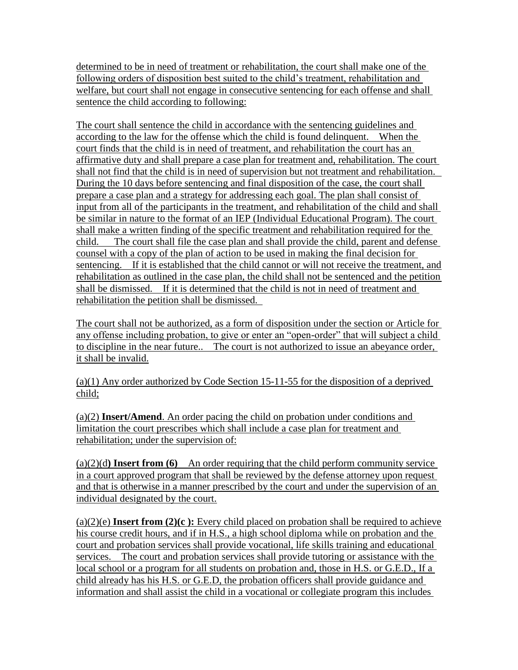determined to be in need of treatment or rehabilitation, the court shall make one of the following orders of disposition best suited to the child"s treatment, rehabilitation and welfare, but court shall not engage in consecutive sentencing for each offense and shall sentence the child according to following:

The court shall sentence the child in accordance with the sentencing guidelines and according to the law for the offense which the child is found delinquent. When the court finds that the child is in need of treatment, and rehabilitation the court has an affirmative duty and shall prepare a case plan for treatment and, rehabilitation. The court shall not find that the child is in need of supervision but not treatment and rehabilitation. During the 10 days before sentencing and final disposition of the case, the court shall prepare a case plan and a strategy for addressing each goal. The plan shall consist of input from all of the participants in the treatment, and rehabilitation of the child and shall be similar in nature to the format of an IEP (Individual Educational Program). The court shall make a written finding of the specific treatment and rehabilitation required for the child. The court shall file the case plan and shall provide the child, parent and defense counsel with a copy of the plan of action to be used in making the final decision for sentencing. If it is established that the child cannot or will not receive the treatment, and rehabilitation as outlined in the case plan, the child shall not be sentenced and the petition shall be dismissed. If it is determined that the child is not in need of treatment and rehabilitation the petition shall be dismissed.

The court shall not be authorized, as a form of disposition under the section or Article for any offense including probation, to give or enter an "open-order" that will subject a child to discipline in the near future.. The court is not authorized to issue an abeyance order, it shall be invalid.

(a)(1) Any order authorized by Code Section 15-11-55 for the disposition of a deprived child;

(a)(2) **Insert/Amend**. An order pacing the child on probation under conditions and limitation the court prescribes which shall include a case plan for treatment and rehabilitation; under the supervision of:

(a)(2)(d**) Insert from (6)** An order requiring that the child perform community service in a court approved program that shall be reviewed by the defense attorney upon request and that is otherwise in a manner prescribed by the court and under the supervision of an individual designated by the court.

(a)(2)(e) **Insert from (2)(c ):** Every child placed on probation shall be required to achieve his course credit hours, and if in H.S., a high school diploma while on probation and the court and probation services shall provide vocational, life skills training and educational services. The court and probation services shall provide tutoring or assistance with the local school or a program for all students on probation and, those in H.S. or G.E.D., If a child already has his H.S. or G.E.D, the probation officers shall provide guidance and information and shall assist the child in a vocational or collegiate program this includes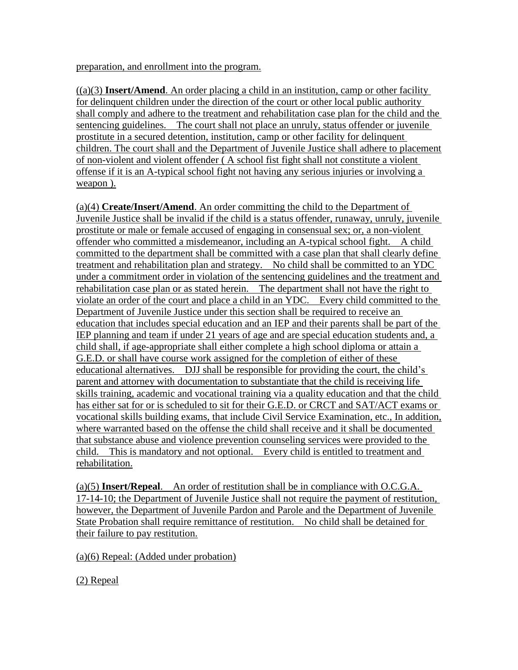preparation, and enrollment into the program.

 $((a)(3)$  **Insert/Amend**. An order placing a child in an institution, camp or other facility for delinquent children under the direction of the court or other local public authority shall comply and adhere to the treatment and rehabilitation case plan for the child and the sentencing guidelines. The court shall not place an unruly, status offender or juvenile prostitute in a secured detention, institution, camp or other facility for delinquent children. The court shall and the Department of Juvenile Justice shall adhere to placement of non-violent and violent offender ( A school fist fight shall not constitute a violent offense if it is an A-typical school fight not having any serious injuries or involving a weapon ).

(a)(4) **Create/Insert/Amend**. An order committing the child to the Department of Juvenile Justice shall be invalid if the child is a status offender, runaway, unruly, juvenile prostitute or male or female accused of engaging in consensual sex; or, a non-violent offender who committed a misdemeanor, including an A-typical school fight. A child committed to the department shall be committed with a case plan that shall clearly define treatment and rehabilitation plan and strategy. No child shall be committed to an YDC under a commitment order in violation of the sentencing guidelines and the treatment and rehabilitation case plan or as stated herein. The department shall not have the right to violate an order of the court and place a child in an YDC. Every child committed to the Department of Juvenile Justice under this section shall be required to receive an education that includes special education and an IEP and their parents shall be part of the IEP planning and team if under 21 years of age and are special education students and, a child shall, if age-appropriate shall either complete a high school diploma or attain a G.E.D. or shall have course work assigned for the completion of either of these educational alternatives. DJJ shall be responsible for providing the court, the child"s parent and attorney with documentation to substantiate that the child is receiving life skills training, academic and vocational training via a quality education and that the child has either sat for or is scheduled to sit for their G.E.D. or CRCT and SAT/ACT exams or vocational skills building exams, that include Civil Service Examination, etc., In addition, where warranted based on the offense the child shall receive and it shall be documented that substance abuse and violence prevention counseling services were provided to the child. This is mandatory and not optional. Every child is entitled to treatment and rehabilitation.

(a)(5) **Insert/Repeal**. An order of restitution shall be in compliance with O.C.G.A. 17-14-10; the Department of Juvenile Justice shall not require the payment of restitution, however, the Department of Juvenile Pardon and Parole and the Department of Juvenile State Probation shall require remittance of restitution. No child shall be detained for their failure to pay restitution.

(a)(6) Repeal: (Added under probation)

(2) Repeal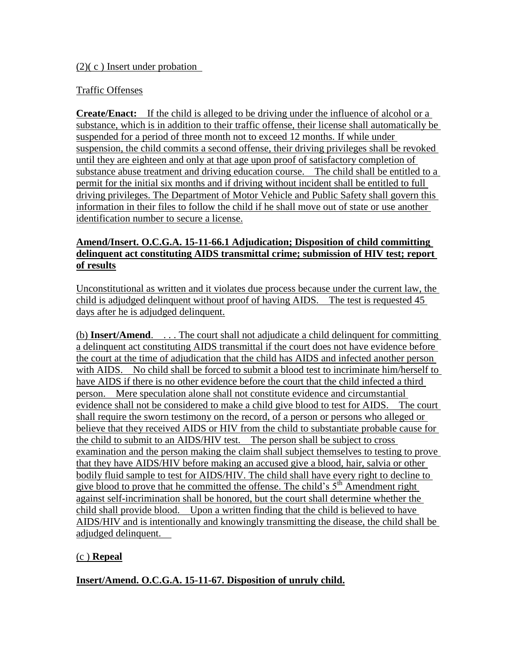#### (2)( c ) Insert under probation

#### Traffic Offenses

**Create/Enact:** If the child is alleged to be driving under the influence of alcohol or a substance, which is in addition to their traffic offense, their license shall automatically be suspended for a period of three month not to exceed 12 months. If while under suspension, the child commits a second offense, their driving privileges shall be revoked until they are eighteen and only at that age upon proof of satisfactory completion of substance abuse treatment and driving education course. The child shall be entitled to a permit for the initial six months and if driving without incident shall be entitled to full driving privileges. The Department of Motor Vehicle and Public Safety shall govern this information in their files to follow the child if he shall move out of state or use another identification number to secure a license.

#### **Amend/Insert. O.C.G.A. 15-11-66.1 Adjudication; Disposition of child committing delinquent act constituting AIDS transmittal crime; submission of HIV test; report of results**

Unconstitutional as written and it violates due process because under the current law, the child is adjudged delinquent without proof of having AIDS. The test is requested 45 days after he is adjudged delinquent.

(b) **Insert/Amend**. . . . The court shall not adjudicate a child delinquent for committing a delinquent act constituting AIDS transmittal if the court does not have evidence before the court at the time of adjudication that the child has AIDS and infected another person with AIDS. No child shall be forced to submit a blood test to incriminate him/herself to have AIDS if there is no other evidence before the court that the child infected a third person. Mere speculation alone shall not constitute evidence and circumstantial evidence shall not be considered to make a child give blood to test for AIDS. The court shall require the sworn testimony on the record, of a person or persons who alleged or believe that they received AIDS or HIV from the child to substantiate probable cause for the child to submit to an AIDS/HIV test. The person shall be subject to cross examination and the person making the claim shall subject themselves to testing to prove that they have AIDS/HIV before making an accused give a blood, hair, salvia or other bodily fluid sample to test for AIDS/HIV. The child shall have every right to decline to give blood to prove that he committed the offense. The child's  $5<sup>th</sup>$  Amendment right against self-incrimination shall be honored, but the court shall determine whether the child shall provide blood. Upon a written finding that the child is believed to have AIDS/HIV and is intentionally and knowingly transmitting the disease, the child shall be adjudged delinquent.

#### (c ) **Repeal**

**Insert/Amend. O.C.G.A. 15-11-67. Disposition of unruly child.**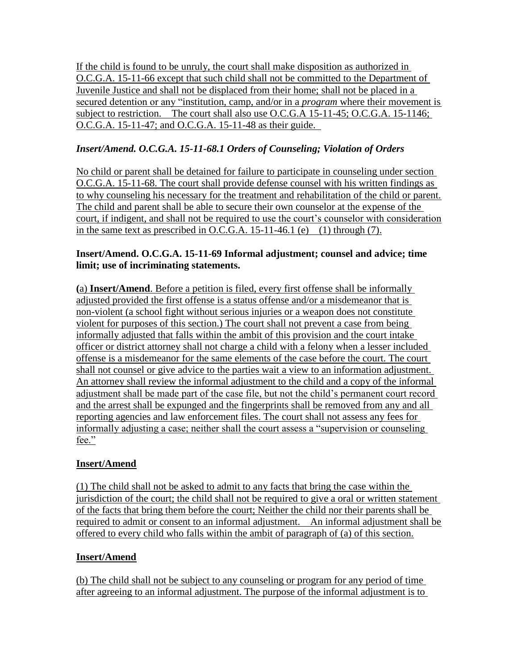If the child is found to be unruly, the court shall make disposition as authorized in O.C.G.A. 15-11-66 except that such child shall not be committed to the Department of Juvenile Justice and shall not be displaced from their home; shall not be placed in a secured detention or any "institution, camp, and/or in a *program* where their movement is subject to restriction. The court shall also use O.C.G.A 15-11-45; O.C.G.A. 15-1146; O.C.G.A. 15-11-47; and O.C.G.A. 15-11-48 as their guide.

# *Insert/Amend. O.C.G.A. 15-11-68.1 Orders of Counseling; Violation of Orders*

No child or parent shall be detained for failure to participate in counseling under section O.C.G.A. 15-11-68. The court shall provide defense counsel with his written findings as to why counseling his necessary for the treatment and rehabilitation of the child or parent. The child and parent shall be able to secure their own counselor at the expense of the court, if indigent, and shall not be required to use the court's counselor with consideration in the same text as prescribed in O.C.G.A.  $15-11-46.1$  (e) (1) through (7).

### **Insert/Amend. O.C.G.A. 15-11-69 Informal adjustment; counsel and advice; time limit; use of incriminating statements.**

**(**a) **Insert/Amend**. Before a petition is filed, every first offense shall be informally adjusted provided the first offense is a status offense and/or a misdemeanor that is non-violent (a school fight without serious injuries or a weapon does not constitute violent for purposes of this section.) The court shall not prevent a case from being informally adjusted that falls within the ambit of this provision and the court intake officer or district attorney shall not charge a child with a felony when a lesser included offense is a misdemeanor for the same elements of the case before the court. The court shall not counsel or give advice to the parties wait a view to an information adjustment. An attorney shall review the informal adjustment to the child and a copy of the informal adjustment shall be made part of the case file, but not the child"s permanent court record and the arrest shall be expunged and the fingerprints shall be removed from any and all reporting agencies and law enforcement files. The court shall not assess any fees for informally adjusting a case; neither shall the court assess a "supervision or counseling fee."

## **Insert/Amend**

(1) The child shall not be asked to admit to any facts that bring the case within the jurisdiction of the court; the child shall not be required to give a oral or written statement of the facts that bring them before the court; Neither the child nor their parents shall be required to admit or consent to an informal adjustment. An informal adjustment shall be offered to every child who falls within the ambit of paragraph of (a) of this section.

## **Insert/Amend**

(b) The child shall not be subject to any counseling or program for any period of time after agreeing to an informal adjustment. The purpose of the informal adjustment is to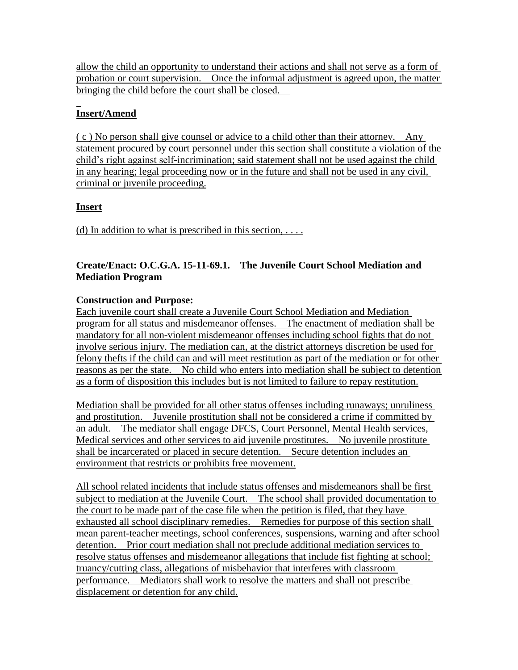allow the child an opportunity to understand their actions and shall not serve as a form of probation or court supervision. Once the informal adjustment is agreed upon, the matter bringing the child before the court shall be closed.

# **Insert/Amend**

( c ) No person shall give counsel or advice to a child other than their attorney. Any statement procured by court personnel under this section shall constitute a violation of the child"s right against self-incrimination; said statement shall not be used against the child in any hearing; legal proceeding now or in the future and shall not be used in any civil, criminal or juvenile proceeding.

## **Insert**

(d) In addition to what is prescribed in this section,  $\dots$ 

## **Create/Enact: O.C.G.A. 15-11-69.1. The Juvenile Court School Mediation and Mediation Program**

### **Construction and Purpose:**

Each juvenile court shall create a Juvenile Court School Mediation and Mediation program for all status and misdemeanor offenses. The enactment of mediation shall be mandatory for all non-violent misdemeanor offenses including school fights that do not involve serious injury. The mediation can, at the district attorneys discretion be used for felony thefts if the child can and will meet restitution as part of the mediation or for other reasons as per the state. No child who enters into mediation shall be subject to detention as a form of disposition this includes but is not limited to failure to repay restitution.

Mediation shall be provided for all other status offenses including runaways; unruliness and prostitution. Juvenile prostitution shall not be considered a crime if committed by an adult. The mediator shall engage DFCS, Court Personnel, Mental Health services, Medical services and other services to aid juvenile prostitutes. No juvenile prostitute shall be incarcerated or placed in secure detention. Secure detention includes an environment that restricts or prohibits free movement.

All school related incidents that include status offenses and misdemeanors shall be first subject to mediation at the Juvenile Court. The school shall provided documentation to the court to be made part of the case file when the petition is filed, that they have exhausted all school disciplinary remedies. Remedies for purpose of this section shall mean parent-teacher meetings, school conferences, suspensions, warning and after school detention. Prior court mediation shall not preclude additional mediation services to resolve status offenses and misdemeanor allegations that include fist fighting at school; truancy/cutting class, allegations of misbehavior that interferes with classroom performance. Mediators shall work to resolve the matters and shall not prescribe displacement or detention for any child.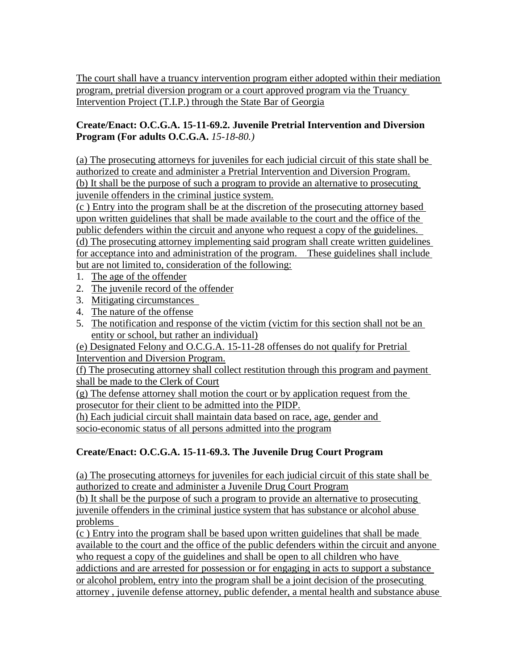The court shall have a truancy intervention program either adopted within their mediation program, pretrial diversion program or a court approved program via the Truancy Intervention Project (T.I.P.) through the State Bar of Georgia

#### **Create/Enact: O.C.G.A. 15-11-69.2. Juvenile Pretrial Intervention and Diversion Program (For adults O.C.G.A.** *15-18-80.)*

(a) The prosecuting attorneys for juveniles for each judicial circuit of this state shall be authorized to create and administer a Pretrial Intervention and Diversion Program. (b) It shall be the purpose of such a program to provide an alternative to prosecuting juvenile offenders in the criminal justice system.

(c ) Entry into the program shall be at the discretion of the prosecuting attorney based upon written guidelines that shall be made available to the court and the office of the public defenders within the circuit and anyone who request a copy of the guidelines. (d) The prosecuting attorney implementing said program shall create written guidelines for acceptance into and administration of the program. These guidelines shall include but are not limited to, consideration of the following:

- 1. The age of the offender
- 2. The juvenile record of the offender
- 3. Mitigating circumstances
- 4. The nature of the offense
- 5. The notification and response of the victim (victim for this section shall not be an entity or school, but rather an individual)

(e) Designated Felony and O.C.G.A. 15-11-28 offenses do not qualify for Pretrial Intervention and Diversion Program.

(f) The prosecuting attorney shall collect restitution through this program and payment shall be made to the Clerk of Court

(g) The defense attorney shall motion the court or by application request from the prosecutor for their client to be admitted into the PIDP.

(h) Each judicial circuit shall maintain data based on race, age, gender and socio-economic status of all persons admitted into the program

## **Create/Enact: O.C.G.A. 15-11-69.3. The Juvenile Drug Court Program**

(a) The prosecuting attorneys for juveniles for each judicial circuit of this state shall be authorized to create and administer a Juvenile Drug Court Program

(b) It shall be the purpose of such a program to provide an alternative to prosecuting juvenile offenders in the criminal justice system that has substance or alcohol abuse problems

(c ) Entry into the program shall be based upon written guidelines that shall be made available to the court and the office of the public defenders within the circuit and anyone who request a copy of the guidelines and shall be open to all children who have addictions and are arrested for possession or for engaging in acts to support a substance or alcohol problem, entry into the program shall be a joint decision of the prosecuting attorney , juvenile defense attorney, public defender, a mental health and substance abuse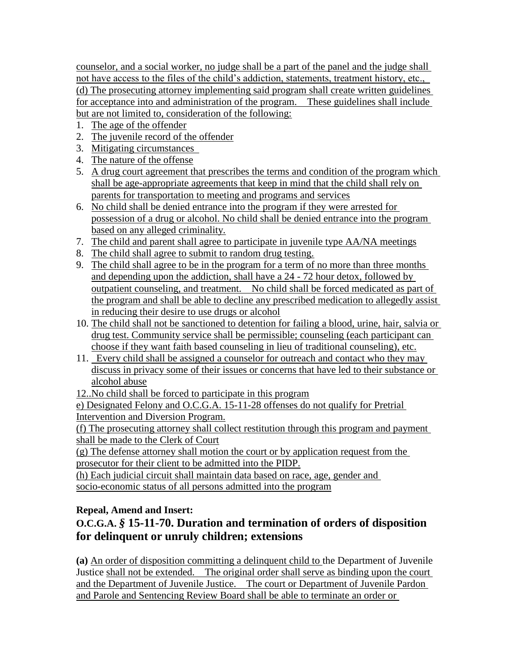counselor, and a social worker, no judge shall be a part of the panel and the judge shall not have access to the files of the child"s addiction, statements, treatment history, etc., (d) The prosecuting attorney implementing said program shall create written guidelines for acceptance into and administration of the program. These guidelines shall include but are not limited to, consideration of the following:

- 1. The age of the offender
- 2. The juvenile record of the offender
- 3. Mitigating circumstances
- 4. The nature of the offense
- 5. A drug court agreement that prescribes the terms and condition of the program which shall be age-appropriate agreements that keep in mind that the child shall rely on parents for transportation to meeting and programs and services
- 6. No child shall be denied entrance into the program if they were arrested for possession of a drug or alcohol. No child shall be denied entrance into the program based on any alleged criminality.
- 7. The child and parent shall agree to participate in juvenile type AA/NA meetings
- 8. The child shall agree to submit to random drug testing.
- 9. The child shall agree to be in the program for a term of no more than three months and depending upon the addiction, shall have a 24 - 72 hour detox, followed by outpatient counseling, and treatment. No child shall be forced medicated as part of the program and shall be able to decline any prescribed medication to allegedly assist in reducing their desire to use drugs or alcohol
- 10. The child shall not be sanctioned to detention for failing a blood, urine, hair, salvia or drug test. Community service shall be permissible; counseling (each participant can choose if they want faith based counseling in lieu of traditional counseling), etc.
- 11. Every child shall be assigned a counselor for outreach and contact who they may discuss in privacy some of their issues or concerns that have led to their substance or alcohol abuse

12..No child shall be forced to participate in this program

e) Designated Felony and O.C.G.A. 15-11-28 offenses do not qualify for Pretrial Intervention and Diversion Program.

(f) The prosecuting attorney shall collect restitution through this program and payment shall be made to the Clerk of Court

(g) The defense attorney shall motion the court or by application request from the prosecutor for their client to be admitted into the PIDP.

(h) Each judicial circuit shall maintain data based on race, age, gender and socio-economic status of all persons admitted into the program

## **Repeal, Amend and Insert:**

# **O.C.G.A.** *§* **15-11-70. Duration and termination of orders of disposition for delinquent or unruly children; extensions**

**(a)** An order of disposition committing a delinquent child to the Department of Juvenile Justice shall not be extended. The original order shall serve as binding upon the court and the Department of Juvenile Justice. The court or Department of Juvenile Pardon and Parole and Sentencing Review Board shall be able to terminate an order or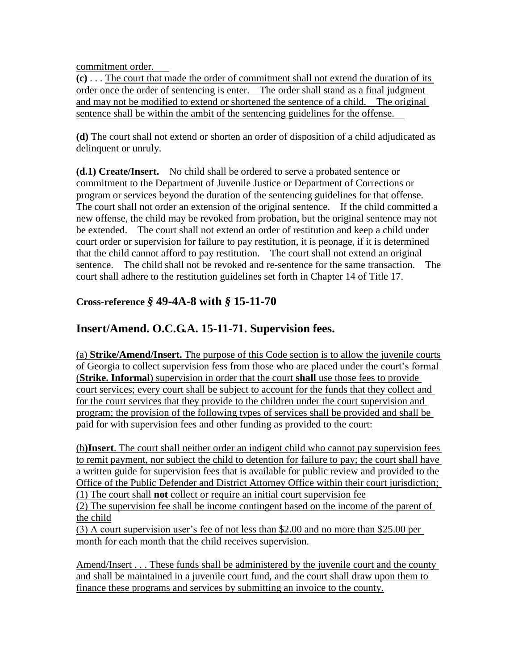commitment order.

**(c)** . . . The court that made the order of commitment shall not extend the duration of its order once the order of sentencing is enter. The order shall stand as a final judgment and may not be modified to extend or shortened the sentence of a child. The original sentence shall be within the ambit of the sentencing guidelines for the offense.

**(d)** The court shall not extend or shorten an order of disposition of a child adjudicated as delinquent or unruly.

**(d.1) Create/Insert.** No child shall be ordered to serve a probated sentence or commitment to the Department of Juvenile Justice or Department of Corrections or program or services beyond the duration of the sentencing guidelines for that offense. The court shall not order an extension of the original sentence. If the child committed a new offense, the child may be revoked from probation, but the original sentence may not be extended. The court shall not extend an order of restitution and keep a child under court order or supervision for failure to pay restitution, it is peonage, if it is determined that the child cannot afford to pay restitution. The court shall not extend an original sentence. The child shall not be revoked and re-sentence for the same transaction. The court shall adhere to the restitution guidelines set forth in Chapter 14 of Title 17.

## **Cross-reference** *§* **49-4A-8 with** *§* **15-11-70**

## **Insert/Amend. O.C.G.A. 15-11-71. Supervision fees.**

(a) **Strike/Amend/Insert.** The purpose of this Code section is to allow the juvenile courts of Georgia to collect supervision fess from those who are placed under the court"s formal (**Strike. Informal**) supervision in order that the court **shall** use those fees to provide court services; every court shall be subject to account for the funds that they collect and for the court services that they provide to the children under the court supervision and program; the provision of the following types of services shall be provided and shall be paid for with supervision fees and other funding as provided to the court:

(b**)Insert**. The court shall neither order an indigent child who cannot pay supervision fees to remit payment, nor subject the child to detention for failure to pay; the court shall have a written guide for supervision fees that is available for public review and provided to the Office of the Public Defender and District Attorney Office within their court jurisdiction; (1) The court shall **not** collect or require an initial court supervision fee

(2) The supervision fee shall be income contingent based on the income of the parent of the child

(3) A court supervision user"s fee of not less than \$2.00 and no more than \$25.00 per month for each month that the child receives supervision.

Amend/Insert . . . These funds shall be administered by the juvenile court and the county and shall be maintained in a juvenile court fund, and the court shall draw upon them to finance these programs and services by submitting an invoice to the county.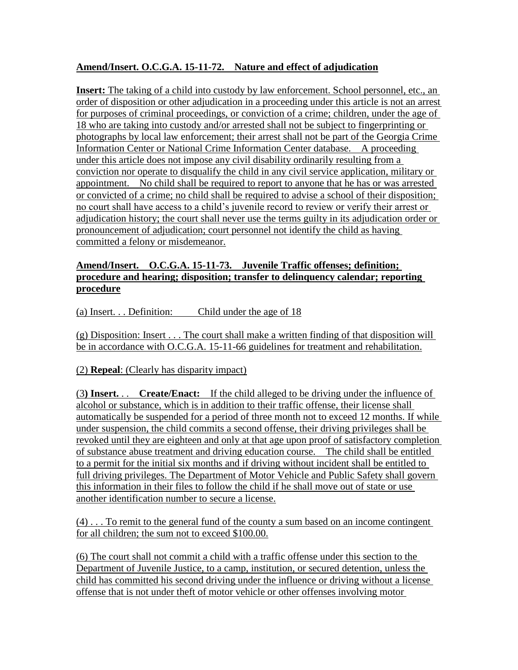## **Amend/Insert. O.C.G.A. 15-11-72. Nature and effect of adjudication**

**Insert:** The taking of a child into custody by law enforcement. School personnel, etc., an order of disposition or other adjudication in a proceeding under this article is not an arrest for purposes of criminal proceedings, or conviction of a crime; children, under the age of 18 who are taking into custody and/or arrested shall not be subject to fingerprinting or photographs by local law enforcement; their arrest shall not be part of the Georgia Crime Information Center or National Crime Information Center database. A proceeding under this article does not impose any civil disability ordinarily resulting from a conviction nor operate to disqualify the child in any civil service application, military or appointment. No child shall be required to report to anyone that he has or was arrested or convicted of a crime; no child shall be required to advise a school of their disposition; no court shall have access to a child"s juvenile record to review or verify their arrest or adjudication history; the court shall never use the terms guilty in its adjudication order or pronouncement of adjudication; court personnel not identify the child as having committed a felony or misdemeanor.

#### **Amend/Insert. O.C.G.A. 15-11-73. Juvenile Traffic offenses; definition; procedure and hearing; disposition; transfer to delinquency calendar; reporting procedure**

(a) Insert. . . Definition: Child under the age of 18

(g) Disposition: Insert . . . The court shall make a written finding of that disposition will be in accordance with O.C.G.A. 15-11-66 guidelines for treatment and rehabilitation.

(2) **Repeal**: (Clearly has disparity impact)

(3**) Insert.** . . **Create/Enact:** If the child alleged to be driving under the influence of alcohol or substance, which is in addition to their traffic offense, their license shall automatically be suspended for a period of three month not to exceed 12 months. If while under suspension, the child commits a second offense, their driving privileges shall be revoked until they are eighteen and only at that age upon proof of satisfactory completion of substance abuse treatment and driving education course. The child shall be entitled to a permit for the initial six months and if driving without incident shall be entitled to full driving privileges. The Department of Motor Vehicle and Public Safety shall govern this information in their files to follow the child if he shall move out of state or use another identification number to secure a license.

(4) . . . To remit to the general fund of the county a sum based on an income contingent for all children; the sum not to exceed \$100.00.

(6) The court shall not commit a child with a traffic offense under this section to the Department of Juvenile Justice, to a camp, institution, or secured detention, unless the child has committed his second driving under the influence or driving without a license offense that is not under theft of motor vehicle or other offenses involving motor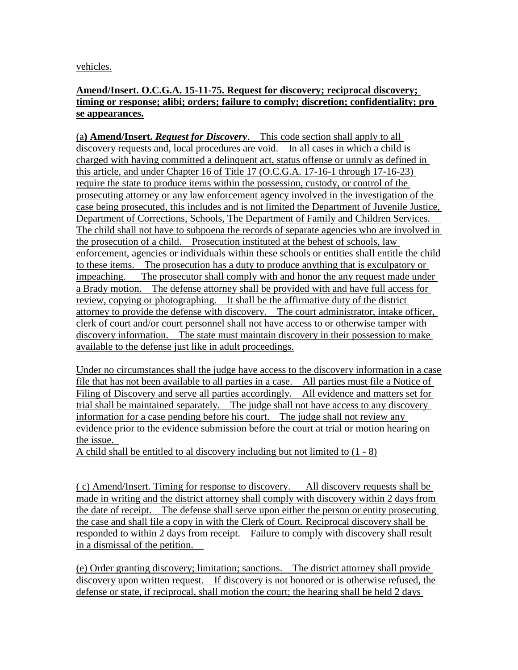vehicles.

#### **Amend/Insert. O.C.G.A. 15-11-75. Request for discovery; reciprocal discovery; timing or response; alibi; orders; failure to comply; discretion; confidentiality; pro se appearances.**

(a**) Amend/Insert.** *Request for Discovery*. This code section shall apply to all discovery requests and, local procedures are void. In all cases in which a child is charged with having committed a delinquent act, status offense or unruly as defined in this article, and under Chapter 16 of Title 17 (O.C.G.A. 17-16-1 through 17-16-23) require the state to produce items within the possession, custody, or control of the prosecuting attorney or any law enforcement agency involved in the investigation of the case being prosecuted, this includes and is not limited the Department of Juvenile Justice, Department of Corrections, Schools, The Department of Family and Children Services. The child shall not have to subpoena the records of separate agencies who are involved in the prosecution of a child. Prosecution instituted at the behest of schools, law enforcement, agencies or individuals within these schools or entities shall entitle the child to these items. The prosecution has a duty to produce anything that is exculpatory or impeaching. The prosecutor shall comply with and honor the any request made under a Brady motion. The defense attorney shall be provided with and have full access for review, copying or photographing. It shall be the affirmative duty of the district attorney to provide the defense with discovery. The court administrator, intake officer, clerk of court and/or court personnel shall not have access to or otherwise tamper with discovery information. The state must maintain discovery in their possession to make available to the defense just like in adult proceedings.

Under no circumstances shall the judge have access to the discovery information in a case file that has not been available to all parties in a case. All parties must file a Notice of Filing of Discovery and serve all parties accordingly. All evidence and matters set for trial shall be maintained separately. The judge shall not have access to any discovery information for a case pending before his court. The judge shall not review any evidence prior to the evidence submission before the court at trial or motion hearing on the issue.

A child shall be entitled to al discovery including but not limited to (1 - 8)

( c) Amend/Insert. Timing for response to discovery. All discovery requests shall be made in writing and the district attorney shall comply with discovery within 2 days from the date of receipt. The defense shall serve upon either the person or entity prosecuting the case and shall file a copy in with the Clerk of Court. Reciprocal discovery shall be responded to within 2 days from receipt. Failure to comply with discovery shall result in a dismissal of the petition.

(e) Order granting discovery; limitation; sanctions. The district attorney shall provide discovery upon written request. If discovery is not honored or is otherwise refused, the defense or state, if reciprocal, shall motion the court; the hearing shall be held 2 days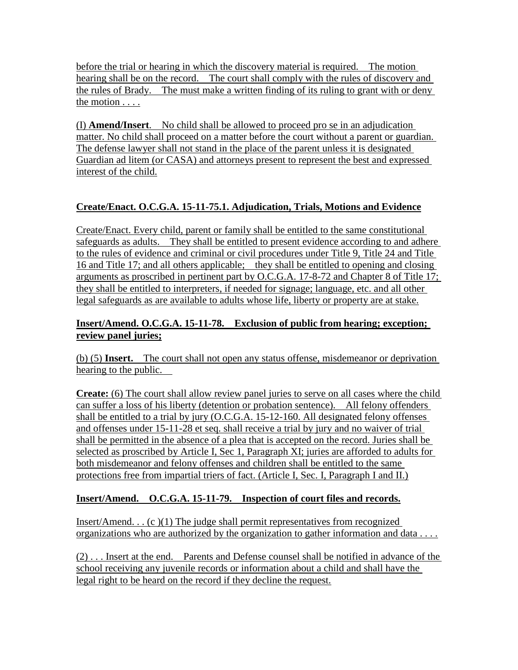before the trial or hearing in which the discovery material is required. The motion hearing shall be on the record. The court shall comply with the rules of discovery and the rules of Brady. The must make a written finding of its ruling to grant with or deny the motion . . . .

(I) **Amend/Insert**. No child shall be allowed to proceed pro se in an adjudication matter. No child shall proceed on a matter before the court without a parent or guardian. The defense lawyer shall not stand in the place of the parent unless it is designated Guardian ad litem (or CASA) and attorneys present to represent the best and expressed interest of the child.

## **Create/Enact. O.C.G.A. 15-11-75.1. Adjudication, Trials, Motions and Evidence**

Create/Enact. Every child, parent or family shall be entitled to the same constitutional safeguards as adults. They shall be entitled to present evidence according to and adhere to the rules of evidence and criminal or civil procedures under Title 9, Title 24 and Title 16 and Title 17; and all others applicable; they shall be entitled to opening and closing arguments as proscribed in pertinent part by O.C.G.A. 17-8-72 and Chapter 8 of Title 17; they shall be entitled to interpreters, if needed for signage; language, etc. and all other legal safeguards as are available to adults whose life, liberty or property are at stake.

### **Insert/Amend. O.C.G.A. 15-11-78. Exclusion of public from hearing; exception; review panel juries;**

(b) (5) **Insert.** The court shall not open any status offense, misdemeanor or deprivation hearing to the public.

**Create:** (6) The court shall allow review panel juries to serve on all cases where the child can suffer a loss of his liberty (detention or probation sentence). All felony offenders shall be entitled to a trial by jury (O.C.G.A. 15-12-160. All designated felony offenses and offenses under 15-11-28 et seq. shall receive a trial by jury and no waiver of trial shall be permitted in the absence of a plea that is accepted on the record. Juries shall be selected as proscribed by Article I, Sec 1, Paragraph XI; juries are afforded to adults for both misdemeanor and felony offenses and children shall be entitled to the same protections free from impartial triers of fact. (Article I, Sec. I, Paragraph I and II.)

## **Insert/Amend. O.C.G.A. 15-11-79. Inspection of court files and records.**

Insert/Amend... $(c)(1)$  The judge shall permit representatives from recognized organizations who are authorized by the organization to gather information and data . . . .

(2) . . . Insert at the end. Parents and Defense counsel shall be notified in advance of the school receiving any juvenile records or information about a child and shall have the legal right to be heard on the record if they decline the request.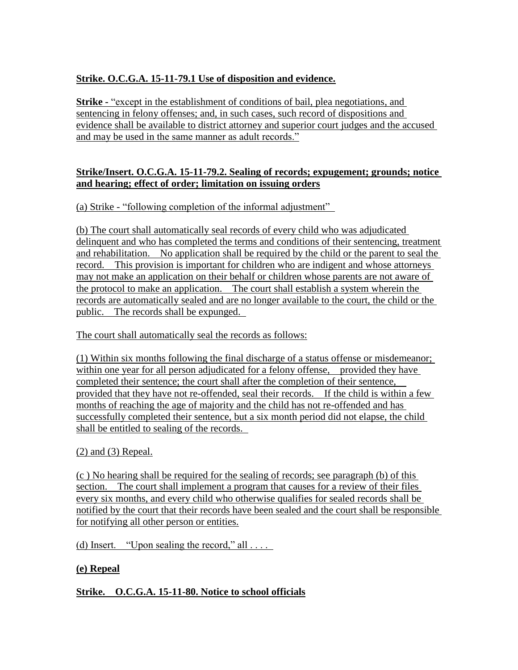## **Strike. O.C.G.A. 15-11-79.1 Use of disposition and evidence.**

**Strike -** "except in the establishment of conditions of bail, plea negotiations, and sentencing in felony offenses; and, in such cases, such record of dispositions and evidence shall be available to district attorney and superior court judges and the accused and may be used in the same manner as adult records."

### **Strike/Insert. O.C.G.A. 15-11-79.2. Sealing of records; expugement; grounds; notice and hearing; effect of order; limitation on issuing orders**

(a) Strike - "following completion of the informal adjustment"

(b) The court shall automatically seal records of every child who was adjudicated delinquent and who has completed the terms and conditions of their sentencing, treatment and rehabilitation. No application shall be required by the child or the parent to seal the record. This provision is important for children who are indigent and whose attorneys may not make an application on their behalf or children whose parents are not aware of the protocol to make an application. The court shall establish a system wherein the records are automatically sealed and are no longer available to the court, the child or the public. The records shall be expunged.

The court shall automatically seal the records as follows:

(1) Within six months following the final discharge of a status offense or misdemeanor; within one year for all person adjudicated for a felony offense, provided they have completed their sentence; the court shall after the completion of their sentence, provided that they have not re-offended, seal their records. If the child is within a few months of reaching the age of majority and the child has not re-offended and has successfully completed their sentence, but a six month period did not elapse, the child shall be entitled to sealing of the records.

## (2) and (3) Repeal.

(c ) No hearing shall be required for the sealing of records; see paragraph (b) of this section. The court shall implement a program that causes for a review of their files every six months, and every child who otherwise qualifies for sealed records shall be notified by the court that their records have been sealed and the court shall be responsible for notifying all other person or entities.

(d) Insert. "Upon sealing the record," all  $\dots$ 

## **(e) Repeal**

**Strike. O.C.G.A. 15-11-80. Notice to school officials**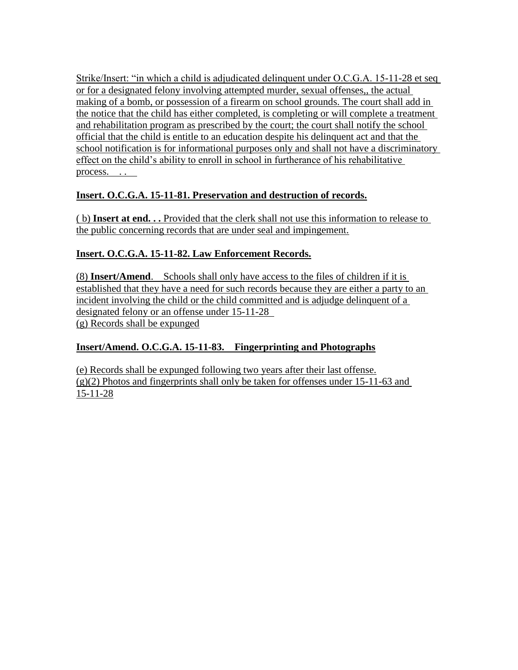Strike/Insert: "in which a child is adjudicated delinquent under O.C.G.A. 15-11-28 et seq or for a designated felony involving attempted murder, sexual offenses,, the actual making of a bomb, or possession of a firearm on school grounds. The court shall add in the notice that the child has either completed, is completing or will complete a treatment and rehabilitation program as prescribed by the court; the court shall notify the school official that the child is entitle to an education despite his delinquent act and that the school notification is for informational purposes only and shall not have a discriminatory effect on the child"s ability to enroll in school in furtherance of his rehabilitative process.

## **Insert. O.C.G.A. 15-11-81. Preservation and destruction of records.**

( b) **Insert at end. . .** Provided that the clerk shall not use this information to release to the public concerning records that are under seal and impingement.

## **Insert. O.C.G.A. 15-11-82. Law Enforcement Records.**

(8) **Insert/Amend**. Schools shall only have access to the files of children if it is established that they have a need for such records because they are either a party to an incident involving the child or the child committed and is adjudge delinquent of a designated felony or an offense under 15-11-28 (g) Records shall be expunged

## **Insert/Amend. O.C.G.A. 15-11-83. Fingerprinting and Photographs**

(e) Records shall be expunged following two years after their last offense. (g)(2) Photos and fingerprints shall only be taken for offenses under 15-11-63 and 15-11-28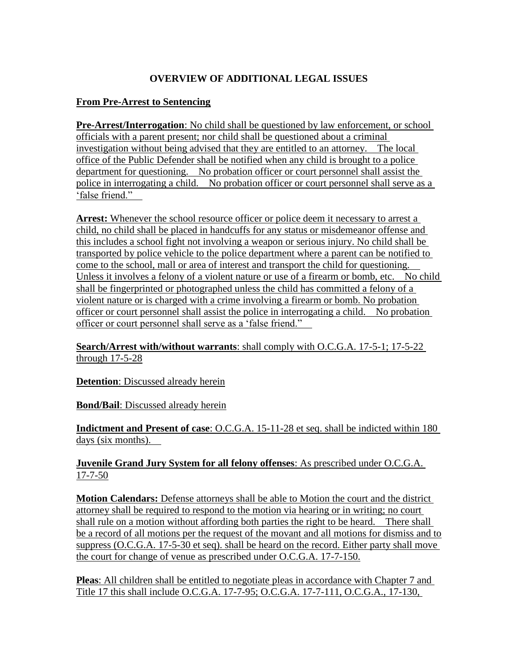## **OVERVIEW OF ADDITIONAL LEGAL ISSUES**

#### **From Pre-Arrest to Sentencing**

**Pre-Arrest/Interrogation**: No child shall be questioned by law enforcement, or school officials with a parent present; nor child shall be questioned about a criminal investigation without being advised that they are entitled to an attorney. The local office of the Public Defender shall be notified when any child is brought to a police department for questioning. No probation officer or court personnel shall assist the police in interrogating a child. No probation officer or court personnel shall serve as a "false friend."

**Arrest:** Whenever the school resource officer or police deem it necessary to arrest a child, no child shall be placed in handcuffs for any status or misdemeanor offense and this includes a school fight not involving a weapon or serious injury. No child shall be transported by police vehicle to the police department where a parent can be notified to come to the school, mall or area of interest and transport the child for questioning. Unless it involves a felony of a violent nature or use of a firearm or bomb, etc. No child shall be fingerprinted or photographed unless the child has committed a felony of a violent nature or is charged with a crime involving a firearm or bomb. No probation officer or court personnel shall assist the police in interrogating a child. No probation officer or court personnel shall serve as a "false friend."

**Search/Arrest with/without warrants**: shall comply with O.C.G.A. 17-5-1; 17-5-22 through 17-5-28

**Detention**: Discussed already herein

**Bond/Bail**: Discussed already herein

**Indictment and Present of case**: O.C.G.A. 15-11-28 et seq. shall be indicted within 180 days (six months).

**Juvenile Grand Jury System for all felony offenses**: As prescribed under O.C.G.A. 17-7-50

**Motion Calendars:** Defense attorneys shall be able to Motion the court and the district attorney shall be required to respond to the motion via hearing or in writing; no court shall rule on a motion without affording both parties the right to be heard. There shall be a record of all motions per the request of the movant and all motions for dismiss and to suppress (O.C.G.A. 17-5-30 et seq). shall be heard on the record. Either party shall move the court for change of venue as prescribed under O.C.G.A. 17-7-150.

**Pleas**: All children shall be entitled to negotiate pleas in accordance with Chapter 7 and Title 17 this shall include O.C.G.A. 17-7-95; O.C.G.A. 17-7-111, O.C.G.A., 17-130,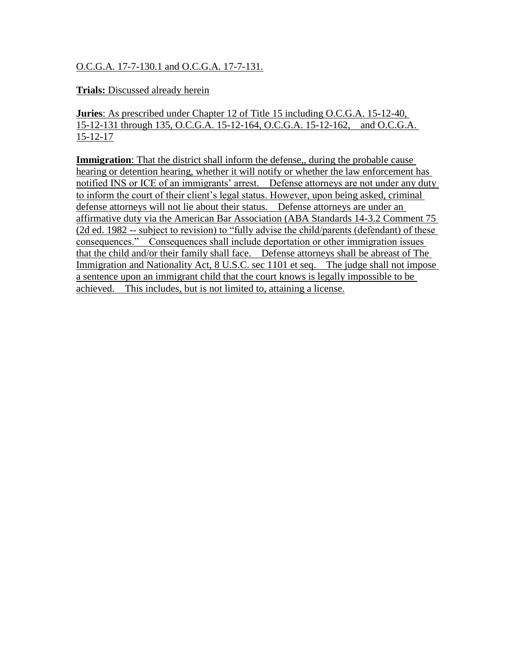#### O.C.G.A. 17-7-130.1 and O.C.G.A. 17-7-131.

#### **Trials:** Discussed already herein

**Juries**: As prescribed under Chapter 12 of Title 15 including O.C.G.A. 15-12-40, 15-12-131 through 135, O.C.G.A. 15-12-164, O.C.G.A. 15-12-162, and O.C.G.A. 15-12-17

**Immigration**: That the district shall inform the defense, during the probable cause hearing or detention hearing, whether it will notify or whether the law enforcement has notified INS or ICE of an immigrants' arrest. Defense attorneys are not under any duty to inform the court of their client's legal status. However, upon being asked, criminal defense attorneys will not lie about their status. Defense attorneys are under an affirmative duty via the American Bar Association (ABA Standards 14-3.2 Comment 75 (2d ed. 1982 -- subject to revision) to "fully advise the child/parents (defendant) of these consequences." Consequences shall include deportation or other immigration issues that the child and/or their family shall face. Defense attorneys shall be abreast of The Immigration and Nationality Act, 8 U.S.C. sec 1101 et seq. The judge shall not impose a sentence upon an immigrant child that the court knows is legally impossible to be achieved. This includes, but is not limited to, attaining a license.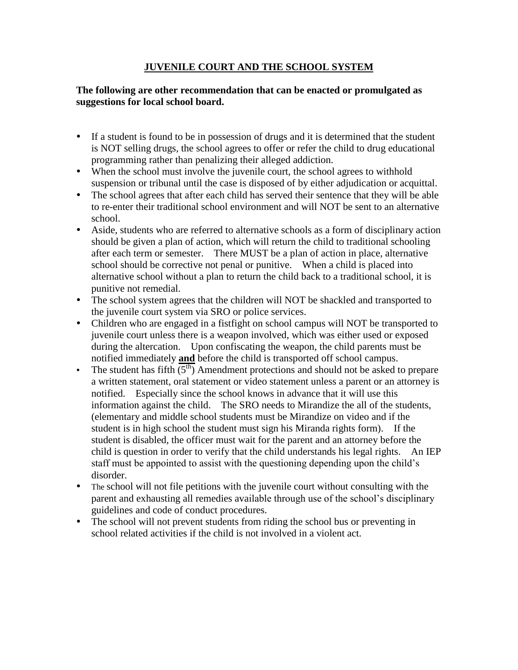#### **JUVENILE COURT AND THE SCHOOL SYSTEM**

#### **The following are other recommendation that can be enacted or promulgated as suggestions for local school board.**

- If a student is found to be in possession of drugs and it is determined that the student is NOT selling drugs, the school agrees to offer or refer the child to drug educational programming rather than penalizing their alleged addiction.
- When the school must involve the juvenile court, the school agrees to withhold suspension or tribunal until the case is disposed of by either adjudication or acquittal.
- The school agrees that after each child has served their sentence that they will be able to re-enter their traditional school environment and will NOT be sent to an alternative school.
- Aside, students who are referred to alternative schools as a form of disciplinary action should be given a plan of action, which will return the child to traditional schooling after each term or semester. There MUST be a plan of action in place, alternative school should be corrective not penal or punitive. When a child is placed into alternative school without a plan to return the child back to a traditional school, it is punitive not remedial.
- The school system agrees that the children will NOT be shackled and transported to the juvenile court system via SRO or police services.
- Children who are engaged in a fistfight on school campus will NOT be transported to juvenile court unless there is a weapon involved, which was either used or exposed during the altercation. Upon confiscating the weapon, the child parents must be notified immediately **and** before the child is transported off school campus.
- Fig. The student has fifth  $(5<sup>th</sup>)$  Amendment protections and should not be asked to prepare a written statement, oral statement or video statement unless a parent or an attorney is notified. Especially since the school knows in advance that it will use this information against the child. The SRO needs to Mirandize the all of the students, (elementary and middle school students must be Mirandize on video and if the student is in high school the student must sign his Miranda rights form). If the student is disabled, the officer must wait for the parent and an attorney before the child is question in order to verify that the child understands his legal rights. An IEP staff must be appointed to assist with the questioning depending upon the child"s disorder.
- The school will not file petitions with the juvenile court without consulting with the parent and exhausting all remedies available through use of the school"s disciplinary guidelines and code of conduct procedures.
- The school will not prevent students from riding the school bus or preventing in school related activities if the child is not involved in a violent act.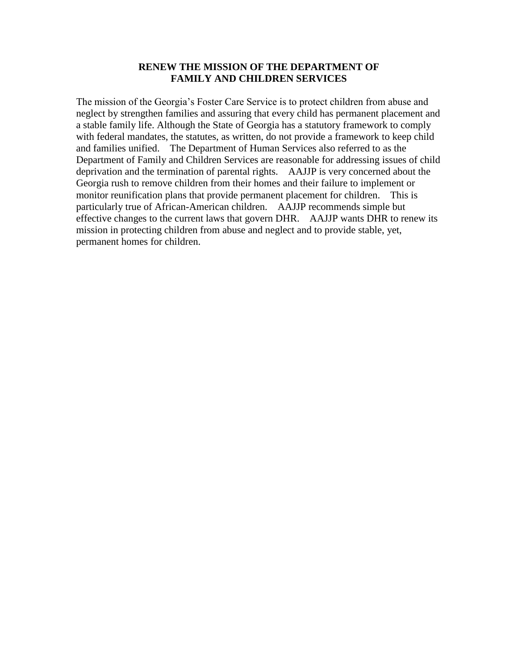#### **RENEW THE MISSION OF THE DEPARTMENT OF FAMILY AND CHILDREN SERVICES**

The mission of the Georgia"s Foster Care Service is to protect children from abuse and neglect by strengthen families and assuring that every child has permanent placement and a stable family life. Although the State of Georgia has a statutory framework to comply with federal mandates, the statutes, as written, do not provide a framework to keep child and families unified. The Department of Human Services also referred to as the Department of Family and Children Services are reasonable for addressing issues of child deprivation and the termination of parental rights. AAJJP is very concerned about the Georgia rush to remove children from their homes and their failure to implement or monitor reunification plans that provide permanent placement for children. This is particularly true of African-American children. AAJJP recommends simple but effective changes to the current laws that govern DHR. AAJJP wants DHR to renew its mission in protecting children from abuse and neglect and to provide stable, yet, permanent homes for children.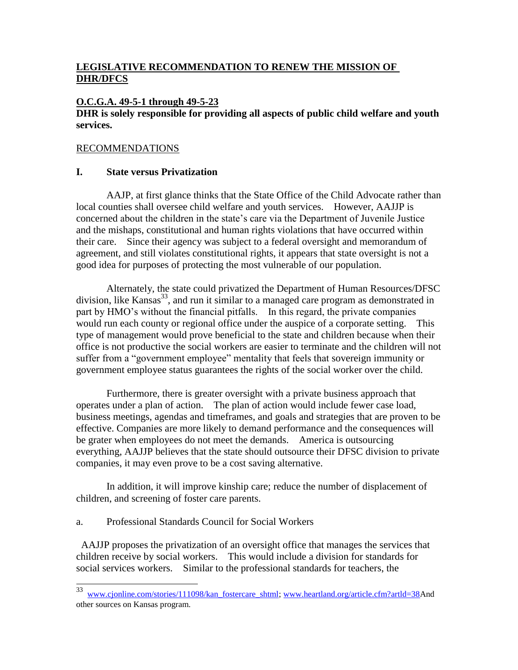### **LEGISLATIVE RECOMMENDATION TO RENEW THE MISSION OF DHR/DFCS**

#### **O.C.G.A. 49-5-1 through 49-5-23**

#### **DHR is solely responsible for providing all aspects of public child welfare and youth services.**

#### RECOMMENDATIONS

#### **I. State versus Privatization**

AAJP, at first glance thinks that the State Office of the Child Advocate rather than local counties shall oversee child welfare and youth services. However, AAJJP is concerned about the children in the state"s care via the Department of Juvenile Justice and the mishaps, constitutional and human rights violations that have occurred within their care. Since their agency was subject to a federal oversight and memorandum of agreement, and still violates constitutional rights, it appears that state oversight is not a good idea for purposes of protecting the most vulnerable of our population.

Alternately, the state could privatized the Department of Human Resources/DFSC division, like Kansas<sup>33</sup>, and run it similar to a managed care program as demonstrated in part by HMO's without the financial pitfalls. In this regard, the private companies would run each county or regional office under the auspice of a corporate setting. This type of management would prove beneficial to the state and children because when their office is not productive the social workers are easier to terminate and the children will not suffer from a "government employee" mentality that feels that sovereign immunity or government employee status guarantees the rights of the social worker over the child.

Furthermore, there is greater oversight with a private business approach that operates under a plan of action. The plan of action would include fewer case load, business meetings, agendas and timeframes, and goals and strategies that are proven to be effective. Companies are more likely to demand performance and the consequences will be grater when employees do not meet the demands. America is outsourcing everything, AAJJP believes that the state should outsource their DFSC division to private companies, it may even prove to be a cost saving alternative.

In addition, it will improve kinship care; reduce the number of displacement of children, and screening of foster care parents.

a. Professional Standards Council for Social Workers

AAJJP proposes the privatization of an oversight office that manages the services that children receive by social workers. This would include a division for standards for social services workers. Similar to the professional standards for teachers, the

<sup>33</sup> [www.cjonline.com/stories/111098/kan\\_fostercare\\_shtml;](http://www.cjonline.com/stories/111098/kan_fostercare_shtml) [www.heartland.org/article.cfm?artld=38A](http://www.heartland.org/article.cfm?artld=38)nd other sources on Kansas program.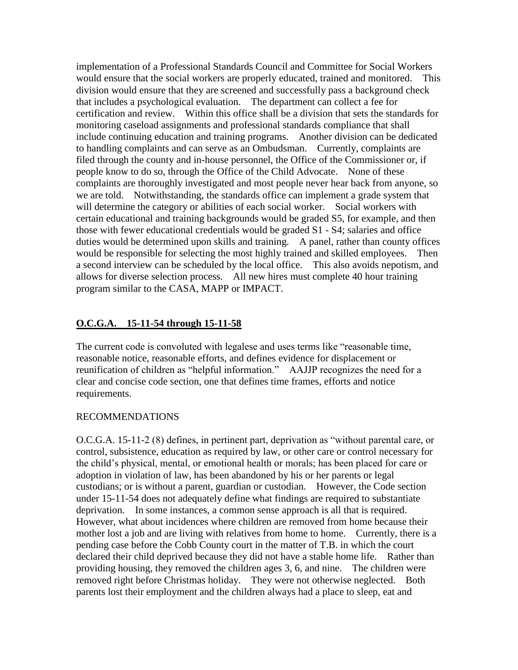implementation of a Professional Standards Council and Committee for Social Workers would ensure that the social workers are properly educated, trained and monitored. This division would ensure that they are screened and successfully pass a background check that includes a psychological evaluation. The department can collect a fee for certification and review. Within this office shall be a division that sets the standards for monitoring caseload assignments and professional standards compliance that shall include continuing education and training programs. Another division can be dedicated to handling complaints and can serve as an Ombudsman. Currently, complaints are filed through the county and in-house personnel, the Office of the Commissioner or, if people know to do so, through the Office of the Child Advocate. None of these complaints are thoroughly investigated and most people never hear back from anyone, so we are told. Notwithstanding, the standards office can implement a grade system that will determine the category or abilities of each social worker. Social workers with certain educational and training backgrounds would be graded S5, for example, and then those with fewer educational credentials would be graded S1 - S4; salaries and office duties would be determined upon skills and training. A panel, rather than county offices would be responsible for selecting the most highly trained and skilled employees. Then a second interview can be scheduled by the local office. This also avoids nepotism, and allows for diverse selection process. All new hires must complete 40 hour training program similar to the CASA, MAPP or IMPACT.

## **O.C.G.A. 15-11-54 through 15-11-58**

The current code is convoluted with legalese and uses terms like "reasonable time, reasonable notice, reasonable efforts, and defines evidence for displacement or reunification of children as "helpful information." AAJJP recognizes the need for a clear and concise code section, one that defines time frames, efforts and notice requirements.

#### RECOMMENDATIONS

O.C.G.A. 15-11-2 (8) defines, in pertinent part, deprivation as "without parental care, or control, subsistence, education as required by law, or other care or control necessary for the child"s physical, mental, or emotional health or morals; has been placed for care or adoption in violation of law, has been abandoned by his or her parents or legal custodians; or is without a parent, guardian or custodian. However, the Code section under 15-11-54 does not adequately define what findings are required to substantiate deprivation. In some instances, a common sense approach is all that is required. However, what about incidences where children are removed from home because their mother lost a job and are living with relatives from home to home. Currently, there is a pending case before the Cobb County court in the matter of T.B. in which the court declared their child deprived because they did not have a stable home life. Rather than providing housing, they removed the children ages 3, 6, and nine. The children were removed right before Christmas holiday. They were not otherwise neglected. Both parents lost their employment and the children always had a place to sleep, eat and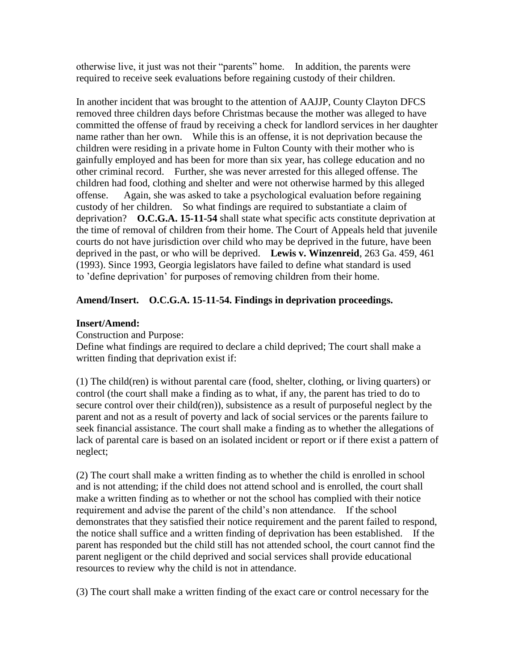otherwise live, it just was not their "parents" home. In addition, the parents were required to receive seek evaluations before regaining custody of their children.

In another incident that was brought to the attention of AAJJP, County Clayton DFCS removed three children days before Christmas because the mother was alleged to have committed the offense of fraud by receiving a check for landlord services in her daughter name rather than her own. While this is an offense, it is not deprivation because the children were residing in a private home in Fulton County with their mother who is gainfully employed and has been for more than six year, has college education and no other criminal record. Further, she was never arrested for this alleged offense. The children had food, clothing and shelter and were not otherwise harmed by this alleged offense. Again, she was asked to take a psychological evaluation before regaining custody of her children. So what findings are required to substantiate a claim of deprivation? **O.C.G.A. 15-11-54** shall state what specific acts constitute deprivation at the time of removal of children from their home. The Court of Appeals held that juvenile courts do not have jurisdiction over child who may be deprived in the future, have been deprived in the past, or who will be deprived. **Lewis v. Winzenreid**, 263 Ga. 459, 461 (1993). Since 1993, Georgia legislators have failed to define what standard is used to "define deprivation" for purposes of removing children from their home.

#### **Amend/Insert. O.C.G.A. 15-11-54. Findings in deprivation proceedings.**

#### **Insert/Amend:**

Construction and Purpose:

Define what findings are required to declare a child deprived; The court shall make a written finding that deprivation exist if:

(1) The child(ren) is without parental care (food, shelter, clothing, or living quarters) or control (the court shall make a finding as to what, if any, the parent has tried to do to secure control over their child(ren)), subsistence as a result of purposeful neglect by the parent and not as a result of poverty and lack of social services or the parents failure to seek financial assistance. The court shall make a finding as to whether the allegations of lack of parental care is based on an isolated incident or report or if there exist a pattern of neglect;

(2) The court shall make a written finding as to whether the child is enrolled in school and is not attending; if the child does not attend school and is enrolled, the court shall make a written finding as to whether or not the school has complied with their notice requirement and advise the parent of the child"s non attendance. If the school demonstrates that they satisfied their notice requirement and the parent failed to respond, the notice shall suffice and a written finding of deprivation has been established. If the parent has responded but the child still has not attended school, the court cannot find the parent negligent or the child deprived and social services shall provide educational resources to review why the child is not in attendance.

(3) The court shall make a written finding of the exact care or control necessary for the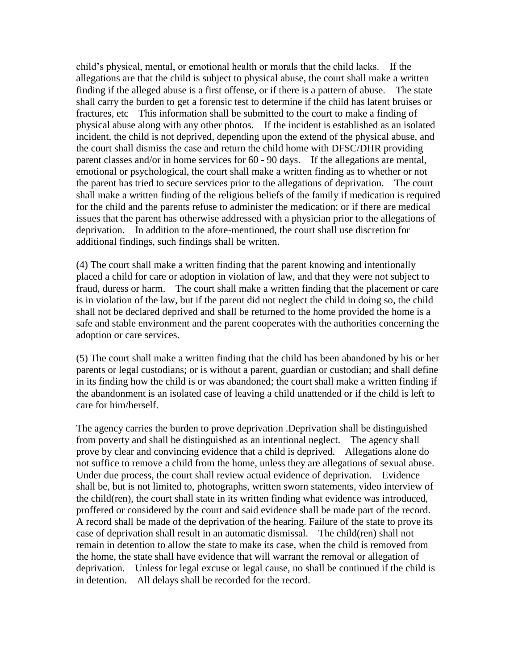child"s physical, mental, or emotional health or morals that the child lacks. If the allegations are that the child is subject to physical abuse, the court shall make a written finding if the alleged abuse is a first offense, or if there is a pattern of abuse. The state shall carry the burden to get a forensic test to determine if the child has latent bruises or fractures, etc This information shall be submitted to the court to make a finding of physical abuse along with any other photos. If the incident is established as an isolated incident, the child is not deprived, depending upon the extend of the physical abuse, and the court shall dismiss the case and return the child home with DFSC/DHR providing parent classes and/or in home services for 60 - 90 days. If the allegations are mental, emotional or psychological, the court shall make a written finding as to whether or not the parent has tried to secure services prior to the allegations of deprivation. The court shall make a written finding of the religious beliefs of the family if medication is required for the child and the parents refuse to administer the medication; or if there are medical issues that the parent has otherwise addressed with a physician prior to the allegations of deprivation. In addition to the afore-mentioned, the court shall use discretion for additional findings, such findings shall be written.

(4) The court shall make a written finding that the parent knowing and intentionally placed a child for care or adoption in violation of law, and that they were not subject to fraud, duress or harm. The court shall make a written finding that the placement or care is in violation of the law, but if the parent did not neglect the child in doing so, the child shall not be declared deprived and shall be returned to the home provided the home is a safe and stable environment and the parent cooperates with the authorities concerning the adoption or care services.

(5) The court shall make a written finding that the child has been abandoned by his or her parents or legal custodians; or is without a parent, guardian or custodian; and shall define in its finding how the child is or was abandoned; the court shall make a written finding if the abandonment is an isolated case of leaving a child unattended or if the child is left to care for him/herself.

The agency carries the burden to prove deprivation .Deprivation shall be distinguished from poverty and shall be distinguished as an intentional neglect. The agency shall prove by clear and convincing evidence that a child is deprived. Allegations alone do not suffice to remove a child from the home, unless they are allegations of sexual abuse. Under due process, the court shall review actual evidence of deprivation. Evidence shall be, but is not limited to, photographs, written sworn statements, video interview of the child(ren), the court shall state in its written finding what evidence was introduced, proffered or considered by the court and said evidence shall be made part of the record. A record shall be made of the deprivation of the hearing. Failure of the state to prove its case of deprivation shall result in an automatic dismissal. The child(ren) shall not remain in detention to allow the state to make its case, when the child is removed from the home, the state shall have evidence that will warrant the removal or allegation of deprivation. Unless for legal excuse or legal cause, no shall be continued if the child is in detention. All delays shall be recorded for the record.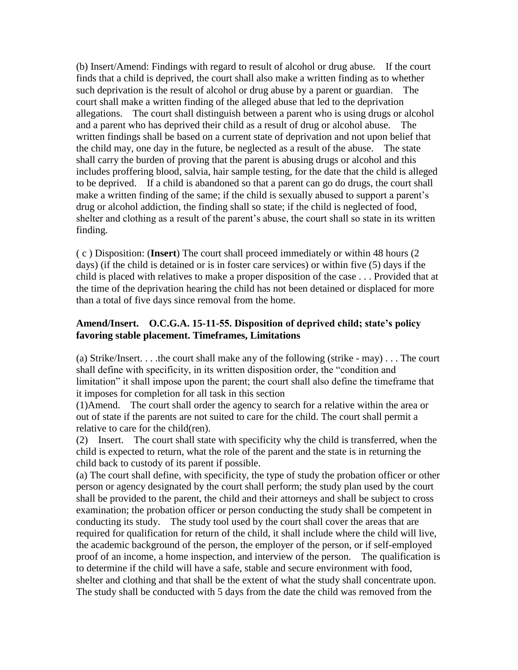(b) Insert/Amend: Findings with regard to result of alcohol or drug abuse. If the court finds that a child is deprived, the court shall also make a written finding as to whether such deprivation is the result of alcohol or drug abuse by a parent or guardian. The court shall make a written finding of the alleged abuse that led to the deprivation allegations. The court shall distinguish between a parent who is using drugs or alcohol and a parent who has deprived their child as a result of drug or alcohol abuse. The written findings shall be based on a current state of deprivation and not upon belief that the child may, one day in the future, be neglected as a result of the abuse. The state shall carry the burden of proving that the parent is abusing drugs or alcohol and this includes proffering blood, salvia, hair sample testing, for the date that the child is alleged to be deprived. If a child is abandoned so that a parent can go do drugs, the court shall make a written finding of the same; if the child is sexually abused to support a parent's drug or alcohol addiction, the finding shall so state; if the child is neglected of food, shelter and clothing as a result of the parent's abuse, the court shall so state in its written finding.

( c ) Disposition: (**Insert**) The court shall proceed immediately or within 48 hours (2 days) (if the child is detained or is in foster care services) or within five (5) days if the child is placed with relatives to make a proper disposition of the case . . . Provided that at the time of the deprivation hearing the child has not been detained or displaced for more than a total of five days since removal from the home.

#### **Amend/Insert. O.C.G.A. 15-11-55. Disposition of deprived child; state's policy favoring stable placement. Timeframes, Limitations**

(a) Strike/Insert. . . .the court shall make any of the following (strike - may) . . . The court shall define with specificity, in its written disposition order, the "condition and limitation" it shall impose upon the parent; the court shall also define the timeframe that it imposes for completion for all task in this section

(1)Amend. The court shall order the agency to search for a relative within the area or out of state if the parents are not suited to care for the child. The court shall permit a relative to care for the child(ren).

(2) Insert. The court shall state with specificity why the child is transferred, when the child is expected to return, what the role of the parent and the state is in returning the child back to custody of its parent if possible.

(a) The court shall define, with specificity, the type of study the probation officer or other person or agency designated by the court shall perform; the study plan used by the court shall be provided to the parent, the child and their attorneys and shall be subject to cross examination; the probation officer or person conducting the study shall be competent in conducting its study. The study tool used by the court shall cover the areas that are required for qualification for return of the child, it shall include where the child will live, the academic background of the person, the employer of the person, or if self-employed proof of an income, a home inspection, and interview of the person. The qualification is to determine if the child will have a safe, stable and secure environment with food, shelter and clothing and that shall be the extent of what the study shall concentrate upon. The study shall be conducted with 5 days from the date the child was removed from the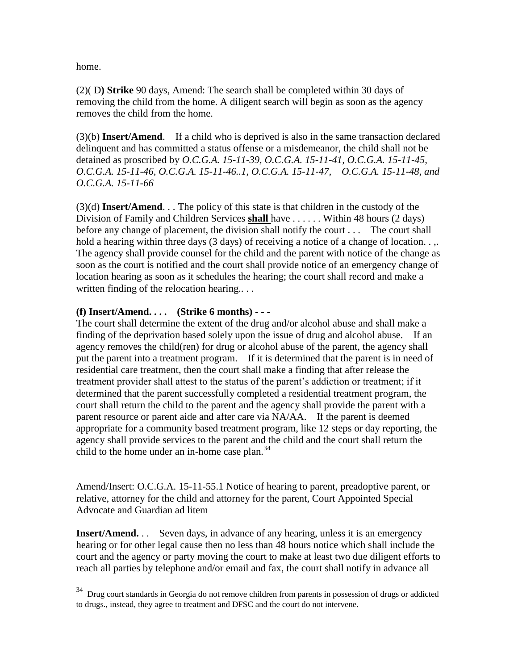home.

(2)( D**) Strike** 90 days, Amend: The search shall be completed within 30 days of removing the child from the home. A diligent search will begin as soon as the agency removes the child from the home.

(3)(b) **Insert/Amend**. If a child who is deprived is also in the same transaction declared delinquent and has committed a status offense or a misdemeanor, the child shall not be detained as proscribed by *O.C.G.A. 15-11-39, O.C.G.A. 15-11-41, O.C.G.A. 15-11-45, O.C.G.A. 15-11-46, O.C.G.A. 15-11-46..1, O.C.G.A. 15-11-47, O.C.G.A. 15-11-48, and O.C.G.A. 15-11-66*

(3)(d) **Insert/Amend**. . . The policy of this state is that children in the custody of the Division of Family and Children Services **shall** have . . . . . . Within 48 hours (2 days) before any change of placement, the division shall notify the court . . . The court shall hold a hearing within three days (3 days) of receiving a notice of a change of location... The agency shall provide counsel for the child and the parent with notice of the change as soon as the court is notified and the court shall provide notice of an emergency change of location hearing as soon as it schedules the hearing; the court shall record and make a written finding of the relocation hearing....

#### **(f) Insert/Amend. . . . (Strike 6 months) - - -**

The court shall determine the extent of the drug and/or alcohol abuse and shall make a finding of the deprivation based solely upon the issue of drug and alcohol abuse. If an agency removes the child(ren) for drug or alcohol abuse of the parent, the agency shall put the parent into a treatment program. If it is determined that the parent is in need of residential care treatment, then the court shall make a finding that after release the treatment provider shall attest to the status of the parent"s addiction or treatment; if it determined that the parent successfully completed a residential treatment program, the court shall return the child to the parent and the agency shall provide the parent with a parent resource or parent aide and after care via NA/AA. If the parent is deemed appropriate for a community based treatment program, like 12 steps or day reporting, the agency shall provide services to the parent and the child and the court shall return the child to the home under an in-home case plan.<sup>34</sup>

Amend/Insert: O.C.G.A. 15-11-55.1 Notice of hearing to parent, preadoptive parent, or relative, attorney for the child and attorney for the parent, Court Appointed Special Advocate and Guardian ad litem

**Insert/Amend.** . . Seven days, in advance of any hearing, unless it is an emergency hearing or for other legal cause then no less than 48 hours notice which shall include the court and the agency or party moving the court to make at least two due diligent efforts to reach all parties by telephone and/or email and fax, the court shall notify in advance all

<sup>34</sup> <sup>34</sup> Drug court standards in Georgia do not remove children from parents in possession of drugs or addicted to drugs., instead, they agree to treatment and DFSC and the court do not intervene.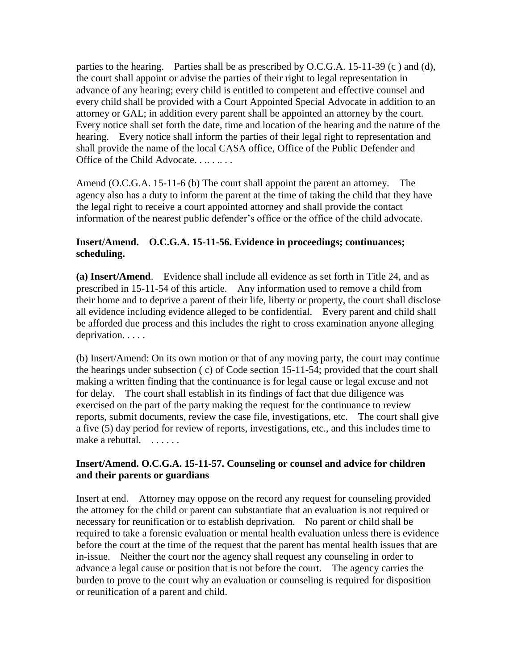parties to the hearing. Parties shall be as prescribed by O.C.G.A.  $15{\text -}11{\text -}39$  (c) and (d), the court shall appoint or advise the parties of their right to legal representation in advance of any hearing; every child is entitled to competent and effective counsel and every child shall be provided with a Court Appointed Special Advocate in addition to an attorney or GAL; in addition every parent shall be appointed an attorney by the court. Every notice shall set forth the date, time and location of the hearing and the nature of the hearing. Every notice shall inform the parties of their legal right to representation and shall provide the name of the local CASA office, Office of the Public Defender and Office of the Child Advocate. . . . . . . .

Amend (O.C.G.A. 15-11-6 (b) The court shall appoint the parent an attorney. The agency also has a duty to inform the parent at the time of taking the child that they have the legal right to receive a court appointed attorney and shall provide the contact information of the nearest public defender"s office or the office of the child advocate.

#### **Insert/Amend. O.C.G.A. 15-11-56. Evidence in proceedings; continuances; scheduling.**

**(a) Insert/Amend**. Evidence shall include all evidence as set forth in Title 24, and as prescribed in 15-11-54 of this article. Any information used to remove a child from their home and to deprive a parent of their life, liberty or property, the court shall disclose all evidence including evidence alleged to be confidential. Every parent and child shall be afforded due process and this includes the right to cross examination anyone alleging deprivation. . . . .

(b) Insert/Amend: On its own motion or that of any moving party, the court may continue the hearings under subsection ( c) of Code section 15-11-54; provided that the court shall making a written finding that the continuance is for legal cause or legal excuse and not for delay. The court shall establish in its findings of fact that due diligence was exercised on the part of the party making the request for the continuance to review reports, submit documents, review the case file, investigations, etc. The court shall give a five (5) day period for review of reports, investigations, etc., and this includes time to make a rebuttal.

#### **Insert/Amend. O.C.G.A. 15-11-57. Counseling or counsel and advice for children and their parents or guardians**

Insert at end. Attorney may oppose on the record any request for counseling provided the attorney for the child or parent can substantiate that an evaluation is not required or necessary for reunification or to establish deprivation. No parent or child shall be required to take a forensic evaluation or mental health evaluation unless there is evidence before the court at the time of the request that the parent has mental health issues that are in-issue. Neither the court nor the agency shall request any counseling in order to advance a legal cause or position that is not before the court. The agency carries the burden to prove to the court why an evaluation or counseling is required for disposition or reunification of a parent and child.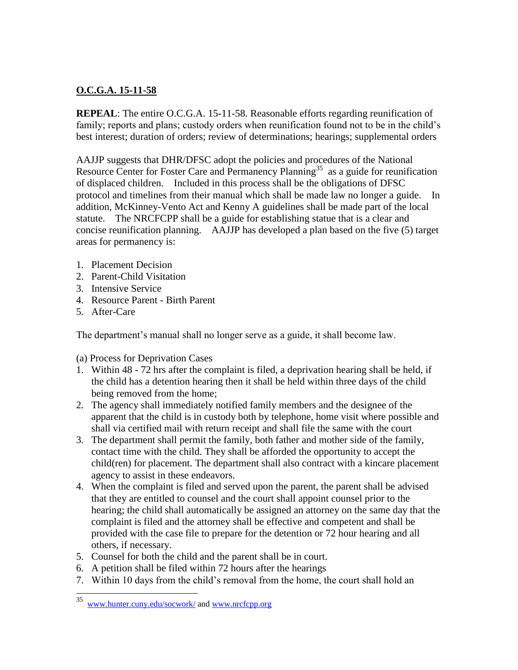## **O.C.G.A. 15-11-58**

**REPEAL**: The entire O.C.G.A. 15-11-58. Reasonable efforts regarding reunification of family; reports and plans; custody orders when reunification found not to be in the child's best interest; duration of orders; review of determinations; hearings; supplemental orders

AAJJP suggests that DHR/DFSC adopt the policies and procedures of the National Resource Center for Foster Care and Permanency Planning<sup>35</sup> as a guide for reunification of displaced children. Included in this process shall be the obligations of DFSC protocol and timelines from their manual which shall be made law no longer a guide. In addition, McKinney-Vento Act and Kenny A guidelines shall be made part of the local statute. The NRCFCPP shall be a guide for establishing statue that is a clear and concise reunification planning. AAJJP has developed a plan based on the five (5) target areas for permanency is:

- 1. Placement Decision
- 2. Parent-Child Visitation
- 3. Intensive Service
- 4. Resource Parent Birth Parent
- 5. After-Care

The department's manual shall no longer serve as a guide, it shall become law.

(a) Process for Deprivation Cases

- 1. Within 48 72 hrs after the complaint is filed, a deprivation hearing shall be held, if the child has a detention hearing then it shall be held within three days of the child being removed from the home;
- 2. The agency shall immediately notified family members and the designee of the apparent that the child is in custody both by telephone, home visit where possible and shall via certified mail with return receipt and shall file the same with the court
- 3. The department shall permit the family, both father and mother side of the family, contact time with the child. They shall be afforded the opportunity to accept the child(ren) for placement. The department shall also contract with a kincare placement agency to assist in these endeavors.
- 4. When the complaint is filed and served upon the parent, the parent shall be advised that they are entitled to counsel and the court shall appoint counsel prior to the hearing; the child shall automatically be assigned an attorney on the same day that the complaint is filed and the attorney shall be effective and competent and shall be provided with the case file to prepare for the detention or 72 hour hearing and all others, if necessary.
- 5. Counsel for both the child and the parent shall be in court.
- 6. A petition shall be filed within 72 hours after the hearings
- 7. Within 10 days from the child"s removal from the home, the court shall hold an

<sup>35</sup> <sup>35</sup> [www.hunter.cuny.edu/socwork/](http://www.hunter.cuny.edu/socwork/) an[d www.nrcfcpp.org](http://www.nrcfcpp.org/)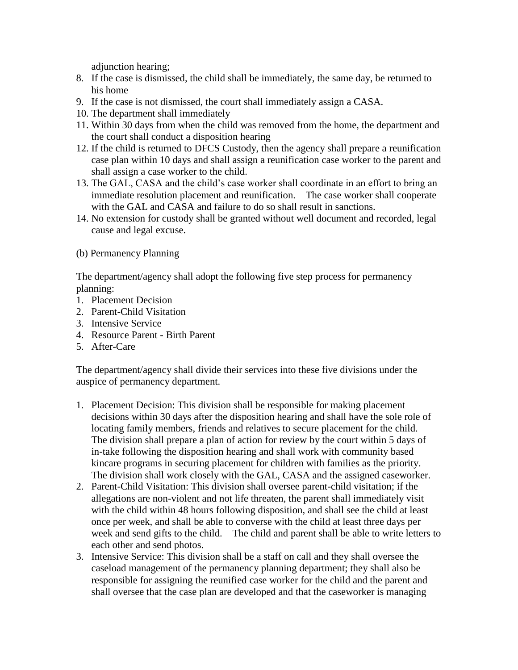adjunction hearing;

- 8. If the case is dismissed, the child shall be immediately, the same day, be returned to his home
- 9. If the case is not dismissed, the court shall immediately assign a CASA.
- 10. The department shall immediately
- 11. Within 30 days from when the child was removed from the home, the department and the court shall conduct a disposition hearing
- 12. If the child is returned to DFCS Custody, then the agency shall prepare a reunification case plan within 10 days and shall assign a reunification case worker to the parent and shall assign a case worker to the child.
- 13. The GAL, CASA and the child"s case worker shall coordinate in an effort to bring an immediate resolution placement and reunification. The case worker shall cooperate with the GAL and CASA and failure to do so shall result in sanctions.
- 14. No extension for custody shall be granted without well document and recorded, legal cause and legal excuse.
- (b) Permanency Planning

The department/agency shall adopt the following five step process for permanency planning:

- 1. Placement Decision
- 2. Parent-Child Visitation
- 3. Intensive Service
- 4. Resource Parent Birth Parent
- 5. After-Care

The department/agency shall divide their services into these five divisions under the auspice of permanency department.

- 1. Placement Decision: This division shall be responsible for making placement decisions within 30 days after the disposition hearing and shall have the sole role of locating family members, friends and relatives to secure placement for the child. The division shall prepare a plan of action for review by the court within 5 days of in-take following the disposition hearing and shall work with community based kincare programs in securing placement for children with families as the priority. The division shall work closely with the GAL, CASA and the assigned caseworker.
- 2. Parent-Child Visitation: This division shall oversee parent-child visitation; if the allegations are non-violent and not life threaten, the parent shall immediately visit with the child within 48 hours following disposition, and shall see the child at least once per week, and shall be able to converse with the child at least three days per week and send gifts to the child. The child and parent shall be able to write letters to each other and send photos.
- 3. Intensive Service: This division shall be a staff on call and they shall oversee the caseload management of the permanency planning department; they shall also be responsible for assigning the reunified case worker for the child and the parent and shall oversee that the case plan are developed and that the caseworker is managing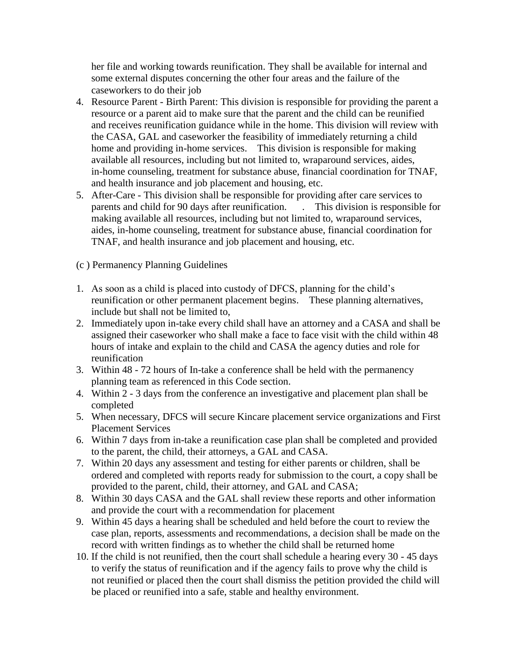her file and working towards reunification. They shall be available for internal and some external disputes concerning the other four areas and the failure of the caseworkers to do their job

- 4. Resource Parent Birth Parent: This division is responsible for providing the parent a resource or a parent aid to make sure that the parent and the child can be reunified and receives reunification guidance while in the home. This division will review with the CASA, GAL and caseworker the feasibility of immediately returning a child home and providing in-home services. This division is responsible for making available all resources, including but not limited to, wraparound services, aides, in-home counseling, treatment for substance abuse, financial coordination for TNAF, and health insurance and job placement and housing, etc.
- 5. After-Care This division shall be responsible for providing after care services to parents and child for 90 days after reunification. . This division is responsible for making available all resources, including but not limited to, wraparound services, aides, in-home counseling, treatment for substance abuse, financial coordination for TNAF, and health insurance and job placement and housing, etc.
- (c ) Permanency Planning Guidelines
- 1. As soon as a child is placed into custody of DFCS, planning for the child"s reunification or other permanent placement begins. These planning alternatives, include but shall not be limited to,
- 2. Immediately upon in-take every child shall have an attorney and a CASA and shall be assigned their caseworker who shall make a face to face visit with the child within 48 hours of intake and explain to the child and CASA the agency duties and role for reunification
- 3. Within 48 72 hours of In-take a conference shall be held with the permanency planning team as referenced in this Code section.
- 4. Within 2 3 days from the conference an investigative and placement plan shall be completed
- 5. When necessary, DFCS will secure Kincare placement service organizations and First Placement Services
- 6. Within 7 days from in-take a reunification case plan shall be completed and provided to the parent, the child, their attorneys, a GAL and CASA.
- 7. Within 20 days any assessment and testing for either parents or children, shall be ordered and completed with reports ready for submission to the court, a copy shall be provided to the parent, child, their attorney, and GAL and CASA;
- 8. Within 30 days CASA and the GAL shall review these reports and other information and provide the court with a recommendation for placement
- 9. Within 45 days a hearing shall be scheduled and held before the court to review the case plan, reports, assessments and recommendations, a decision shall be made on the record with written findings as to whether the child shall be returned home
- 10. If the child is not reunified, then the court shall schedule a hearing every 30 45 days to verify the status of reunification and if the agency fails to prove why the child is not reunified or placed then the court shall dismiss the petition provided the child will be placed or reunified into a safe, stable and healthy environment.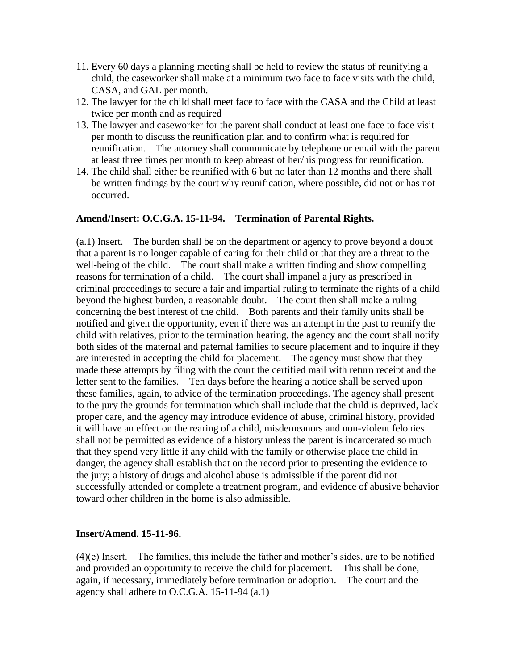- 11. Every 60 days a planning meeting shall be held to review the status of reunifying a child, the caseworker shall make at a minimum two face to face visits with the child, CASA, and GAL per month.
- 12. The lawyer for the child shall meet face to face with the CASA and the Child at least twice per month and as required
- 13. The lawyer and caseworker for the parent shall conduct at least one face to face visit per month to discuss the reunification plan and to confirm what is required for reunification. The attorney shall communicate by telephone or email with the parent at least three times per month to keep abreast of her/his progress for reunification.
- 14. The child shall either be reunified with 6 but no later than 12 months and there shall be written findings by the court why reunification, where possible, did not or has not occurred.

#### **Amend/Insert: O.C.G.A. 15-11-94. Termination of Parental Rights.**

(a.1) Insert. The burden shall be on the department or agency to prove beyond a doubt that a parent is no longer capable of caring for their child or that they are a threat to the well-being of the child. The court shall make a written finding and show compelling reasons for termination of a child. The court shall impanel a jury as prescribed in criminal proceedings to secure a fair and impartial ruling to terminate the rights of a child beyond the highest burden, a reasonable doubt. The court then shall make a ruling concerning the best interest of the child. Both parents and their family units shall be notified and given the opportunity, even if there was an attempt in the past to reunify the child with relatives, prior to the termination hearing, the agency and the court shall notify both sides of the maternal and paternal families to secure placement and to inquire if they are interested in accepting the child for placement. The agency must show that they made these attempts by filing with the court the certified mail with return receipt and the letter sent to the families. Ten days before the hearing a notice shall be served upon these families, again, to advice of the termination proceedings. The agency shall present to the jury the grounds for termination which shall include that the child is deprived, lack proper care, and the agency may introduce evidence of abuse, criminal history, provided it will have an effect on the rearing of a child, misdemeanors and non-violent felonies shall not be permitted as evidence of a history unless the parent is incarcerated so much that they spend very little if any child with the family or otherwise place the child in danger, the agency shall establish that on the record prior to presenting the evidence to the jury; a history of drugs and alcohol abuse is admissible if the parent did not successfully attended or complete a treatment program, and evidence of abusive behavior toward other children in the home is also admissible.

#### **Insert/Amend. 15-11-96.**

(4)(e) Insert. The families, this include the father and mother"s sides, are to be notified and provided an opportunity to receive the child for placement. This shall be done, again, if necessary, immediately before termination or adoption. The court and the agency shall adhere to O.C.G.A. 15-11-94 (a.1)